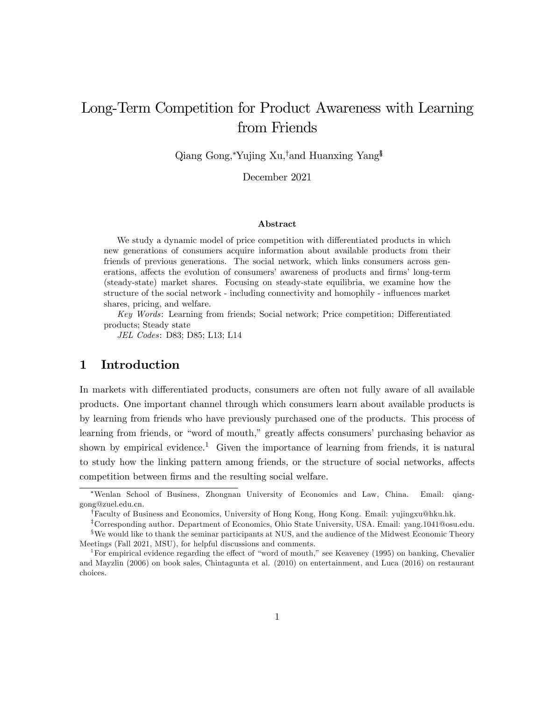# Long-Term Competition for Product Awareness with Learning from Friends

Qiang Gong, Yujing Xu,<sup>†</sup>and Huanxing Yang<sup>§</sup>

December 2021

#### Abstract

We study a dynamic model of price competition with differentiated products in which new generations of consumers acquire information about available products from their friends of previous generations. The social network, which links consumers across generations, affects the evolution of consumers' awareness of products and firms' long-term (steady-state) market shares. Focusing on steady-state equilibria, we examine how the structure of the social network - including connectivity and homophily - influences market shares, pricing, and welfare.

Key Words: Learning from friends; Social network; Price competition; Differentiated products; Steady state

JEL Codes: D83; D85; L13; L14

# 1 Introduction

In markets with differentiated products, consumers are often not fully aware of all available products. One important channel through which consumers learn about available products is by learning from friends who have previously purchased one of the products. This process of learning from friends, or "word of mouth," greatly affects consumers' purchasing behavior as shown by empirical evidence.<sup>1</sup> Given the importance of learning from friends, it is natural to study how the linking pattern among friends, or the structure of social networks, affects competition between firms and the resulting social welfare.

Wenlan School of Business, Zhongnan University of Economics and Law, China. Email: qianggong@zuel.edu.cn.

<sup>&</sup>lt;sup>†</sup>Faculty of Business and Economics, University of Hong Kong, Hong Kong. Email: yujingxu@hku.hk.

<sup>&</sup>lt;sup>‡</sup>Corresponding author. Department of Economics, Ohio State University, USA. Email: yang.1041@osu.edu.

<sup>&</sup>lt;sup>§</sup>We would like to thank the seminar participants at NUS, and the audience of the Midwest Economic Theory Meetings (Fall 2021, MSU), for helpful discussions and comments.

<sup>&</sup>lt;sup>1</sup>For empirical evidence regarding the effect of "word of mouth," see Keaveney (1995) on banking, Chevalier and Mayzlin (2006) on book sales, Chintagunta et al. (2010) on entertainment, and Luca (2016) on restaurant choices.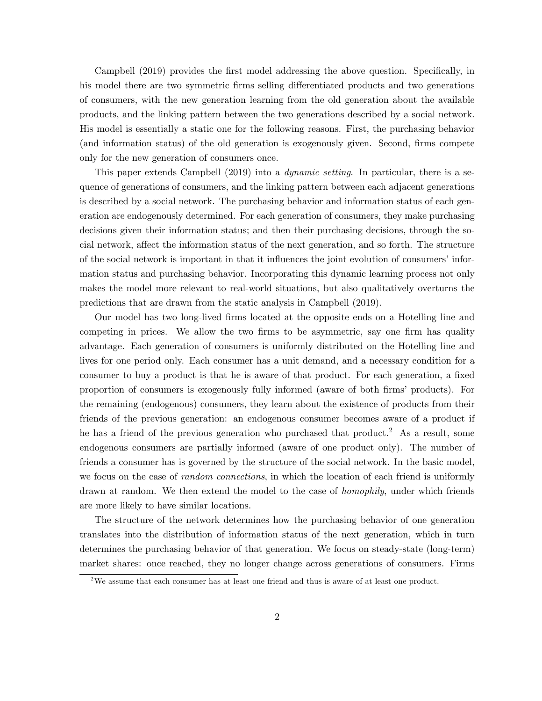Campbell (2019) provides the first model addressing the above question. Specifically, in his model there are two symmetric firms selling differentiated products and two generations of consumers, with the new generation learning from the old generation about the available products, and the linking pattern between the two generations described by a social network. His model is essentially a static one for the following reasons. First, the purchasing behavior (and information status) of the old generation is exogenously given. Second, firms compete only for the new generation of consumers once.

This paper extends Campbell (2019) into a *dynamic setting*. In particular, there is a sequence of generations of consumers, and the linking pattern between each adjacent generations is described by a social network. The purchasing behavior and information status of each generation are endogenously determined. For each generation of consumers, they make purchasing decisions given their information status; and then their purchasing decisions, through the social network, affect the information status of the next generation, and so forth. The structure of the social network is important in that it influences the joint evolution of consumers' information status and purchasing behavior. Incorporating this dynamic learning process not only makes the model more relevant to real-world situations, but also qualitatively overturns the predictions that are drawn from the static analysis in Campbell (2019).

Our model has two long-lived Örms located at the opposite ends on a Hotelling line and competing in prices. We allow the two firms to be asymmetric, say one firm has quality advantage. Each generation of consumers is uniformly distributed on the Hotelling line and lives for one period only. Each consumer has a unit demand, and a necessary condition for a consumer to buy a product is that he is aware of that product. For each generation, a fixed proportion of consumers is exogenously fully informed (aware of both firms' products). For the remaining (endogenous) consumers, they learn about the existence of products from their friends of the previous generation: an endogenous consumer becomes aware of a product if he has a friend of the previous generation who purchased that product.<sup>2</sup> As a result, some endogenous consumers are partially informed (aware of one product only). The number of friends a consumer has is governed by the structure of the social network. In the basic model, we focus on the case of *random connections*, in which the location of each friend is uniformly drawn at random. We then extend the model to the case of *homophily*, under which friends are more likely to have similar locations.

The structure of the network determines how the purchasing behavior of one generation translates into the distribution of information status of the next generation, which in turn determines the purchasing behavior of that generation. We focus on steady-state (long-term) market shares: once reached, they no longer change across generations of consumers. Firms

 $2$ We assume that each consumer has at least one friend and thus is aware of at least one product.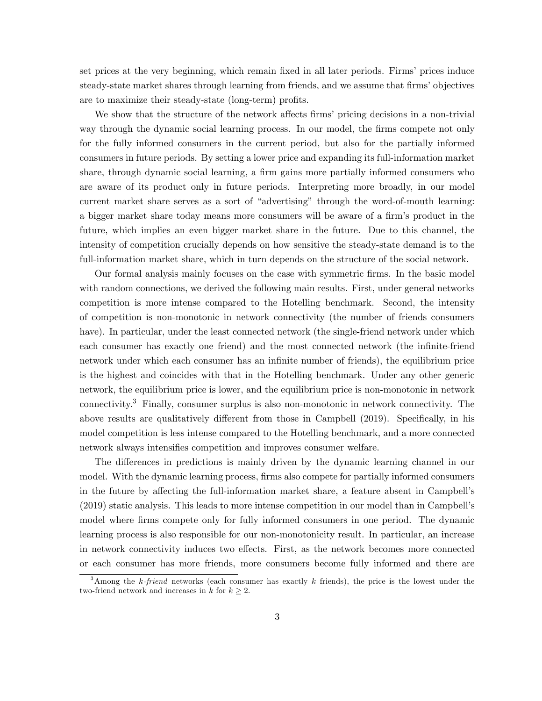set prices at the very beginning, which remain fixed in all later periods. Firms' prices induce steady-state market shares through learning from friends, and we assume that firms' objectives are to maximize their steady-state (long-term) profits.

We show that the structure of the network affects firms' pricing decisions in a non-trivial way through the dynamic social learning process. In our model, the firms compete not only for the fully informed consumers in the current period, but also for the partially informed consumers in future periods. By setting a lower price and expanding its full-information market share, through dynamic social learning, a firm gains more partially informed consumers who are aware of its product only in future periods. Interpreting more broadly, in our model current market share serves as a sort of "advertising" through the word-of-mouth learning: a bigger market share today means more consumers will be aware of a firm's product in the future, which implies an even bigger market share in the future. Due to this channel, the intensity of competition crucially depends on how sensitive the steady-state demand is to the full-information market share, which in turn depends on the structure of the social network.

Our formal analysis mainly focuses on the case with symmetric Örms. In the basic model with random connections, we derived the following main results. First, under general networks competition is more intense compared to the Hotelling benchmark. Second, the intensity of competition is non-monotonic in network connectivity (the number of friends consumers have). In particular, under the least connected network (the single-friend network under which each consumer has exactly one friend) and the most connected network (the infinite-friend network under which each consumer has an infinite number of friends), the equilibrium price is the highest and coincides with that in the Hotelling benchmark. Under any other generic network, the equilibrium price is lower, and the equilibrium price is non-monotonic in network connectivity.<sup>3</sup> Finally, consumer surplus is also non-monotonic in network connectivity. The above results are qualitatively different from those in Campbell  $(2019)$ . Specifically, in his model competition is less intense compared to the Hotelling benchmark, and a more connected network always intensifies competition and improves consumer welfare.

The differences in predictions is mainly driven by the dynamic learning channel in our model. With the dynamic learning process, firms also compete for partially informed consumers in the future by affecting the full-information market share, a feature absent in Campbell's (2019) static analysis. This leads to more intense competition in our model than in Campbellís model where firms compete only for fully informed consumers in one period. The dynamic learning process is also responsible for our non-monotonicity result. In particular, an increase in network connectivity induces two effects. First, as the network becomes more connected or each consumer has more friends, more consumers become fully informed and there are

<sup>&</sup>lt;sup>3</sup>Among the k-friend networks (each consumer has exactly k friends), the price is the lowest under the two-friend network and increases in  $k$  for  $k \geq 2$ .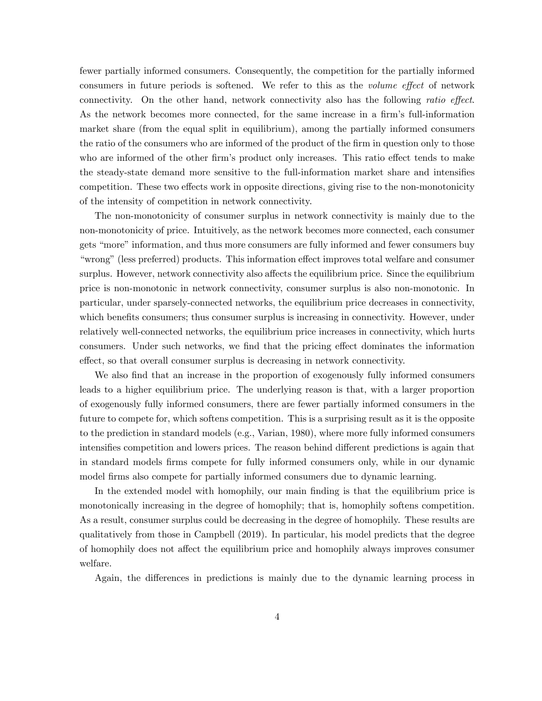fewer partially informed consumers. Consequently, the competition for the partially informed consumers in future periods is softened. We refer to this as the *volume effect* of network connectivity. On the other hand, network connectivity also has the following ratio effect. As the network becomes more connected, for the same increase in a firm's full-information market share (from the equal split in equilibrium), among the partially informed consumers the ratio of the consumers who are informed of the product of the firm in question only to those who are informed of the other firm's product only increases. This ratio effect tends to make the steady-state demand more sensitive to the full-information market share and intensifies competition. These two effects work in opposite directions, giving rise to the non-monotonicity of the intensity of competition in network connectivity.

The non-monotonicity of consumer surplus in network connectivity is mainly due to the non-monotonicity of price. Intuitively, as the network becomes more connected, each consumer gets "more" information, and thus more consumers are fully informed and fewer consumers buy ìwrongî(less preferred) products. This information e§ect improves total welfare and consumer surplus. However, network connectivity also affects the equilibrium price. Since the equilibrium price is non-monotonic in network connectivity, consumer surplus is also non-monotonic. In particular, under sparsely-connected networks, the equilibrium price decreases in connectivity, which benefits consumers; thus consumer surplus is increasing in connectivity. However, under relatively well-connected networks, the equilibrium price increases in connectivity, which hurts consumers. Under such networks, we find that the pricing effect dominates the information effect, so that overall consumer surplus is decreasing in network connectivity.

We also find that an increase in the proportion of exogenously fully informed consumers leads to a higher equilibrium price. The underlying reason is that, with a larger proportion of exogenously fully informed consumers, there are fewer partially informed consumers in the future to compete for, which softens competition. This is a surprising result as it is the opposite to the prediction in standard models (e.g., Varian, 1980), where more fully informed consumers intensifies competition and lowers prices. The reason behind different predictions is again that in standard models firms compete for fully informed consumers only, while in our dynamic model firms also compete for partially informed consumers due to dynamic learning.

In the extended model with homophily, our main finding is that the equilibrium price is monotonically increasing in the degree of homophily; that is, homophily softens competition. As a result, consumer surplus could be decreasing in the degree of homophily. These results are qualitatively from those in Campbell (2019). In particular, his model predicts that the degree of homophily does not affect the equilibrium price and homophily always improves consumer welfare.

Again, the differences in predictions is mainly due to the dynamic learning process in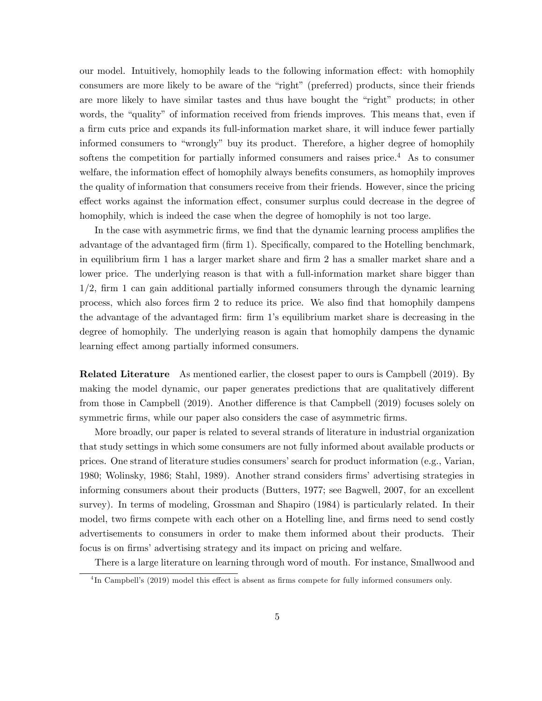our model. Intuitively, homophily leads to the following information effect: with homophily consumers are more likely to be aware of the "right" (preferred) products, since their friends are more likely to have similar tastes and thus have bought the "right" products; in other words, the "quality" of information received from friends improves. This means that, even if a firm cuts price and expands its full-information market share, it will induce fewer partially informed consumers to "wrongly" buy its product. Therefore, a higher degree of homophily softens the competition for partially informed consumers and raises price.<sup>4</sup> As to consumer welfare, the information effect of homophily always benefits consumers, as homophily improves the quality of information that consumers receive from their friends. However, since the pricing effect works against the information effect, consumer surplus could decrease in the degree of homophily, which is indeed the case when the degree of homophily is not too large.

In the case with asymmetric firms, we find that the dynamic learning process amplifies the advantage of the advantaged firm (firm 1). Specifically, compared to the Hotelling benchmark, in equilibrium firm 1 has a larger market share and firm 2 has a smaller market share and a lower price. The underlying reason is that with a full-information market share bigger than  $1/2$ , firm 1 can gain additional partially informed consumers through the dynamic learning process, which also forces firm 2 to reduce its price. We also find that homophily dampens the advantage of the advantaged firm: firm 1's equilibrium market share is decreasing in the degree of homophily. The underlying reason is again that homophily dampens the dynamic learning effect among partially informed consumers.

Related Literature As mentioned earlier, the closest paper to ours is Campbell (2019). By making the model dynamic, our paper generates predictions that are qualitatively different from those in Campbell (2019). Another difference is that Campbell (2019) focuses solely on symmetric firms, while our paper also considers the case of asymmetric firms.

More broadly, our paper is related to several strands of literature in industrial organization that study settings in which some consumers are not fully informed about available products or prices. One strand of literature studies consumers' search for product information (e.g., Varian, 1980; Wolinsky, 1986; Stahl, 1989). Another strand considers firms' advertising strategies in informing consumers about their products (Butters, 1977; see Bagwell, 2007, for an excellent survey). In terms of modeling, Grossman and Shapiro (1984) is particularly related. In their model, two firms compete with each other on a Hotelling line, and firms need to send costly advertisements to consumers in order to make them informed about their products. Their focus is on firms' advertising strategy and its impact on pricing and welfare.

There is a large literature on learning through word of mouth. For instance, Smallwood and

<sup>&</sup>lt;sup>4</sup>In Campbell's (2019) model this effect is absent as firms compete for fully informed consumers only.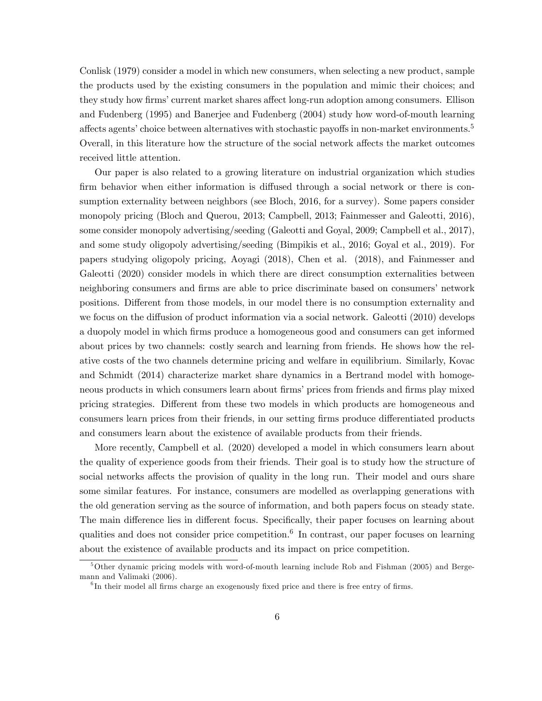Conlisk (1979) consider a model in which new consumers, when selecting a new product, sample the products used by the existing consumers in the population and mimic their choices; and they study how firms' current market shares affect long-run adoption among consumers. Ellison and Fudenberg (1995) and Banerjee and Fudenberg (2004) study how word-of-mouth learning affects agents' choice between alternatives with stochastic payoffs in non-market environments. $5<sup>5</sup>$ Overall, in this literature how the structure of the social network affects the market outcomes received little attention.

Our paper is also related to a growing literature on industrial organization which studies firm behavior when either information is diffused through a social network or there is consumption externality between neighbors (see Bloch, 2016, for a survey). Some papers consider monopoly pricing (Bloch and Querou, 2013; Campbell, 2013; Fainmesser and Galeotti, 2016), some consider monopoly advertising/seeding (Galeotti and Goyal, 2009; Campbell et al., 2017), and some study oligopoly advertising/seeding (Bimpikis et al., 2016; Goyal et al., 2019). For papers studying oligopoly pricing, Aoyagi (2018), Chen et al. (2018), and Fainmesser and Galeotti (2020) consider models in which there are direct consumption externalities between neighboring consumers and firms are able to price discriminate based on consumers' network positions. Different from those models, in our model there is no consumption externality and we focus on the diffusion of product information via a social network. Galeotti (2010) develops a duopoly model in which Örms produce a homogeneous good and consumers can get informed about prices by two channels: costly search and learning from friends. He shows how the relative costs of the two channels determine pricing and welfare in equilibrium. Similarly, Kovac and Schmidt (2014) characterize market share dynamics in a Bertrand model with homogeneous products in which consumers learn about firms' prices from friends and firms play mixed pricing strategies. Different from these two models in which products are homogeneous and consumers learn prices from their friends, in our setting firms produce differentiated products and consumers learn about the existence of available products from their friends.

More recently, Campbell et al. (2020) developed a model in which consumers learn about the quality of experience goods from their friends. Their goal is to study how the structure of social networks affects the provision of quality in the long run. Their model and ours share some similar features. For instance, consumers are modelled as overlapping generations with the old generation serving as the source of information, and both papers focus on steady state. The main difference lies in different focus. Specifically, their paper focuses on learning about qualities and does not consider price competition.<sup>6</sup> In contrast, our paper focuses on learning about the existence of available products and its impact on price competition.

<sup>&</sup>lt;sup>5</sup>Other dynamic pricing models with word-of-mouth learning include Rob and Fishman (2005) and Bergemann and Valimaki (2006).

 ${}^{6}$ In their model all firms charge an exogenously fixed price and there is free entry of firms.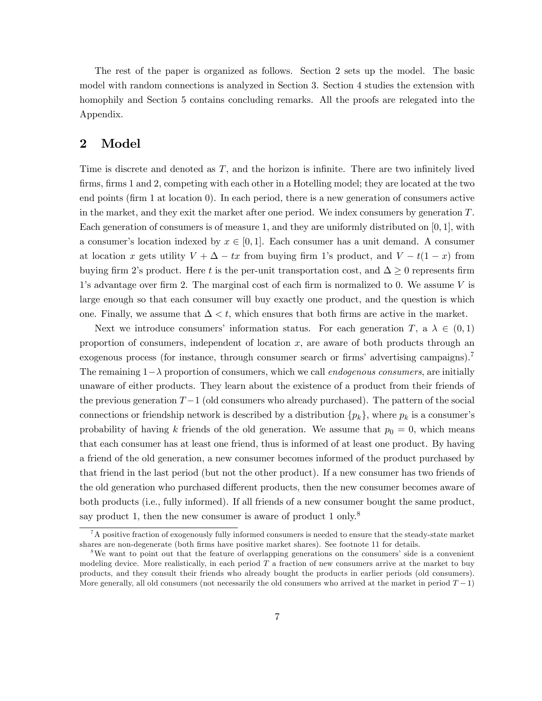The rest of the paper is organized as follows. Section 2 sets up the model. The basic model with random connections is analyzed in Section 3. Section 4 studies the extension with homophily and Section 5 contains concluding remarks. All the proofs are relegated into the Appendix.

# 2 Model

Time is discrete and denoted as  $T$ , and the horizon is infinite. There are two infinitely lived firms, firms 1 and 2, competing with each other in a Hotelling model; they are located at the two end points (Örm 1 at location 0). In each period, there is a new generation of consumers active in the market, and they exit the market after one period. We index consumers by generation  $T$ . Each generation of consumers is of measure 1, and they are uniformly distributed on  $[0, 1]$ , with a consumer's location indexed by  $x \in [0, 1]$ . Each consumer has a unit demand. A consumer at location x gets utility  $V + \Delta - tx$  from buying firm 1's product, and  $V - t(1 - x)$  from buying firm 2's product. Here t is the per-unit transportation cost, and  $\Delta \geq 0$  represents firm 1's advantage over firm 2. The marginal cost of each firm is normalized to 0. We assume  $V$  is large enough so that each consumer will buy exactly one product, and the question is which one. Finally, we assume that  $\Delta < t$ , which ensures that both firms are active in the market.

Next we introduce consumers' information status. For each generation T, a  $\lambda \in (0,1)$ proportion of consumers, independent of location  $x$ , are aware of both products through an exogenous process (for instance, through consumer search or firms' advertising campaigns).<sup>7</sup> The remaining  $1-\lambda$  proportion of consumers, which we call *endogenous consumers*, are initially unaware of either products. They learn about the existence of a product from their friends of the previous generation  $T-1$  (old consumers who already purchased). The pattern of the social connections or friendship network is described by a distribution  $\{p_k\}$ , where  $p_k$  is a consumer's probability of having k friends of the old generation. We assume that  $p_0 = 0$ , which means that each consumer has at least one friend, thus is informed of at least one product. By having a friend of the old generation, a new consumer becomes informed of the product purchased by that friend in the last period (but not the other product). If a new consumer has two friends of the old generation who purchased different products, then the new consumer becomes aware of both products (i.e., fully informed). If all friends of a new consumer bought the same product, say product 1, then the new consumer is aware of product 1 only.<sup>8</sup>

<sup>&</sup>lt;sup>7</sup>A positive fraction of exogenously fully informed consumers is needed to ensure that the steady-state market shares are non-degenerate (both firms have positive market shares). See footnote 11 for details.

<sup>&</sup>lt;sup>8</sup>We want to point out that the feature of overlapping generations on the consumers' side is a convenient modeling device. More realistically, in each period  $T$  a fraction of new consumers arrive at the market to buy products, and they consult their friends who already bought the products in earlier periods (old consumers). More generally, all old consumers (not necessarily the old consumers who arrived at the market in period  $T - 1$ )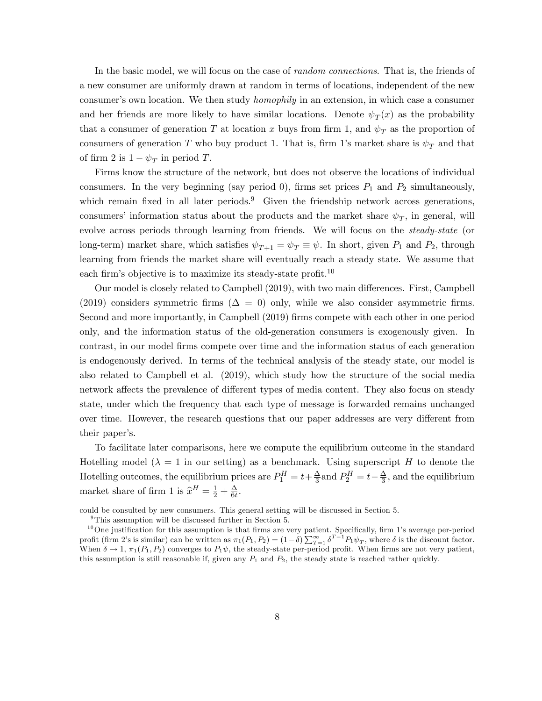In the basic model, we will focus on the case of *random connections*. That is, the friends of a new consumer are uniformly drawn at random in terms of locations, independent of the new consumer's own location. We then study *homophily* in an extension, in which case a consumer and her friends are more likely to have similar locations. Denote  $\psi_T(x)$  as the probability that a consumer of generation T at location x buys from firm 1, and  $\psi_T$  as the proportion of consumers of generation T who buy product 1. That is, firm 1's market share is  $\psi_T$  and that of firm 2 is  $1 - \psi_T$  in period T.

Firms know the structure of the network, but does not observe the locations of individual consumers. In the very beginning (say period 0), firms set prices  $P_1$  and  $P_2$  simultaneously, which remain fixed in all later periods.<sup>9</sup> Given the friendship network across generations, consumers' information status about the products and the market share  $\psi_T$ , in general, will evolve across periods through learning from friends. We will focus on the *steady-state* (or long-term) market share, which satisfies  $\psi_{T+1} = \psi_T \equiv \psi$ . In short, given  $P_1$  and  $P_2$ , through learning from friends the market share will eventually reach a steady state. We assume that each firm's objective is to maximize its steady-state profit.<sup>10</sup>

Our model is closely related to Campbell (2019), with two main differences. First, Campbell (2019) considers symmetric firms ( $\Delta = 0$ ) only, while we also consider asymmetric firms. Second and more importantly, in Campbell (2019) Örms compete with each other in one period only, and the information status of the old-generation consumers is exogenously given. In contrast, in our model Örms compete over time and the information status of each generation is endogenously derived. In terms of the technical analysis of the steady state, our model is also related to Campbell et al. (2019), which study how the structure of the social media network affects the prevalence of different types of media content. They also focus on steady state, under which the frequency that each type of message is forwarded remains unchanged over time. However, the research questions that our paper addresses are very different from their paper's.

To facilitate later comparisons, here we compute the equilibrium outcome in the standard Hotelling model ( $\lambda = 1$  in our setting) as a benchmark. Using superscript H to denote the Hotelling outcomes, the equilibrium prices are  $P_1^H = t + \frac{\Delta}{3}$  $\frac{\Delta}{3}$  and  $P_2^H = t - \frac{\Delta}{3}$  $\frac{\Delta}{3}$ , and the equilibrium market share of firm 1 is  $\hat{x}^H = \frac{1}{2} + \frac{\Delta}{6t}$  $\frac{\Delta}{6t}$  .

could be consulted by new consumers. This general setting will be discussed in Section 5.

<sup>&</sup>lt;sup>9</sup>This assumption will be discussed further in Section 5.

 $10$ One justification for this assumption is that firms are very patient. Specifically, firm 1's average per-period profit (firm 2's is similar) can be written as  $\pi_1(P_1, P_2) = (1 - \delta) \sum_{T=1}^{\infty} \delta^{T-1} P_1 \psi_T$ , where  $\delta$  is the discount factor. When  $\delta \to 1$ ,  $\pi_1(P_1, P_2)$  converges to  $P_1\psi$ , the steady-state per-period profit. When firms are not very patient, this assumption is still reasonable if, given any  $P_1$  and  $P_2$ , the steady state is reached rather quickly.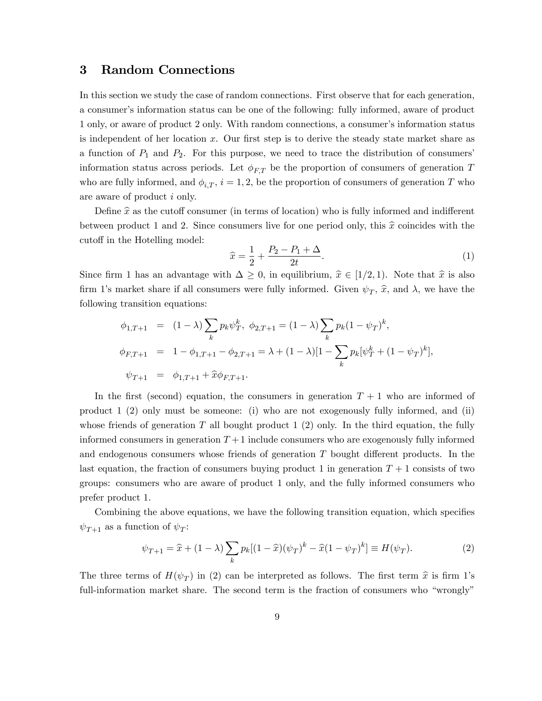# 3 Random Connections

In this section we study the case of random connections. First observe that for each generation, a consumer's information status can be one of the following: fully informed, aware of product 1 only, or aware of product 2 only. With random connections, a consumer's information status is independent of her location x. Our first step is to derive the steady state market share as a function of  $P_1$  and  $P_2$ . For this purpose, we need to trace the distribution of consumers' information status across periods. Let  $\phi_{FT}$  be the proportion of consumers of generation T who are fully informed, and  $\phi_{i,T}$ ,  $i = 1, 2$ , be the proportion of consumers of generation T who are aware of product i only.

Define  $\hat{x}$  as the cutoff consumer (in terms of location) who is fully informed and indifferent between product 1 and 2. Since consumers live for one period only, this  $\hat{x}$  coincides with the cutoff in the Hotelling model:

$$
\hat{x} = \frac{1}{2} + \frac{P_2 - P_1 + \Delta}{2t}.
$$
\n(1)

Since firm 1 has an advantage with  $\Delta \geq 0$ , in equilibrium,  $\hat{x} \in [1/2, 1)$ . Note that  $\hat{x}$  is also firm 1's market share if all consumers were fully informed. Given  $\psi_T$ ,  $\hat{x}$ , and  $\lambda$ , we have the following transition equations:

$$
\phi_{1,T+1} = (1 - \lambda) \sum_{k} p_k \psi_T^k, \ \phi_{2,T+1} = (1 - \lambda) \sum_{k} p_k (1 - \psi_T)^k,
$$
  

$$
\phi_{F,T+1} = 1 - \phi_{1,T+1} - \phi_{2,T+1} = \lambda + (1 - \lambda) [1 - \sum_{k} p_k [\psi_T^k + (1 - \psi_T)^k],
$$
  

$$
\psi_{T+1} = \phi_{1,T+1} + \hat{x} \phi_{F,T+1}.
$$

In the first (second) equation, the consumers in generation  $T + 1$  who are informed of product 1 (2) only must be someone: (i) who are not exogenously fully informed, and (ii) whose friends of generation T all bought product  $1\ (2)$  only. In the third equation, the fully informed consumers in generation  $T+1$  include consumers who are exogenously fully informed and endogenous consumers whose friends of generation  $T$  bought different products. In the last equation, the fraction of consumers buying product 1 in generation  $T+1$  consists of two groups: consumers who are aware of product 1 only, and the fully informed consumers who prefer product 1.

Combining the above equations, we have the following transition equation, which specifies  $\psi_{T+1}$  as a function of  $\psi_T$ :

$$
\psi_{T+1} = \hat{x} + (1 - \lambda) \sum_{k} p_k [(1 - \hat{x})(\psi_T)^k - \hat{x}(1 - \psi_T)^k] \equiv H(\psi_T). \tag{2}
$$

The three terms of  $H(\psi_T)$  in (2) can be interpreted as follows. The first term  $\hat{x}$  is firm 1's full-information market share. The second term is the fraction of consumers who "wrongly"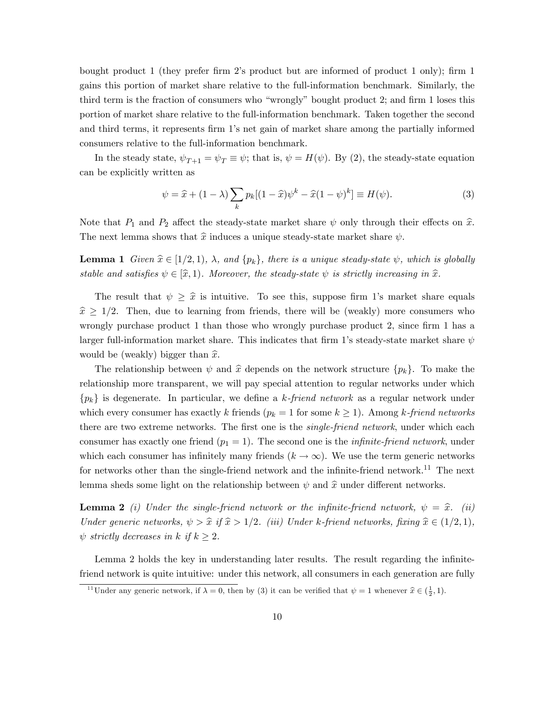bought product 1 (they prefer firm 2's product but are informed of product 1 only); firm 1 gains this portion of market share relative to the full-information benchmark. Similarly, the third term is the fraction of consumers who "wrongly" bought product  $2$ ; and firm 1 loses this portion of market share relative to the full-information benchmark. Taken together the second and third terms, it represents firm 1's net gain of market share among the partially informed consumers relative to the full-information benchmark.

In the steady state,  $\psi_{T+1} = \psi_T \equiv \psi$ ; that is,  $\psi = H(\psi)$ . By (2), the steady-state equation can be explicitly written as

$$
\psi = \hat{x} + (1 - \lambda) \sum_{k} p_k [(1 - \hat{x})\psi^k - \hat{x}(1 - \psi)^k] \equiv H(\psi).
$$
\n(3)

Note that  $P_1$  and  $P_2$  affect the steady-state market share  $\psi$  only through their effects on  $\hat{x}$ . The next lemma shows that  $\hat{x}$  induces a unique steady-state market share  $\psi$ .

**Lemma 1** Given  $\hat{x} \in [1/2, 1), \lambda$ , and  $\{p_k\}$ , there is a unique steady-state  $\psi$ , which is globally stable and satisfies  $\psi \in [\hat{x}, 1)$ . Moreover, the steady-state  $\psi$  is strictly increasing in  $\hat{x}$ .

The result that  $\psi \geq \hat{x}$  is intuitive. To see this, suppose firm 1's market share equals  $\hat{x} \geq 1/2$ . Then, due to learning from friends, there will be (weakly) more consumers who wrongly purchase product  $1$  than those who wrongly purchase product  $2$ , since firm  $1$  has a larger full-information market share. This indicates that firm 1's steady-state market share  $\psi$ would be (weakly) bigger than  $\hat{x}$ .

The relationship between  $\psi$  and  $\hat{x}$  depends on the network structure  $\{p_k\}$ . To make the relationship more transparent, we will pay special attention to regular networks under which  ${p_k}$  is degenerate. In particular, we define a k-friend network as a regular network under which every consumer has exactly k friends ( $p_k = 1$  for some  $k \geq 1$ ). Among k-friend networks there are two extreme networks. The first one is the *single-friend network*, under which each consumer has exactly one friend  $(p_1 = 1)$ . The second one is the *infinite-friend network*, under which each consumer has infinitely many friends  $(k \to \infty)$ . We use the term generic networks for networks other than the single-friend network and the infinite-friend network.<sup>11</sup> The next lemma sheds some light on the relationship between  $\psi$  and  $\hat{x}$  under different networks.

**Lemma 2** (i) Under the single-friend network or the infinite-friend network,  $\psi = \hat{x}$ . (ii) Under generic networks,  $\psi > \hat{x}$  if  $\hat{x} > 1/2$ . (iii) Under k-friend networks, fixing  $\hat{x} \in (1/2, 1)$ ,  $\psi$  strictly decreases in k if  $k \geq 2$ .

Lemma 2 holds the key in understanding later results. The result regarding the infinitefriend network is quite intuitive: under this network, all consumers in each generation are fully

<sup>&</sup>lt;sup>11</sup>Under any generic network, if  $\lambda = 0$ , then by (3) it can be verified that  $\psi = 1$  whenever  $\hat{x} \in (\frac{1}{2}, 1)$ .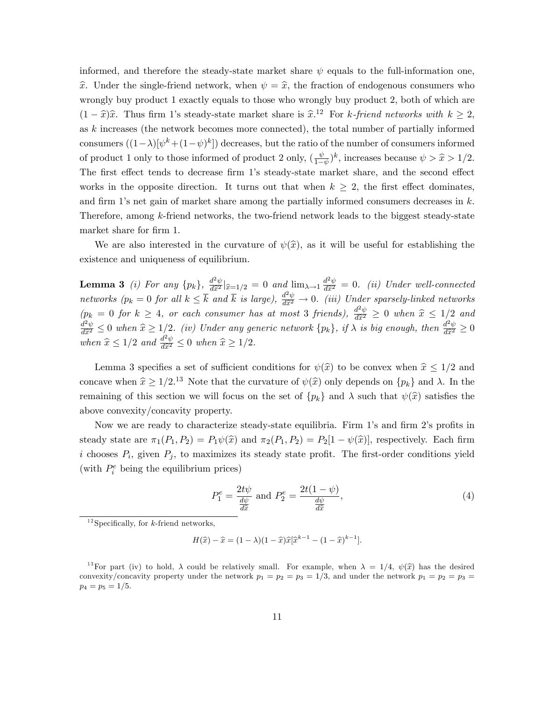informed, and therefore the steady-state market share  $\psi$  equals to the full-information one,  $\hat{x}$ . Under the single-friend network, when  $\psi = \hat{x}$ , the fraction of endogenous consumers who wrongly buy product 1 exactly equals to those who wrongly buy product 2, both of which are  $(1 - \hat{x})\hat{x}$ . Thus firm 1's steady-state market share is  $\hat{x}^{12}$  For k-friend networks with  $k \geq 2$ , as k increases (the network becomes more connected), the total number of partially informed consumers  $((1 - \lambda)[\psi^k + (1 - \psi)^k])$  decreases, but the ratio of the number of consumers informed of product 1 only to those informed of product 2 only,  $\left(\frac{\psi}{1-\psi}\right)$  $(\frac{\psi}{1-\psi})^k$ , increases because  $\psi > \hat{x} > 1/2$ . The first effect tends to decrease firm 1's steady-state market share, and the second effect works in the opposite direction. It turns out that when  $k \geq 2$ , the first effect dominates, and firm 1's net gain of market share among the partially informed consumers decreases in  $k$ . Therefore, among k-friend networks, the two-friend network leads to the biggest steady-state market share for firm 1.

We are also interested in the curvature of  $\psi(\hat{x})$ , as it will be useful for establishing the existence and uniqueness of equilibrium.

**Lemma 3** (i) For any  $\{p_k\}$ ,  $\frac{d^2\psi}{d\hat{x}^2} |_{\hat{x}=1/2} = 0$  and  $\lim_{\lambda \to 1} \frac{d^2\psi}{d\hat{x}^2} = 0$ . (ii) Under well-connected networks  $(p_k = 0$  for all  $k \leq \overline{k}$  and  $\overline{k}$  is large),  $\frac{d^2\psi}{d\hat{x}^2} \to 0$ . (iii) Under sparsely-linked networks  $(p_k = 0 \text{ for } k \geq 4, \text{ or each consumer has at most 3 friends}, \frac{d^2\psi}{d\hat{x}^2} \geq 0 \text{ when } \hat{x} \leq 1/2 \text{ and}$  $\frac{d^2\psi}{d\hat{x}^2} \leq 0$  when  $\hat{x} \geq 1/2$ . (iv) Under any generic network  $\{p_k\}$ , if  $\lambda$  is big enough, then  $\frac{d^2\psi}{d\hat{x}^2} \geq 0$ when  $\widehat{x} \leq 1/2$  and  $\frac{d^2\psi}{d\widehat{x}^2} \leq 0$  when  $\widehat{x} \geq 1/2$ .

Lemma 3 specifies a set of sufficient conditions for  $\psi(\hat{x})$  to be convex when  $\hat{x} \leq 1/2$  and concave when  $\hat{x} \ge 1/2$ .<sup>13</sup> Note that the curvature of  $\psi(\hat{x})$  only depends on  $\{p_k\}$  and  $\lambda$ . In the remaining of this section we will focus on the set of  $\{p_k\}$  and  $\lambda$  such that  $\psi(\hat{x})$  satisfies the above convexity/concavity property.

Now we are ready to characterize steady-state equilibria. Firm 1's and firm 2's profits in steady state are  $\pi_1(P_1, P_2) = P_1 \psi(\hat{x})$  and  $\pi_2(P_1, P_2) = P_2[1 - \psi(\hat{x})]$ , respectively. Each firm i chooses  $P_i$ , given  $P_j$ , to maximizes its steady state profit. The first-order conditions yield (with  $P_i^e$  being the equilibrium prices)

$$
P_1^e = \frac{2t\psi}{\frac{d\psi}{d\hat{x}}} \text{ and } P_2^e = \frac{2t(1-\psi)}{\frac{d\psi}{d\hat{x}}},\tag{4}
$$

 $H(\hat{x}) - \hat{x} = (1 - \lambda)(1 - \hat{x})\hat{x}[\hat{x}^{k-1} - (1 - \hat{x})^{k-1}].$ 

 $12$ Specifically, for k-friend networks.

<sup>&</sup>lt;sup>13</sup>For part (iv) to hold,  $\lambda$  could be relatively small. For example, when  $\lambda = 1/4$ ,  $\psi(\hat{x})$  has the desired convexity/concavity property under the network  $p_1 = p_2 = p_3 = 1/3$ , and under the network  $p_1 = p_2 = p_3$  $p_4 = p_5 = 1/5.$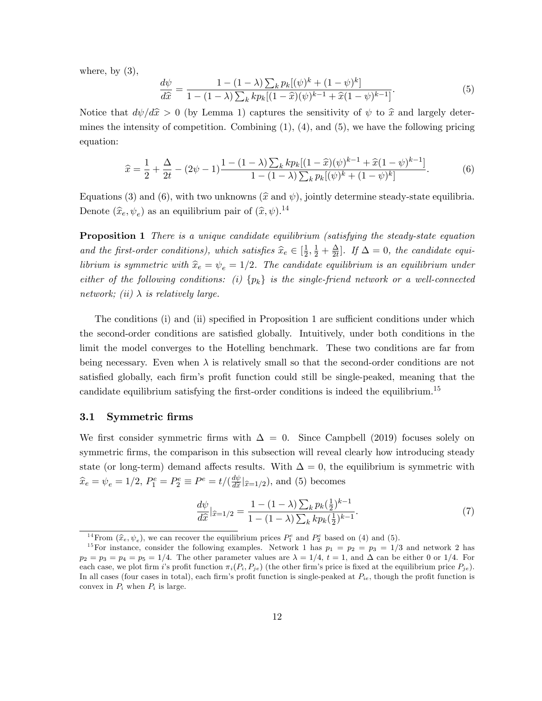where, by  $(3)$ ,

$$
\frac{d\psi}{d\hat{x}} = \frac{1 - (1 - \lambda) \sum_k p_k [(\psi)^k + (1 - \psi)^k]}{1 - (1 - \lambda) \sum_k k p_k [(1 - \hat{x})(\psi)^{k-1} + \hat{x}(1 - \psi)^{k-1}]}.
$$
(5)

Notice that  $d\psi/d\hat{x} > 0$  (by Lemma 1) captures the sensitivity of  $\psi$  to  $\hat{x}$  and largely determines the intensity of competition. Combining  $(1)$ ,  $(4)$ , and  $(5)$ , we have the following pricing equation:

$$
\widehat{x} = \frac{1}{2} + \frac{\Delta}{2t} - (2\psi - 1)\frac{1 - (1 - \lambda)\sum_k k p_k [(1 - \widehat{x})(\psi)^{k-1} + \widehat{x}(1 - \psi)^{k-1}]}{1 - (1 - \lambda)\sum_k p_k [(\psi)^k + (1 - \psi)^k]}.
$$
(6)

Equations (3) and (6), with two unknowns ( $\hat{x}$  and  $\psi$ ), jointly determine steady-state equilibria. Denote  $(\widehat{x}_e, \psi_e)$  as an equilibrium pair of  $(\widehat{x}, \psi)$ .<sup>14</sup>

**Proposition 1** There is a unique candidate equilibrium (satisfying the steady-state equation and the first-order conditions), which satisfies  $\hat{x}_e \in [\frac{1}{2}]$  $\frac{1}{2}, \frac{1}{2} + \frac{\Delta}{2t}$  $\frac{\Delta}{2t}$ . If  $\Delta = 0$ , the candidate equilibrium is symmetric with  $\hat{x}_e = \psi_e = 1/2$ . The candidate equilibrium is an equilibrium under either of the following conditions: (i)  $\{p_k\}$  is the single-friend network or a well-connected network; (ii)  $\lambda$  is relatively large.

The conditions (i) and (ii) specified in Proposition 1 are sufficient conditions under which the second-order conditions are satisfied globally. Intuitively, under both conditions in the limit the model converges to the Hotelling benchmark. These two conditions are far from being necessary. Even when  $\lambda$  is relatively small so that the second-order conditions are not satisfied globally, each firm's profit function could still be single-peaked, meaning that the candidate equilibrium satisfying the first-order conditions is indeed the equilibrium.<sup>15</sup>

### 3.1 Symmetric firms

We first consider symmetric firms with  $\Delta = 0$ . Since Campbell (2019) focuses solely on symmetric firms, the comparison in this subsection will reveal clearly how introducing steady state (or long-term) demand affects results. With  $\Delta = 0$ , the equilibrium is symmetric with  $\widehat{x}_e = \psi_e = 1/2, P_1^e = P_2^e \equiv P^e = t/(\frac{d\psi}{d\widehat{x}})$  $\frac{dw}{d\hat{x}}|_{\hat{x}=1/2}$ , and (5) becomes

$$
\frac{d\psi}{d\hat{x}}|_{\hat{x}=1/2} = \frac{1 - (1 - \lambda) \sum_{k} p_k (\frac{1}{2})^{k-1}}{1 - (1 - \lambda) \sum_{k} k p_k (\frac{1}{2})^{k-1}}.
$$
\n(7)

<sup>&</sup>lt;sup>14</sup> From  $(\hat{x}_e, \psi_e)$ , we can recover the equilibrium prices  $P_1^e$  and  $P_2^e$  based on (4) and (5).

<sup>&</sup>lt;sup>15</sup>For instance, consider the following examples. Network 1 has  $p_1 = p_2 = p_3 = 1/3$  and network 2 has  $p_2 = p_3 = p_4 = p_5 = 1/4$ . The other parameter values are  $\lambda = 1/4$ ,  $t = 1$ , and  $\Delta$  can be either 0 or 1/4. For each case, we plot firm is profit function  $\pi_i(P_i, P_{je})$  (the other firm's price is fixed at the equilibrium price  $P_{ie}$ ). In all cases (four cases in total), each firm's profit function is single-peaked at  $P_{ie}$ , though the profit function is convex in  $P_i$  when  $P_i$  is large.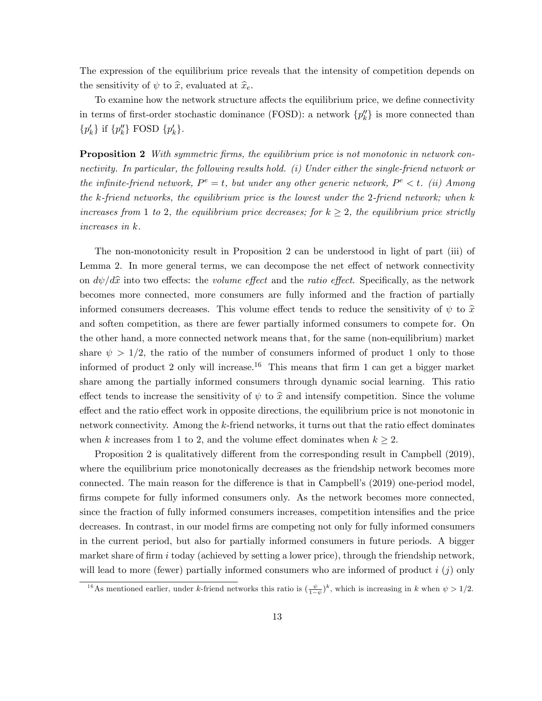The expression of the equilibrium price reveals that the intensity of competition depends on the sensitivity of  $\psi$  to  $\hat{x}$ , evaluated at  $\hat{x}_e$ .

To examine how the network structure affects the equilibrium price, we define connectivity in terms of first-order stochastic dominance (FOSD): a network  $\{p''_k\}$  is more connected than  $\{p'_k\}$  if  $\{p''_k\}$  FOSD  $\{p'_k\}$ .

**Proposition 2** With symmetric firms, the equilibrium price is not monotonic in network connectivity. In particular, the following results hold. (i) Under either the single-friend network or the infinite-friend network,  $P^e = t$ , but under any other generic network,  $P^e < t$ . (ii) Among the k-friend networks, the equilibrium price is the lowest under the 2-friend network; when k increases from 1 to 2, the equilibrium price decreases; for  $k \geq 2$ , the equilibrium price strictly increases in k.

The non-monotonicity result in Proposition 2 can be understood in light of part (iii) of Lemma 2. In more general terms, we can decompose the net effect of network connectivity on  $d\psi/d\hat{x}$  into two effects: the *volume effect* and the *ratio effect*. Specifically, as the network becomes more connected, more consumers are fully informed and the fraction of partially informed consumers decreases. This volume effect tends to reduce the sensitivity of  $\psi$  to  $\hat{x}$ and soften competition, as there are fewer partially informed consumers to compete for. On the other hand, a more connected network means that, for the same (non-equilibrium) market share  $\psi > 1/2$ , the ratio of the number of consumers informed of product 1 only to those informed of product 2 only will increase.<sup>16</sup> This means that firm 1 can get a bigger market share among the partially informed consumers through dynamic social learning. This ratio effect tends to increase the sensitivity of  $\psi$  to  $\hat{x}$  and intensify competition. Since the volume effect and the ratio effect work in opposite directions, the equilibrium price is not monotonic in network connectivity. Among the  $k$ -friend networks, it turns out that the ratio effect dominates when k increases from 1 to 2, and the volume effect dominates when  $k \geq 2$ .

Proposition 2 is qualitatively different from the corresponding result in Campbell (2019), where the equilibrium price monotonically decreases as the friendship network becomes more connected. The main reason for the difference is that in Campbell's  $(2019)$  one-period model, firms compete for fully informed consumers only. As the network becomes more connected, since the fraction of fully informed consumers increases, competition intensifies and the price decreases. In contrast, in our model firms are competing not only for fully informed consumers in the current period, but also for partially informed consumers in future periods. A bigger market share of firm i today (achieved by setting a lower price), through the friendship network, will lead to more (fewer) partially informed consumers who are informed of product  $i$  (j) only

<sup>&</sup>lt;sup>16</sup>As mentioned earlier, under k-friend networks this ratio is  $(\frac{\psi}{1-\psi})^k$ , which is increasing in k when  $\psi > 1/2$ .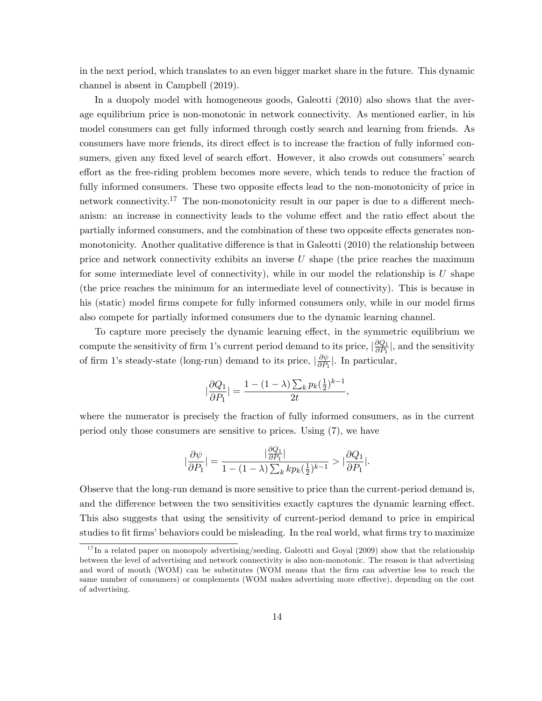in the next period, which translates to an even bigger market share in the future. This dynamic channel is absent in Campbell (2019).

In a duopoly model with homogeneous goods, Galeotti (2010) also shows that the average equilibrium price is non-monotonic in network connectivity. As mentioned earlier, in his model consumers can get fully informed through costly search and learning from friends. As consumers have more friends, its direct effect is to increase the fraction of fully informed consumers, given any fixed level of search effort. However, it also crowds out consumers' search effort as the free-riding problem becomes more severe, which tends to reduce the fraction of fully informed consumers. These two opposite effects lead to the non-monotonicity of price in network connectivity.<sup>17</sup> The non-monotonicity result in our paper is due to a different mechanism: an increase in connectivity leads to the volume effect and the ratio effect about the partially informed consumers, and the combination of these two opposite effects generates nonmonotonicity. Another qualitative difference is that in Galeotti (2010) the relationship between price and network connectivity exhibits an inverse U shape (the price reaches the maximum for some intermediate level of connectivity), while in our model the relationship is  $U$  shape (the price reaches the minimum for an intermediate level of connectivity). This is because in his (static) model firms compete for fully informed consumers only, while in our model firms also compete for partially informed consumers due to the dynamic learning channel.

To capture more precisely the dynamic learning effect, in the symmetric equilibrium we compute the sensitivity of firm 1's current period demand to its price,  $\left|\frac{\partial Q_1}{\partial P_1}\right|$  $\frac{\partial Q_1}{\partial P_1}$ , and the sensitivity of firm 1's steady-state (long-run) demand to its price,  $\frac{\partial \psi}{\partial P_1}$  $\frac{\partial \psi}{\partial P_1}$ . In particular,

$$
|\frac{\partial Q_1}{\partial P_1}| = \frac{1 - (1 - \lambda) \sum_k p_k(\frac{1}{2})^{k-1}}{2t},
$$

where the numerator is precisely the fraction of fully informed consumers, as in the current period only those consumers are sensitive to prices. Using (7), we have

$$
\big|\frac{\partial\psi}{\partial P_1}\big|=\frac{|\frac{\partial Q_1}{\partial P_1}|}{1-(1-\lambda)\sum_kkp_k(\frac{1}{2})^{k-1}}>\big|\frac{\partial Q_1}{\partial P_1}\big|.
$$

Observe that the long-run demand is more sensitive to price than the current-period demand is, and the difference between the two sensitivities exactly captures the dynamic learning effect. This also suggests that using the sensitivity of current-period demand to price in empirical studies to fit firms' behaviors could be misleading. In the real world, what firms try to maximize

 $17$  In a related paper on monopoly advertising/seeding, Galeotti and Goyal (2009) show that the relationship between the level of advertising and network connectivity is also non-monotonic. The reason is that advertising and word of mouth (WOM) can be substitutes (WOM means that the firm can advertise less to reach the same number of consumers) or complements (WOM makes advertising more effective), depending on the cost of advertising.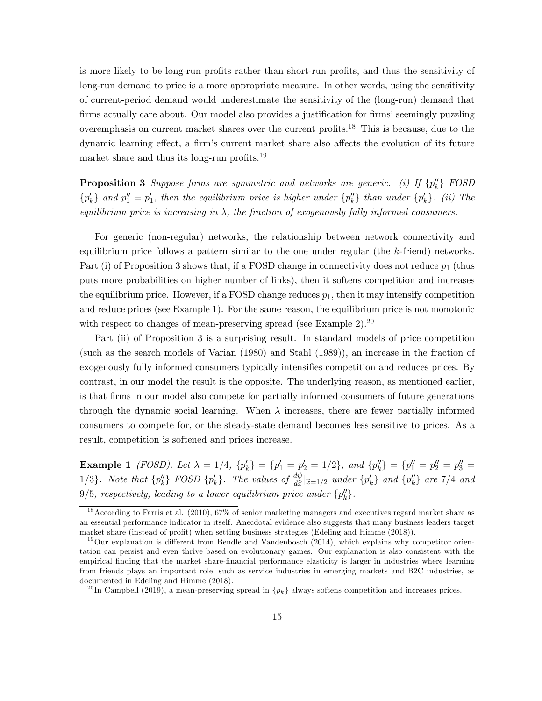is more likely to be long-run profits rather than short-run profits, and thus the sensitivity of long-run demand to price is a more appropriate measure. In other words, using the sensitivity of current-period demand would underestimate the sensitivity of the (long-run) demand that firms actually care about. Our model also provides a justification for firms' seemingly puzzling overemphasis on current market shares over the current profits.<sup>18</sup> This is because, due to the dynamic learning effect, a firm's current market share also affects the evolution of its future market share and thus its long-run profits.<sup>19</sup>

**Proposition 3** Suppose firms are symmetric and networks are generic. (i) If  $\{p_k^{\prime\prime}\}$  FOSD  $\{p'_k\}$  and  $p''_1 = p'_1$ , then the equilibrium price is higher under  $\{p''_k\}$  than under  $\{p'_k\}$ . (ii) The equilibrium price is increasing in  $\lambda$ , the fraction of exogenously fully informed consumers.

For generic (non-regular) networks, the relationship between network connectivity and equilibrium price follows a pattern similar to the one under regular (the  $k$ -friend) networks. Part (i) of Proposition 3 shows that, if a FOSD change in connectivity does not reduce  $p_1$  (thus puts more probabilities on higher number of links), then it softens competition and increases the equilibrium price. However, if a FOSD change reduces  $p_1$ , then it may intensify competition and reduce prices (see Example 1). For the same reason, the equilibrium price is not monotonic with respect to changes of mean-preserving spread (see Example 2).<sup>20</sup>

Part (ii) of Proposition 3 is a surprising result. In standard models of price competition (such as the search models of Varian (1980) and Stahl (1989)), an increase in the fraction of exogenously fully informed consumers typically intensifies competition and reduces prices. By contrast, in our model the result is the opposite. The underlying reason, as mentioned earlier, is that Örms in our model also compete for partially informed consumers of future generations through the dynamic social learning. When  $\lambda$  increases, there are fewer partially informed consumers to compete for, or the steady-state demand becomes less sensitive to prices. As a result, competition is softened and prices increase.

Example 1 *(FOSD)*. Let  $\lambda = 1/4$ ,  $\{p'_k\} = \{p'_1 = p'_2 = 1/2\}$ , and  $\{p''_k\} = \{p''_1 = p''_2 = p''_3 = 1/2\}$ 1/3}. Note that  $\{p_k''\}$  FOSD  $\{p_k'\}$ . The values of  $\frac{d\psi}{d\hat{x}}|_{\hat{x}=1/2}$  under  $\{p_k'\}$  and  $\{p_k''\}$  are 7/4 and  $9/5$ , respectively, leading to a lower equilibrium price under  $\{p''_k\}$ .

<sup>18</sup>According to Farris et al. (2010), 67% of senior marketing managers and executives regard market share as an essential performance indicator in itself. Anecdotal evidence also suggests that many business leaders target market share (instead of profit) when setting business strategies (Edeling and Himme (2018)).

 $19$ Our explanation is different from Bendle and Vandenbosch (2014), which explains why competitor orientation can persist and even thrive based on evolutionary games. Our explanation is also consistent with the empirical Önding that the market share-Önancial performance elasticity is larger in industries where learning from friends plays an important role, such as service industries in emerging markets and B2C industries, as documented in Edeling and Himme (2018).

<sup>&</sup>lt;sup>20</sup>In Campbell (2019), a mean-preserving spread in  $\{p_k\}$  always softens competition and increases prices.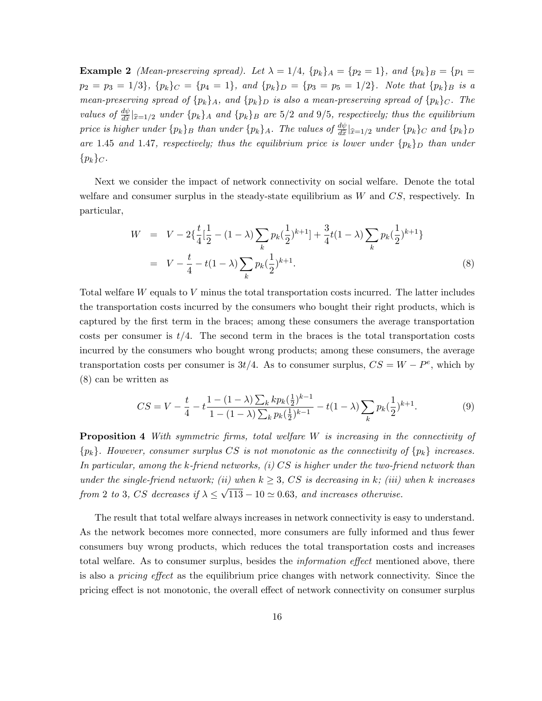Example 2 *(Mean-preserving spread).* Let  $\lambda = 1/4$ ,  $\{p_k\}_A = \{p_2 = 1\}$ , and  $\{p_k\}_B = \{p_1 = 1/4\}$  $p_2 = p_3 = 1/3$ ,  ${p_k}_{C} = {p_4 = 1}$ , and  ${p_k}_{D} = {p_3 = p_5 = 1/2}$ . Note that  ${p_k}_{B}$  is a mean-preserving spread of  $\{p_k\}_A$ , and  $\{p_k\}_D$  is also a mean-preserving spread of  $\{p_k\}_C$ . The values of  $\frac{d\psi}{d\hat{x}}|_{\hat{x}=1/2}$  under  $\{p_k\}_A$  and  $\{p_k\}_B$  are 5/2 and 9/5, respectively; thus the equilibrium price is higher under  $\{p_k\}_B$  than under  $\{p_k\}_A$ . The values of  $\frac{d\psi}{d\hat{x}}|_{\hat{x}=1/2}$  under  $\{p_k\}_C$  and  $\{p_k\}_D$ are 1.45 and 1.47, respectively; thus the equilibrium price is lower under  $\{p_k\}_D$  than under  $\{p_k\}_C$ .

Next we consider the impact of network connectivity on social welfare. Denote the total welfare and consumer surplus in the steady-state equilibrium as  $W$  and  $CS$ , respectively. In particular,

$$
W = V - 2\{\frac{t}{4}[\frac{1}{2} - (1 - \lambda)\sum_{k} p_k(\frac{1}{2})^{k+1}] + \frac{3}{4}t(1 - \lambda)\sum_{k} p_k(\frac{1}{2})^{k+1}\}
$$
  
= 
$$
V - \frac{t}{4} - t(1 - \lambda)\sum_{k} p_k(\frac{1}{2})^{k+1}.
$$
 (8)

Total welfare W equals to V minus the total transportation costs incurred. The latter includes the transportation costs incurred by the consumers who bought their right products, which is captured by the first term in the braces; among these consumers the average transportation costs per consumer is  $t/4$ . The second term in the braces is the total transportation costs incurred by the consumers who bought wrong products; among these consumers, the average transportation costs per consumer is  $3t/4$ . As to consumer surplus,  $CS = W - P^e$ , which by (8) can be written as

$$
CS = V - \frac{t}{4} - t \frac{1 - (1 - \lambda) \sum_{k} k p_{k} (\frac{1}{2})^{k-1}}{1 - (1 - \lambda) \sum_{k} p_{k} (\frac{1}{2})^{k-1}} - t(1 - \lambda) \sum_{k} p_{k} (\frac{1}{2})^{k+1}.
$$
 (9)

**Proposition 4** With symmetric firms, total welfare  $W$  is increasing in the connectivity of  ${p_k}$ . However, consumer surplus CS is not monotonic as the connectivity of  ${p_k}$  increases. In particular, among the k-friend networks,  $(i) CS$  is higher under the two-friend network than under the single-friend network; (ii) when  $k \geq 3$ , CS is decreasing in k; (iii) when k increases from 2 to 3, CS decreases if  $\lambda \leq \sqrt{113} - 10 \simeq 0.63$ , and increases otherwise.

The result that total welfare always increases in network connectivity is easy to understand. As the network becomes more connected, more consumers are fully informed and thus fewer consumers buy wrong products, which reduces the total transportation costs and increases total welfare. As to consumer surplus, besides the *information effect* mentioned above, there is also a *pricing effect* as the equilibrium price changes with network connectivity. Since the pricing effect is not monotonic, the overall effect of network connectivity on consumer surplus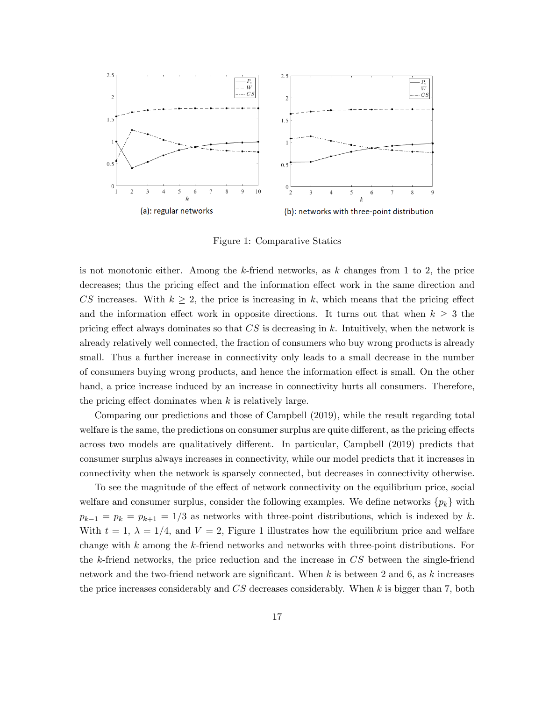

Figure 1: Comparative Statics

is not monotonic either. Among the k-friend networks, as  $k$  changes from 1 to 2, the price decreases; thus the pricing effect and the information effect work in the same direction and CS increases. With  $k \geq 2$ , the price is increasing in k, which means that the pricing effect and the information effect work in opposite directions. It turns out that when  $k \geq 3$  the pricing effect always dominates so that  $CS$  is decreasing in k. Intuitively, when the network is already relatively well connected, the fraction of consumers who buy wrong products is already small. Thus a further increase in connectivity only leads to a small decrease in the number of consumers buying wrong products, and hence the information effect is small. On the other hand, a price increase induced by an increase in connectivity hurts all consumers. Therefore, the pricing effect dominates when  $k$  is relatively large.

Comparing our predictions and those of Campbell (2019), while the result regarding total welfare is the same, the predictions on consumer surplus are quite different, as the pricing effects across two models are qualitatively different. In particular, Campbell (2019) predicts that consumer surplus always increases in connectivity, while our model predicts that it increases in connectivity when the network is sparsely connected, but decreases in connectivity otherwise.

To see the magnitude of the effect of network connectivity on the equilibrium price, social welfare and consumer surplus, consider the following examples. We define networks  $\{p_k\}$  with  $p_{k-1} = p_k = p_{k+1} = 1/3$  as networks with three-point distributions, which is indexed by k. With  $t = 1, \lambda = 1/4$ , and  $V = 2$ , Figure 1 illustrates how the equilibrium price and welfare change with  $k$  among the  $k$ -friend networks and networks with three-point distributions. For the k-friend networks, the price reduction and the increase in CS between the single-friend network and the two-friend network are significant. When k is between 2 and 6, as k increases the price increases considerably and  $CS$  decreases considerably. When k is bigger than 7, both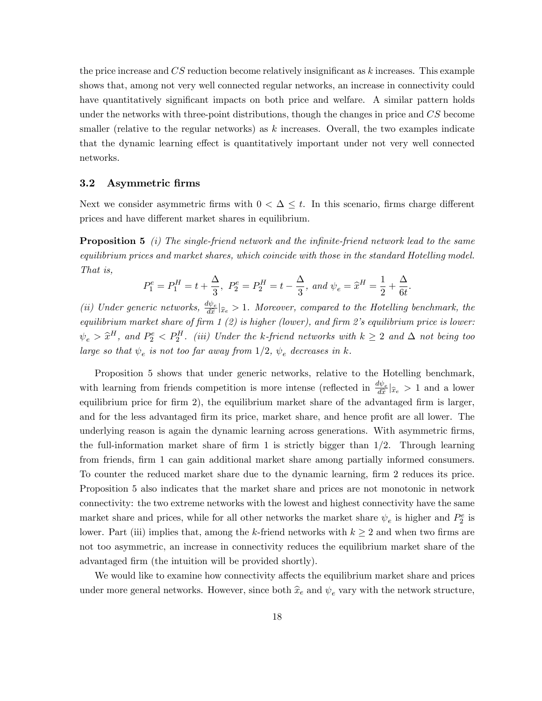the price increase and  $CS$  reduction become relatively insignificant as k increases. This example shows that, among not very well connected regular networks, an increase in connectivity could have quantitatively significant impacts on both price and welfare. A similar pattern holds under the networks with three-point distributions, though the changes in price and CS become smaller (relative to the regular networks) as  $k$  increases. Overall, the two examples indicate that the dynamic learning effect is quantitatively important under not very well connected networks.

### 3.2 Asymmetric Örms

Next we consider asymmetric firms with  $0 < \Delta \leq t$ . In this scenario, firms charge different prices and have different market shares in equilibrium.

**Proposition 5** (i) The single-friend network and the infinite-friend network lead to the same equilibrium prices and market shares, which coincide with those in the standard Hotelling model. That is,

$$
P_1^e = P_1^H = t + \frac{\Delta}{3}, P_2^e = P_2^H = t - \frac{\Delta}{3}, and \psi_e = \hat{x}^H = \frac{1}{2} + \frac{\Delta}{6t}.
$$

(ii) Under generic networks,  $\frac{d\psi_e}{d\hat{x}}|_{\hat{x}_e} > 1$ . Moreover, compared to the Hotelling benchmark, the equilibrium market share of firm  $1$  (2) is higher (lower), and firm 2's equilibrium price is lower:  $\psi_e > \hat{x}^H$ , and  $P_2^e < P_2^H$ . (iii) Under the k-friend networks with  $k \geq 2$  and  $\Delta$  not being too large so that  $\psi_e$  is not too far away from  $1/2$ ,  $\psi_e$  decreases in k.

Proposition 5 shows that under generic networks, relative to the Hotelling benchmark, with learning from friends competition is more intense (reflected in  $\frac{d\psi_e}{d\hat{x}}|_{\hat{x}_e} > 1$  and a lower equilibrium price for firm 2), the equilibrium market share of the advantaged firm is larger, and for the less advantaged firm its price, market share, and hence profit are all lower. The underlying reason is again the dynamic learning across generations. With asymmetric Örms, the full-information market share of firm 1 is strictly bigger than  $1/2$ . Through learning from friends, firm 1 can gain additional market share among partially informed consumers. To counter the reduced market share due to the dynamic learning, firm 2 reduces its price. Proposition 5 also indicates that the market share and prices are not monotonic in network connectivity: the two extreme networks with the lowest and highest connectivity have the same market share and prices, while for all other networks the market share  $\psi_e$  is higher and  $P_2^e$  is lower. Part (iii) implies that, among the k-friend networks with  $k \geq 2$  and when two firms are not too asymmetric, an increase in connectivity reduces the equilibrium market share of the advantaged firm (the intuition will be provided shortly).

We would like to examine how connectivity affects the equilibrium market share and prices under more general networks. However, since both  $\hat{x}_e$  and  $\psi_e$  vary with the network structure,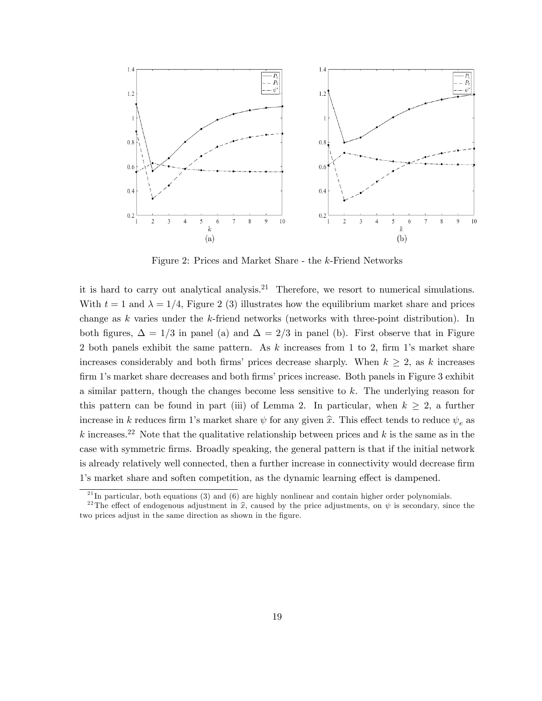

Figure 2: Prices and Market Share - the k-Friend Networks

it is hard to carry out analytical analysis.<sup>21</sup> Therefore, we resort to numerical simulations. With  $t = 1$  and  $\lambda = 1/4$ , Figure 2 (3) illustrates how the equilibrium market share and prices change as  $k$  varies under the  $k$ -friend networks (networks with three-point distribution). In both figures,  $\Delta = 1/3$  in panel (a) and  $\Delta = 2/3$  in panel (b). First observe that in Figure 2 both panels exhibit the same pattern. As  $k$  increases from 1 to 2, firm 1's market share increases considerably and both firms' prices decrease sharply. When  $k \geq 2$ , as k increases firm 1's market share decreases and both firms' prices increase. Both panels in Figure 3 exhibit a similar pattern, though the changes become less sensitive to k. The underlying reason for this pattern can be found in part (iii) of Lemma 2. In particular, when  $k \geq 2$ , a further increase in k reduces firm 1's market share  $\psi$  for any given  $\hat{x}$ . This effect tends to reduce  $\psi_e$  as k increases.<sup>22</sup> Note that the qualitative relationship between prices and k is the same as in the case with symmetric Örms. Broadly speaking, the general pattern is that if the initial network is already relatively well connected, then a further increase in connectivity would decrease firm 1's market share and soften competition, as the dynamic learning effect is dampened.

 $^{21}$ In particular, both equations (3) and (6) are highly nonlinear and contain higher order polynomials.

<sup>&</sup>lt;sup>22</sup>The effect of endogenous adjustment in  $\hat{x}$ , caused by the price adjustments, on  $\psi$  is secondary, since the two prices adjust in the same direction as shown in the figure.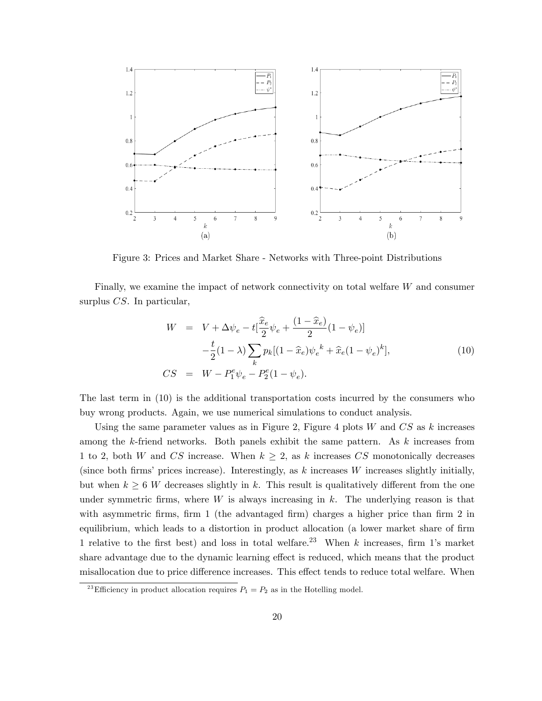

Figure 3: Prices and Market Share - Networks with Three-point Distributions

Finally, we examine the impact of network connectivity on total welfare W and consumer surplus CS. In particular,

$$
W = V + \Delta \psi_e - t \left[ \frac{\hat{x}_e}{2} \psi_e + \frac{(1 - \hat{x}_e)}{2} (1 - \psi_e) \right]
$$
  

$$
- \frac{t}{2} (1 - \lambda) \sum_k p_k [(1 - \hat{x}_e) \psi_e^k + \hat{x}_e (1 - \psi_e)^k],
$$
  

$$
CS = W - P_1^e \psi_e - P_2^e (1 - \psi_e).
$$
 (10)

The last term in (10) is the additional transportation costs incurred by the consumers who buy wrong products. Again, we use numerical simulations to conduct analysis.

Using the same parameter values as in Figure 2, Figure 4 plots  $W$  and  $CS$  as  $k$  increases among the  $k$ -friend networks. Both panels exhibit the same pattern. As  $k$  increases from 1 to 2, both W and CS increase. When  $k \geq 2$ , as k increases CS monotonically decreases (since both firms' prices increase). Interestingly, as  $k$  increases W increases slightly initially, but when  $k \geq 6$  W decreases slightly in k. This result is qualitatively different from the one under symmetric firms, where W is always increasing in k. The underlying reason is that with asymmetric firms, firm 1 (the advantaged firm) charges a higher price than firm  $2$  in equilibrium, which leads to a distortion in product allocation (a lower market share of firm 1 relative to the first best) and loss in total welfare.<sup>23</sup> When k increases, firm 1's market share advantage due to the dynamic learning effect is reduced, which means that the product misallocation due to price difference increases. This effect tends to reduce total welfare. When

<sup>&</sup>lt;sup>23</sup>Efficiency in product allocation requires  $P_1 = P_2$  as in the Hotelling model.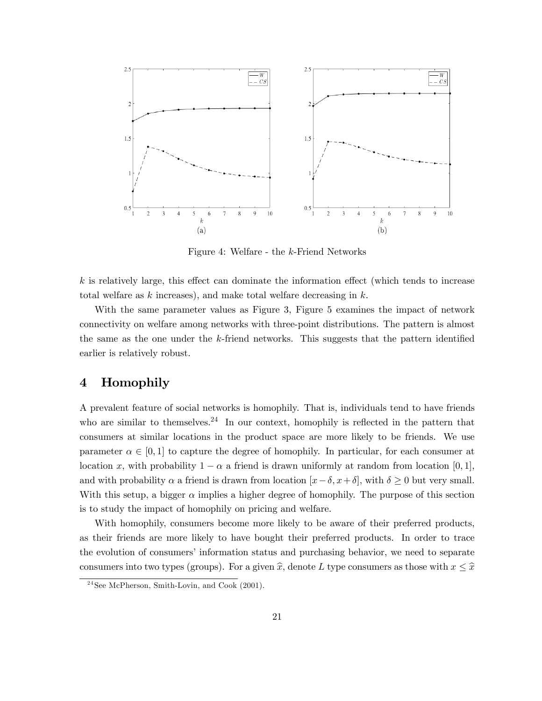

Figure 4: Welfare - the k-Friend Networks

 $k$  is relatively large, this effect can dominate the information effect (which tends to increase total welfare as  $k$  increases), and make total welfare decreasing in  $k$ .

With the same parameter values as Figure 3, Figure 5 examines the impact of network connectivity on welfare among networks with three-point distributions. The pattern is almost the same as the one under the  $k$ -friend networks. This suggests that the pattern identified earlier is relatively robust.

# 4 Homophily

A prevalent feature of social networks is homophily. That is, individuals tend to have friends who are similar to themselves.<sup>24</sup> In our context, homophily is reflected in the pattern that consumers at similar locations in the product space are more likely to be friends. We use parameter  $\alpha \in [0, 1]$  to capture the degree of homophily. In particular, for each consumer at location x, with probability  $1 - \alpha$  a friend is drawn uniformly at random from location [0, 1], and with probability  $\alpha$  a friend is drawn from location  $[x-\delta, x+\delta]$ , with  $\delta \geq 0$  but very small. With this setup, a bigger  $\alpha$  implies a higher degree of homophily. The purpose of this section is to study the impact of homophily on pricing and welfare.

With homophily, consumers become more likely to be aware of their preferred products, as their friends are more likely to have bought their preferred products. In order to trace the evolution of consumers' information status and purchasing behavior, we need to separate consumers into two types (groups). For a given  $\hat{x}$ , denote L type consumers as those with  $x \leq \hat{x}$ 

 $24$ See McPherson, Smith-Lovin, and Cook (2001).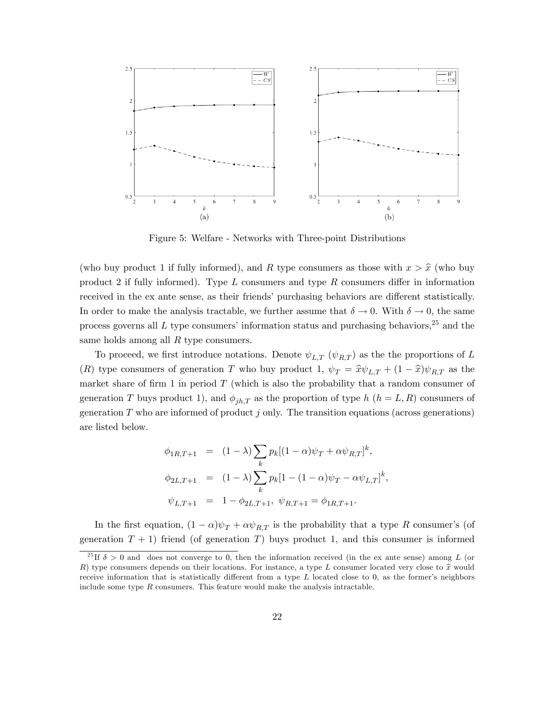

Figure 5: Welfare - Networks with Three-point Distributions

(who buy product 1 if fully informed), and R type consumers as those with  $x > \hat{x}$  (who buy product 2 if fully informed). Type  $L$  consumers and type  $R$  consumers differ in information received in the ex ante sense, as their friends' purchasing behaviors are different statistically. In order to make the analysis tractable, we further assume that  $\delta \to 0$ . With  $\delta \to 0$ , the same process governs all  $L$  type consumers' information status and purchasing behaviors,<sup>25</sup> and the same holds among all  $R$  type consumers.

To proceed, we first introduce notations. Denote  $\psi_{LT}$  ( $\psi_{RT}$ ) as the the proportions of L (R) type consumers of generation T who buy product 1,  $\psi_T = \hat{x}\psi_{L,T} + (1 - \hat{x})\psi_{R,T}$  as the market share of firm 1 in period  $T$  (which is also the probability that a random consumer of generation T buys product 1), and  $\phi_{ih,T}$  as the proportion of type h  $(h = L, R)$  consumers of generation  $T$  who are informed of product  $j$  only. The transition equations (across generations) are listed below.

$$
\phi_{1R,T+1} = (1 - \lambda) \sum_{k} p_k [(1 - \alpha)\psi_T + \alpha \psi_{R,T}]^k,
$$
  

$$
\phi_{2L,T+1} = (1 - \lambda) \sum_{k} p_k [1 - (1 - \alpha)\psi_T - \alpha \psi_{L,T}]^k,
$$
  

$$
\psi_{L,T+1} = 1 - \phi_{2L,T+1}, \psi_{R,T+1} = \phi_{1R,T+1}.
$$

In the first equation,  $(1 - \alpha)\psi_T + \alpha \psi_{RT}$  is the probability that a type R consumer's (of generation  $T + 1$ ) friend (of generation T) buys product 1, and this consumer is informed

<sup>&</sup>lt;sup>25</sup>If  $\delta > 0$  and does not converge to 0, then the information received (in the ex ante sense) among L (or R) type consumers depends on their locations. For instance, a type L consumer located very close to  $\hat{x}$  would receive information that is statistically different from a type  $L$  located close to 0, as the former's neighbors include some type  $R$  consumers. This feature would make the analysis intractable.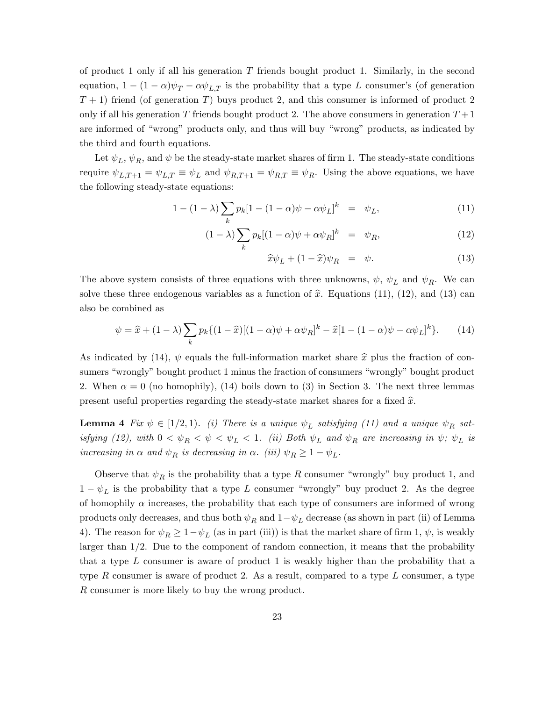of product 1 only if all his generation  $T$  friends bought product 1. Similarly, in the second equation,  $1 - (1 - \alpha)\psi_T - \alpha \psi_{LT}$  is the probability that a type L consumer's (of generation  $T + 1$ ) friend (of generation T) buys product 2, and this consumer is informed of product 2 only if all his generation T friends bought product 2. The above consumers in generation  $T+1$ are informed of "wrong" products only, and thus will buy "wrong" products, as indicated by the third and fourth equations.

Let  $\psi_L$ ,  $\psi_R$ , and  $\psi$  be the steady-state market shares of firm 1. The steady-state conditions require  $\psi_{L,T+1} = \psi_{L,T} \equiv \psi_L$  and  $\psi_{R,T+1} = \psi_{R,T} \equiv \psi_R$ . Using the above equations, we have the following steady-state equations:

$$
1 - (1 - \lambda) \sum_{k} p_k [1 - (1 - \alpha)\psi - \alpha \psi_L]^k = \psi_L, \tag{11}
$$

$$
(1 - \lambda) \sum_{k} p_k [(1 - \alpha)\psi + \alpha \psi_R]^k = \psi_R, \qquad (12)
$$

$$
\widehat{x}\psi_L + (1-\widehat{x})\psi_R = \psi. \tag{13}
$$

The above system consists of three equations with three unknowns,  $\psi$ ,  $\psi_L$  and  $\psi_R$ . We can solve these three endogenous variables as a function of  $\hat{x}$ . Equations (11), (12), and (13) can also be combined as

$$
\psi = \hat{x} + (1 - \lambda) \sum_{k} p_k \{ (1 - \hat{x})[(1 - \alpha)\psi + \alpha\psi_R]^k - \hat{x}[1 - (1 - \alpha)\psi - \alpha\psi_L]^k \}. \tag{14}
$$

As indicated by (14),  $\psi$  equals the full-information market share  $\hat{x}$  plus the fraction of consumers "wrongly" bought product 1 minus the fraction of consumers "wrongly" bought product 2. When  $\alpha = 0$  (no homophily), (14) boils down to (3) in Section 3. The next three lemmas present useful properties regarding the steady-state market shares for a fixed  $\hat{x}$ .

**Lemma 4** Fix  $\psi \in [1/2, 1]$ . (i) There is a unique  $\psi_L$  satisfying (11) and a unique  $\psi_R$  satisfying (12), with  $0 < \psi_R < \psi < \psi_L < 1$ . (ii) Both  $\psi_L$  and  $\psi_R$  are increasing in  $\psi$ ;  $\psi_L$  is increasing in  $\alpha$  and  $\psi_R$  is decreasing in  $\alpha$ . (iii)  $\psi_R \geq 1 - \psi_L$ .

Observe that  $\psi_R$  is the probability that a type R consumer "wrongly" buy product 1, and  $1 - \psi_L$  is the probability that a type L consumer "wrongly" buy product 2. As the degree of homophily  $\alpha$  increases, the probability that each type of consumers are informed of wrong products only decreases, and thus both  $\psi_R$  and  $1 - \psi_L$  decrease (as shown in part (ii) of Lemma 4). The reason for  $\psi_R \ge 1 - \psi_L$  (as in part (iii)) is that the market share of firm 1,  $\psi$ , is weakly larger than  $1/2$ . Due to the component of random connection, it means that the probability that a type  $L$  consumer is aware of product 1 is weakly higher than the probability that a type R consumer is aware of product 2. As a result, compared to a type  $L$  consumer, a type R consumer is more likely to buy the wrong product.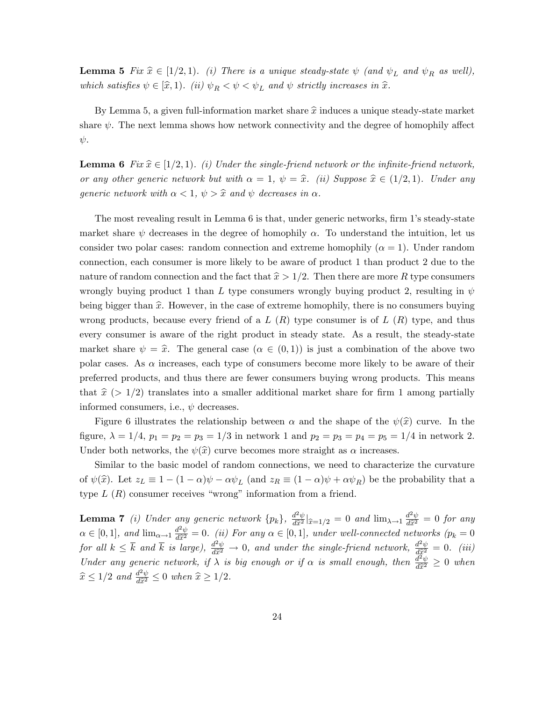**Lemma 5** Fix  $\hat{x} \in [1/2, 1)$ . (i) There is a unique steady-state  $\psi$  (and  $\psi_L$  and  $\psi_R$  as well), which satisfies  $\psi \in [\hat{x}, 1]$ . (ii)  $\psi_R < \psi < \psi_L$  and  $\psi$  strictly increases in  $\hat{x}$ .

By Lemma 5, a given full-information market share  $\hat{x}$  induces a unique steady-state market share  $\psi$ . The next lemma shows how network connectivity and the degree of homophily affect  $\psi$ .

**Lemma 6** Fix  $\hat{x} \in [1/2, 1]$ . (i) Under the single-friend network or the infinite-friend network, or any other generic network but with  $\alpha = 1, \psi = \hat{x}$ . (ii) Suppose  $\hat{x} \in (1/2, 1)$ . Under any generic network with  $\alpha < 1$ ,  $\psi > \hat{x}$  and  $\psi$  decreases in  $\alpha$ .

The most revealing result in Lemma 6 is that, under generic networks, firm 1's steady-state market share  $\psi$  decreases in the degree of homophily  $\alpha$ . To understand the intuition, let us consider two polar cases: random connection and extreme homophily  $(\alpha = 1)$ . Under random connection, each consumer is more likely to be aware of product 1 than product 2 due to the nature of random connection and the fact that  $\hat{x} > 1/2$ . Then there are more R type consumers wrongly buying product 1 than L type consumers wrongly buying product 2, resulting in  $\psi$ being bigger than  $\hat{x}$ . However, in the case of extreme homophily, there is no consumers buying wrong products, because every friend of a  $L(R)$  type consumer is of  $L(R)$  type, and thus every consumer is aware of the right product in steady state. As a result, the steady-state market share  $\psi = \hat{x}$ . The general case  $(\alpha \in (0, 1))$  is just a combination of the above two polar cases. As  $\alpha$  increases, each type of consumers become more likely to be aware of their preferred products, and thus there are fewer consumers buying wrong products. This means that  $\hat{x}$  (> 1/2) translates into a smaller additional market share for firm 1 among partially informed consumers, i.e.,  $\psi$  decreases.

Figure 6 illustrates the relationship between  $\alpha$  and the shape of the  $\psi(\hat{x})$  curve. In the figure,  $\lambda = 1/4$ ,  $p_1 = p_2 = p_3 = 1/3$  in network 1 and  $p_2 = p_3 = p_4 = p_5 = 1/4$  in network 2. Under both networks, the  $\psi(\hat{x})$  curve becomes more straight as  $\alpha$  increases.

Similar to the basic model of random connections, we need to characterize the curvature of  $\psi(\hat{x})$ . Let  $z_L \equiv 1 - (1 - \alpha)\psi - \alpha\psi_L$  (and  $z_R \equiv (1 - \alpha)\psi + \alpha\psi_R$ ) be the probability that a type  $L(R)$  consumer receives "wrong" information from a friend.

**Lemma 7** (i) Under any generic network  $\{p_k\}$ ,  $\frac{d^2\psi}{d\hat{x}^2}\vert_{\hat{x}=1/2} = 0$  and  $\lim_{\lambda\to 1} \frac{d^2\psi}{d\hat{x}^2} = 0$  for any  $\alpha \in [0, 1]$ , and  $\lim_{\alpha \to 1} \frac{d^2\psi}{d\hat{x}^2} = 0$ . (ii) For any  $\alpha \in [0, 1]$ , under well-connected networks  $(p_k = 0)$ for all  $k \leq \overline{k}$  and  $\overline{k}$  is large),  $\frac{d^2\psi}{d\hat{x}^2} \to 0$ , and under the single-friend network,  $\frac{d^2\psi}{d\hat{x}^2} = 0$ . (iii) Under any generic network, if  $\lambda$  is big enough or if  $\alpha$  is small enough, then  $\frac{d^2\psi}{d\hat{x}^2} \geq 0$  when  $\widehat{x} \leq 1/2$  and  $\frac{d^2\psi}{d\widehat{x}^2} \leq 0$  when  $\widehat{x} \geq 1/2$ .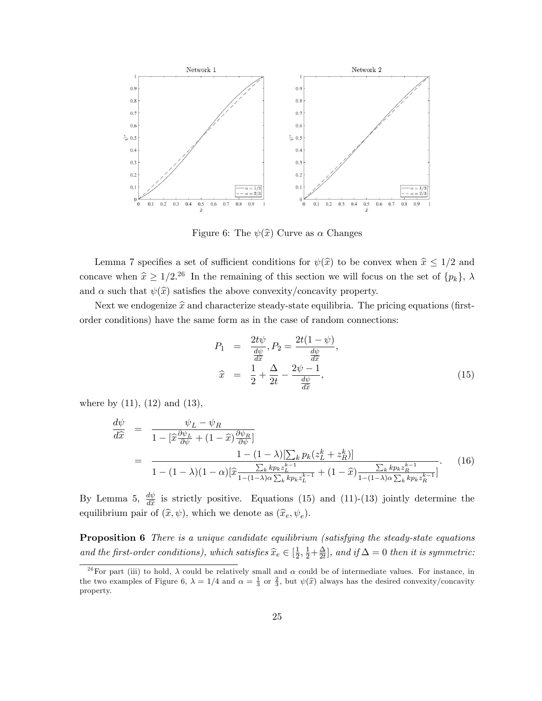

Figure 6: The  $\psi(\hat{x})$  Curve as  $\alpha$  Changes

Lemma 7 specifies a set of sufficient conditions for  $\psi(\hat{x})$  to be convex when  $\hat{x} \leq 1/2$  and concave when  $\hat{x} \ge 1/2^{26}$  In the remaining of this section we will focus on the set of  $\{p_k\}$ ,  $\lambda$ and  $\alpha$  such that  $\psi(\hat{x})$  satisfies the above convexity/concavity property.

Next we endogenize  $\hat{x}$  and characterize steady-state equilibria. The pricing equations (firstorder conditions) have the same form as in the case of random connections:

$$
P_1 = \frac{2t\psi}{\frac{d\psi}{d\hat{x}}}, P_2 = \frac{2t(1-\psi)}{\frac{d\psi}{d\hat{x}}},
$$
  

$$
\hat{x} = \frac{1}{2} + \frac{\Delta}{2t} - \frac{2\psi - 1}{\frac{d\psi}{d\hat{x}}},
$$
 (15)

where by  $(11)$ ,  $(12)$  and  $(13)$ ,

$$
\frac{d\psi}{d\hat{x}} = \frac{\psi_L - \psi_R}{1 - [\hat{x}\frac{\partial\psi_L}{\partial\psi} + (1 - \hat{x})\frac{\partial\psi_R}{\partial\psi}]} \\
= \frac{1 - (1 - \lambda)[\sum_k p_k(z_L^k + z_R^k)]}{1 - (1 - \lambda)(1 - \alpha)[\hat{x}\frac{\sum_k kp_kz_L^{k-1}}{1 - (1 - \lambda)\alpha\sum_k kp_kz_L^{k-1}} + (1 - \hat{x})\frac{\sum_k kp_kz_R^{k-1}}{1 - (1 - \lambda)\alpha\sum_k kp_kz_R^{k-1}}]}.
$$
\n(16)

By Lemma 5,  $\frac{d\psi}{d\hat{x}}$  is strictly positive. Equations (15) and (11)-(13) jointly determine the equilibrium pair of  $(\hat{x}, \psi)$ , which we denote as  $(\hat{x}_e, \psi_e)$ .

**Proposition 6** There is a unique candidate equilibrium (satisfying the steady-state equations and the first-order conditions), which satisfies  $\hat{x}_e \in [\frac{1}{2}]$  $\frac{1}{2}, \frac{1}{2} + \frac{\Delta}{2t}$  $\frac{\Delta}{2t}$ , and if  $\Delta = 0$  then it is symmetric:

<sup>&</sup>lt;sup>26</sup>For part (iii) to hold,  $\lambda$  could be relatively small and  $\alpha$  could be of intermediate values. For instance, in the two examples of Figure 6,  $\lambda = 1/4$  and  $\alpha = \frac{1}{3}$  or  $\frac{2}{3}$ , but  $\psi(\hat{x})$  always has the desired convexity/concavity property.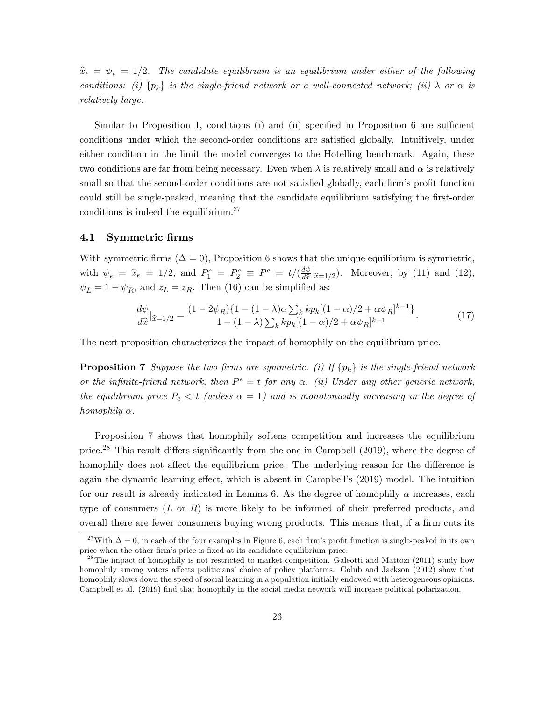$\hat{x}_e = \psi_e = 1/2$ . The candidate equilibrium is an equilibrium under either of the following conditions: (i)  $\{p_k\}$  is the single-friend network or a well-connected network; (ii)  $\lambda$  or  $\alpha$  is relatively large.

Similar to Proposition 1, conditions (i) and (ii) specified in Proposition 6 are sufficient conditions under which the second-order conditions are satisfied globally. Intuitively, under either condition in the limit the model converges to the Hotelling benchmark. Again, these two conditions are far from being necessary. Even when  $\lambda$  is relatively small and  $\alpha$  is relatively small so that the second-order conditions are not satisfied globally, each firm's profit function could still be single-peaked, meaning that the candidate equilibrium satisfying the first-order conditions is indeed the equilibrium.<sup>27</sup>

### 4.1 Symmetric firms

With symmetric firms  $(\Delta = 0)$ , Proposition 6 shows that the unique equilibrium is symmetric, with  $\psi_e = \hat{x}_e = 1/2$ , and  $P_1^e = P_2^e \equiv P^e = t/(\frac{d\psi}{d\hat{x}})$  $\frac{dv}{d\tilde{x}}|_{\tilde{x}=1/2}$ ). Moreover, by (11) and (12),  $\psi_L = 1 - \psi_R$ , and  $z_L = z_R$ . Then (16) can be simplified as:

$$
\frac{d\psi}{d\hat{x}}|_{\hat{x}=1/2} = \frac{(1-2\psi_R)\{1-(1-\lambda)\alpha\sum_k k p_k[(1-\alpha)/2+\alpha\psi_R]^{k-1}\}}{1-(1-\lambda)\sum_k k p_k[(1-\alpha)/2+\alpha\psi_R]^{k-1}}.\tag{17}
$$

The next proposition characterizes the impact of homophily on the equilibrium price.

**Proposition 7** Suppose the two firms are symmetric. (i) If  $\{p_k\}$  is the single-friend network or the infinite-friend network, then  $P^e = t$  for any  $\alpha$ . (ii) Under any other generic network, the equilibrium price  $P_e < t$  (unless  $\alpha = 1$ ) and is monotonically increasing in the degree of homophily  $\alpha$ .

Proposition 7 shows that homophily softens competition and increases the equilibrium price.<sup>28</sup> This result differs significantly from the one in Campbell  $(2019)$ , where the degree of homophily does not affect the equilibrium price. The underlying reason for the difference is again the dynamic learning effect, which is absent in Campbell's (2019) model. The intuition for our result is already indicated in Lemma 6. As the degree of homophily  $\alpha$  increases, each type of consumers  $(L \text{ or } R)$  is more likely to be informed of their preferred products, and overall there are fewer consumers buying wrong products. This means that, if a firm cuts its

<sup>&</sup>lt;sup>27</sup>With  $\Delta = 0$ , in each of the four examples in Figure 6, each firm's profit function is single-peaked in its own price when the other firm's price is fixed at its candidate equilibrium price.

<sup>&</sup>lt;sup>28</sup>The impact of homophily is not restricted to market competition. Galeotti and Mattozi (2011) study how homophily among voters affects politicians' choice of policy platforms. Golub and Jackson (2012) show that homophily slows down the speed of social learning in a population initially endowed with heterogeneous opinions. Campbell et al. (2019) Önd that homophily in the social media network will increase political polarization.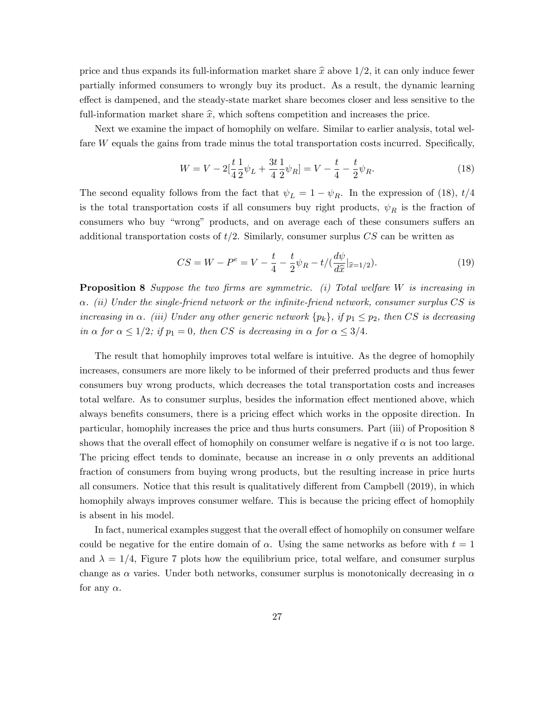price and thus expands its full-information market share  $\hat{x}$  above  $1/2$ , it can only induce fewer partially informed consumers to wrongly buy its product. As a result, the dynamic learning effect is dampened, and the steady-state market share becomes closer and less sensitive to the full-information market share  $\hat{x}$ , which softens competition and increases the price.

Next we examine the impact of homophily on welfare. Similar to earlier analysis, total welfare  $W$  equals the gains from trade minus the total transportation costs incurred. Specifically,

$$
W = V - 2\left[\frac{t}{4}\frac{1}{2}\psi_L + \frac{3t}{4}\frac{1}{2}\psi_R\right] = V - \frac{t}{4} - \frac{t}{2}\psi_R.
$$
\n(18)

The second equality follows from the fact that  $\psi_L = 1 - \psi_R$ . In the expression of (18),  $t/4$ is the total transportation costs if all consumers buy right products,  $\psi_R$  is the fraction of consumers who buy "wrong" products, and on average each of these consumers suffers an additional transportation costs of  $t/2$ . Similarly, consumer surplus CS can be written as

$$
CS = W - P^{e} = V - \frac{t}{4} - \frac{t}{2}\psi_{R} - t/(\frac{d\psi}{d\hat{x}}|_{\hat{x}=1/2}).
$$
\n(19)

**Proposition 8** Suppose the two firms are symmetric. (i) Total welfare W is increasing in  $\alpha$ . (ii) Under the single-friend network or the infinite-friend network, consumer surplus CS is increasing in  $\alpha$ . (iii) Under any other generic network  $\{p_k\}$ , if  $p_1 \leq p_2$ , then CS is decreasing in  $\alpha$  for  $\alpha \leq 1/2$ ; if  $p_1 = 0$ , then CS is decreasing in  $\alpha$  for  $\alpha \leq 3/4$ .

The result that homophily improves total welfare is intuitive. As the degree of homophily increases, consumers are more likely to be informed of their preferred products and thus fewer consumers buy wrong products, which decreases the total transportation costs and increases total welfare. As to consumer surplus, besides the information effect mentioned above, which always benefits consumers, there is a pricing effect which works in the opposite direction. In particular, homophily increases the price and thus hurts consumers. Part (iii) of Proposition 8 shows that the overall effect of homophily on consumer welfare is negative if  $\alpha$  is not too large. The pricing effect tends to dominate, because an increase in  $\alpha$  only prevents an additional fraction of consumers from buying wrong products, but the resulting increase in price hurts all consumers. Notice that this result is qualitatively different from Campbell (2019), in which homophily always improves consumer welfare. This is because the pricing effect of homophily is absent in his model.

In fact, numerical examples suggest that the overall effect of homophily on consumer welfare could be negative for the entire domain of  $\alpha$ . Using the same networks as before with  $t = 1$ and  $\lambda = 1/4$ , Figure 7 plots how the equilibrium price, total welfare, and consumer surplus change as  $\alpha$  varies. Under both networks, consumer surplus is monotonically decreasing in  $\alpha$ for any  $\alpha$ .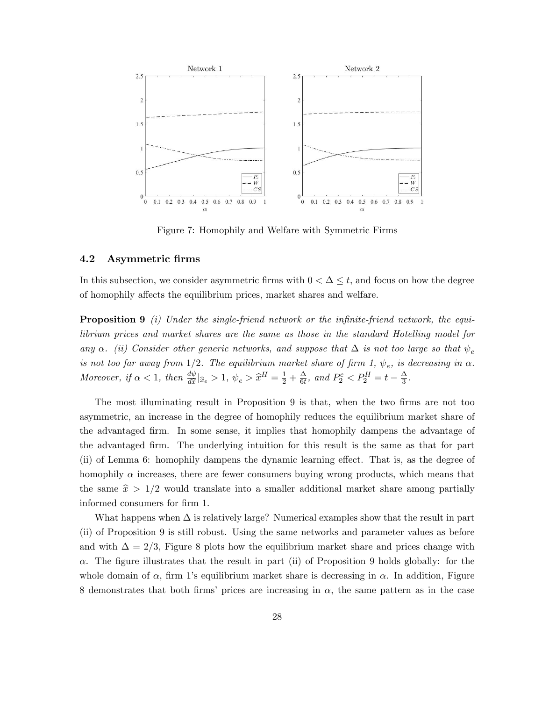

Figure 7: Homophily and Welfare with Symmetric Firms

## 4.2 Asymmetric Örms

In this subsection, we consider asymmetric firms with  $0 < \Delta \leq t$ , and focus on how the degree of homophily affects the equilibrium prices, market shares and welfare.

**Proposition 9** (i) Under the single-friend network or the infinite-friend network, the equilibrium prices and market shares are the same as those in the standard Hotelling model for any  $\alpha$ . (ii) Consider other generic networks, and suppose that  $\Delta$  is not too large so that  $\psi_e$ is not too far away from 1/2. The equilibrium market share of firm 1,  $\psi_e$ , is decreasing in  $\alpha$ . Moreover, if  $\alpha < 1$ , then  $\frac{d\psi}{d\hat{x}}|_{\hat{x}_e} > 1$ ,  $\psi_e > \hat{x}^H = \frac{1}{2} + \frac{\Delta}{6t}$  $\frac{\Delta}{6t}$ , and  $P_2^e < P_2^H = t - \frac{\Delta}{3}$  $\frac{\Delta}{3}$  .

The most illuminating result in Proposition 9 is that, when the two Örms are not too asymmetric, an increase in the degree of homophily reduces the equilibrium market share of the advantaged Örm. In some sense, it implies that homophily dampens the advantage of the advantaged Örm. The underlying intuition for this result is the same as that for part (ii) of Lemma 6: homophily dampens the dynamic learning effect. That is, as the degree of homophily  $\alpha$  increases, there are fewer consumers buying wrong products, which means that the same  $\hat{x} > 1/2$  would translate into a smaller additional market share among partially informed consumers for firm 1.

What happens when  $\Delta$  is relatively large? Numerical examples show that the result in part (ii) of Proposition 9 is still robust. Using the same networks and parameter values as before and with  $\Delta = 2/3$ , Figure 8 plots how the equilibrium market share and prices change with  $\alpha$ . The figure illustrates that the result in part (ii) of Proposition 9 holds globally: for the whole domain of  $\alpha$ , firm 1's equilibrium market share is decreasing in  $\alpha$ . In addition, Figure 8 demonstrates that both firms' prices are increasing in  $\alpha$ , the same pattern as in the case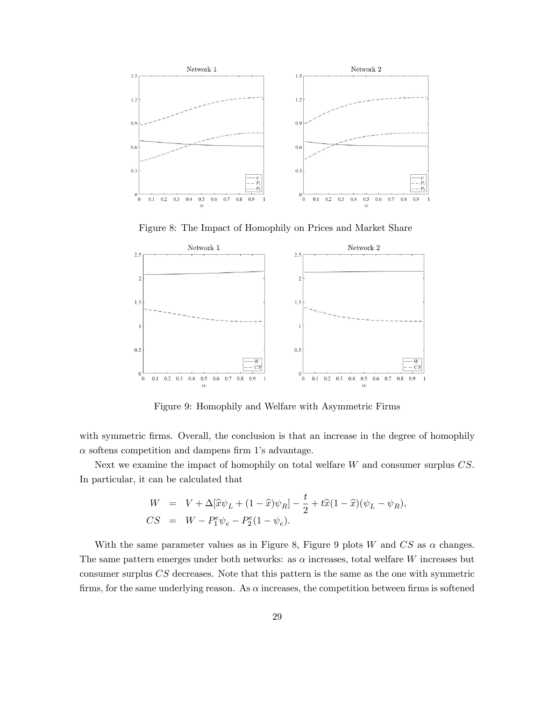

Figure 8: The Impact of Homophily on Prices and Market Share



Figure 9: Homophily and Welfare with Asymmetric Firms

with symmetric firms. Overall, the conclusion is that an increase in the degree of homophily  $\alpha$  softens competition and dampens firm 1's advantage.

Next we examine the impact of homophily on total welfare W and consumer surplus CS. In particular, it can be calculated that

$$
W = V + \Delta[\hat{x}\psi_L + (1 - \hat{x})\psi_R] - \frac{t}{2} + t\hat{x}(1 - \hat{x})(\psi_L - \psi_R),
$$
  
\n
$$
CS = W - P_1^e \psi_e - P_2^e (1 - \psi_e).
$$

With the same parameter values as in Figure 8, Figure 9 plots W and  $CS$  as  $\alpha$  changes. The same pattern emerges under both networks: as  $\alpha$  increases, total welfare W increases but consumer surplus CS decreases. Note that this pattern is the same as the one with symmetric firms, for the same underlying reason. As  $\alpha$  increases, the competition between firms is softened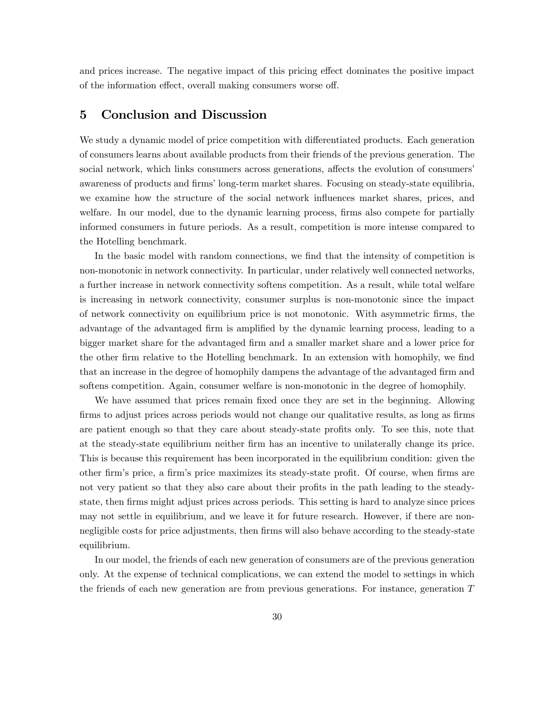and prices increase. The negative impact of this pricing effect dominates the positive impact of the information effect, overall making consumers worse off.

# 5 Conclusion and Discussion

We study a dynamic model of price competition with differentiated products. Each generation of consumers learns about available products from their friends of the previous generation. The social network, which links consumers across generations, affects the evolution of consumers' awareness of products and firms' long-term market shares. Focusing on steady-state equilibria, we examine how the structure of the social network influences market shares, prices, and welfare. In our model, due to the dynamic learning process, firms also compete for partially informed consumers in future periods. As a result, competition is more intense compared to the Hotelling benchmark.

In the basic model with random connections, we find that the intensity of competition is non-monotonic in network connectivity. In particular, under relatively well connected networks, a further increase in network connectivity softens competition. As a result, while total welfare is increasing in network connectivity, consumer surplus is non-monotonic since the impact of network connectivity on equilibrium price is not monotonic. With asymmetric Örms, the advantage of the advantaged firm is amplified by the dynamic learning process, leading to a bigger market share for the advantaged firm and a smaller market share and a lower price for the other firm relative to the Hotelling benchmark. In an extension with homophily, we find that an increase in the degree of homophily dampens the advantage of the advantaged firm and softens competition. Again, consumer welfare is non-monotonic in the degree of homophily.

We have assumed that prices remain fixed once they are set in the beginning. Allowing firms to adjust prices across periods would not change our qualitative results, as long as firms are patient enough so that they care about steady-state profits only. To see this, note that at the steady-state equilibrium neither Örm has an incentive to unilaterally change its price. This is because this requirement has been incorporated in the equilibrium condition: given the other firm's price, a firm's price maximizes its steady-state profit. Of course, when firms are not very patient so that they also care about their profits in the path leading to the steadystate, then firms might adjust prices across periods. This setting is hard to analyze since prices may not settle in equilibrium, and we leave it for future research. However, if there are nonnegligible costs for price adjustments, then firms will also behave according to the steady-state equilibrium.

In our model, the friends of each new generation of consumers are of the previous generation only. At the expense of technical complications, we can extend the model to settings in which the friends of each new generation are from previous generations. For instance, generation T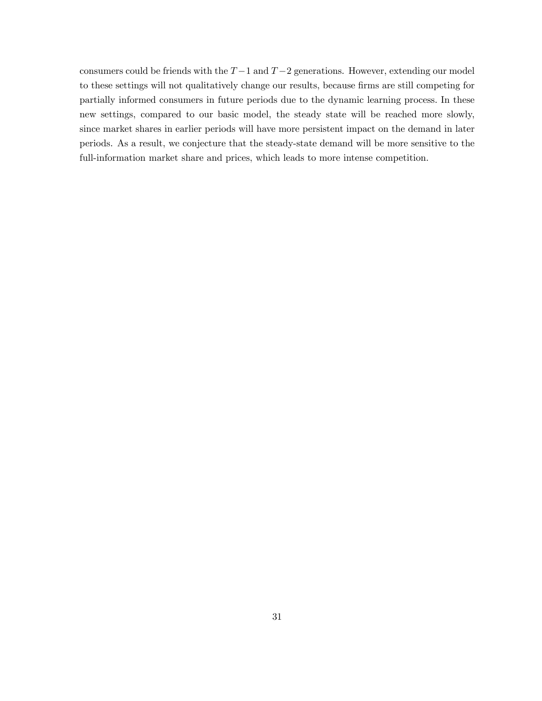consumers could be friends with the  $T-1$  and  $T-2$  generations. However, extending our model to these settings will not qualitatively change our results, because firms are still competing for partially informed consumers in future periods due to the dynamic learning process. In these new settings, compared to our basic model, the steady state will be reached more slowly, since market shares in earlier periods will have more persistent impact on the demand in later periods. As a result, we conjecture that the steady-state demand will be more sensitive to the full-information market share and prices, which leads to more intense competition.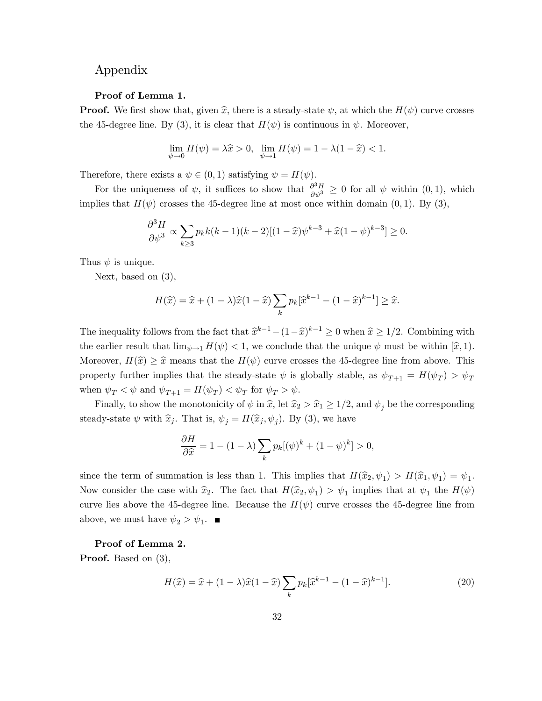# Appendix

#### Proof of Lemma 1.

**Proof.** We first show that, given  $\hat{x}$ , there is a steady-state  $\psi$ , at which the  $H(\psi)$  curve crosses the 45-degree line. By (3), it is clear that  $H(\psi)$  is continuous in  $\psi$ . Moreover,

$$
\lim_{\psi \to 0} H(\psi) = \lambda \hat{x} > 0, \ \lim_{\psi \to 1} H(\psi) = 1 - \lambda (1 - \hat{x}) < 1.
$$

Therefore, there exists a  $\psi \in (0, 1)$  satisfying  $\psi = H(\psi)$ .

For the uniqueness of  $\psi$ , it suffices to show that  $\frac{\partial^3 H}{\partial \psi^3} \geq 0$  for all  $\psi$  within  $(0,1)$ , which implies that  $H(\psi)$  crosses the 45-degree line at most once within domain  $(0,1)$ . By  $(3)$ ,

$$
\frac{\partial^3 H}{\partial \psi^3} \propto \sum_{k \ge 3} p_k k(k-1)(k-2)[(1-\widehat{x})\psi^{k-3} + \widehat{x}(1-\psi)^{k-3}] \ge 0.
$$

Thus  $\psi$  is unique.

Next, based on (3),

$$
H(\widehat{x}) = \widehat{x} + (1 - \lambda)\widehat{x}(1 - \widehat{x})\sum_{k} p_k[\widehat{x}^{k-1} - (1 - \widehat{x})^{k-1}] \ge \widehat{x}.
$$

The inequality follows from the fact that  $\hat{x}^{k-1} - (1-\hat{x})^{k-1} \ge 0$  when  $\hat{x} \ge 1/2$ . Combining with the earlier result that  $\lim_{\psi \to 1} H(\psi) < 1$ , we conclude that the unique  $\psi$  must be within  $[\hat{x}, 1)$ . Moreover,  $H(\hat{x}) \geq \hat{x}$  means that the  $H(\psi)$  curve crosses the 45-degree line from above. This property further implies that the steady-state  $\psi$  is globally stable, as  $\psi_{T+1} = H(\psi_T) > \psi_T$ when  $\psi_T < \psi$  and  $\psi_{T+1} = H(\psi_T) < \psi_T$  for  $\psi_T > \psi$ .

Finally, to show the monotonicity of  $\psi$  in  $\hat{x}$ , let  $\hat{x}_2 > \hat{x}_1 \geq 1/2$ , and  $\psi_j$  be the corresponding steady-state  $\psi$  with  $\widehat{x}_j$ . That is,  $\psi_j = H(\widehat{x}_j, \psi_j)$ . By (3), we have

$$
\frac{\partial H}{\partial \hat{x}} = 1 - (1 - \lambda) \sum_{k} p_k [(\psi)^k + (1 - \psi)^k] > 0,
$$

since the term of summation is less than 1. This implies that  $H(\hat{x}_2, \psi_1) > H(\hat{x}_1, \psi_1) = \psi_1$ . Now consider the case with  $\hat{x}_2$ . The fact that  $H(\hat{x}_2, \psi_1) > \psi_1$  implies that at  $\psi_1$  the  $H(\psi)$ curve lies above the 45-degree line. Because the  $H(\psi)$  curve crosses the 45-degree line from above, we must have  $\psi_2 > \psi_1$ .

#### Proof of Lemma 2.

Proof. Based on (3),

$$
H(\hat{x}) = \hat{x} + (1 - \lambda)\hat{x}(1 - \hat{x})\sum_{k} p_k[\hat{x}^{k-1} - (1 - \hat{x})^{k-1}].
$$
\n(20)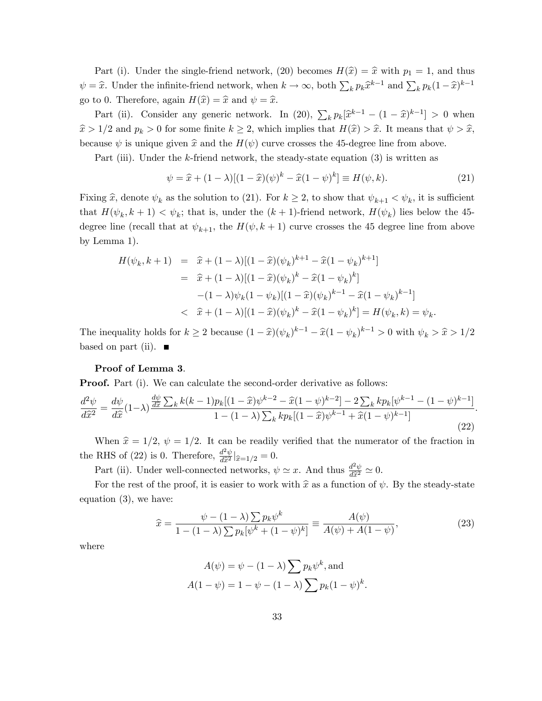Part (i). Under the single-friend network, (20) becomes  $H(\hat{x}) = \hat{x}$  with  $p_1 = 1$ , and thus  $\psi = \hat{x}$ . Under the infinite-friend network, when  $k \to \infty$ , both  $\sum_k p_k \hat{x}^{k-1}$  and  $\sum_k p_k (1 - \hat{x})^{k-1}$ go to 0. Therefore, again  $H(\hat{x}) = \hat{x}$  and  $\psi = \hat{x}$ .

Part (ii). Consider any generic network. In (20),  $\sum_{k} p_k [\hat{x}^{k-1} - (1 - \hat{x})^{k-1}] > 0$  when  $\hat{x} > 1/2$  and  $p_k > 0$  for some finite  $k \geq 2$ , which implies that  $H(\hat{x}) > \hat{x}$ . It means that  $\psi > \hat{x}$ , because  $\psi$  is unique given  $\hat{x}$  and the  $H(\psi)$  curve crosses the 45-degree line from above.

Part (iii). Under the k-friend network, the steady-state equation (3) is written as

$$
\psi = \hat{x} + (1 - \lambda)[(1 - \hat{x})(\psi)^k - \hat{x}(1 - \psi)^k] \equiv H(\psi, k). \tag{21}
$$

Fixing  $\hat{x}$ , denote  $\psi_k$  as the solution to (21). For  $k \geq 2$ , to show that  $\psi_{k+1} < \psi_k$ , it is sufficient that  $H(\psi_k, k+1) < \psi_k$ ; that is, under the  $(k+1)$ -friend network,  $H(\psi_k)$  lies below the 45degree line (recall that at  $\psi_{k+1}$ , the  $H(\psi, k+1)$  curve crosses the 45 degree line from above by Lemma 1).

$$
H(\psi_k, k+1) = \hat{x} + (1 - \lambda)[(1 - \hat{x})(\psi_k)^{k+1} - \hat{x}(1 - \psi_k)^{k+1}]
$$
  
\n
$$
= \hat{x} + (1 - \lambda)[(1 - \hat{x})(\psi_k)^k - \hat{x}(1 - \psi_k)^k]
$$
  
\n
$$
-(1 - \lambda)\psi_k(1 - \psi_k)[(1 - \hat{x})(\psi_k)^{k-1} - \hat{x}(1 - \psi_k)^{k-1}]
$$
  
\n
$$
< \hat{x} + (1 - \lambda)[(1 - \hat{x})(\psi_k)^k - \hat{x}(1 - \psi_k)^k] = H(\psi_k, k) = \psi_k.
$$

The inequality holds for  $k \ge 2$  because  $(1 - \hat{x})(\psi_k)^{k-1} - \hat{x}(1 - \psi_k)^{k-1} > 0$  with  $\psi_k > \hat{x} > 1/2$ based on part (ii).  $\blacksquare$ 

#### Proof of Lemma 3.

**Proof.** Part (i). We can calculate the second-order derivative as follows:

$$
\frac{d^2\psi}{d\hat{x}^2} = \frac{d\psi}{d\hat{x}}(1-\lambda)\frac{\frac{d\psi}{d\hat{x}}\sum_k k(k-1)p_k[(1-\hat{x})\psi^{k-2} - \hat{x}(1-\psi)^{k-2}] - 2\sum_k kp_k[\psi^{k-1} - (1-\psi)^{k-1}]}{1 - (1-\lambda)\sum_k kp_k[(1-\hat{x})\psi^{k-1} + \hat{x}(1-\psi)^{k-1}]}. \tag{22}
$$

When  $\hat{x} = 1/2$ ,  $\psi = 1/2$ . It can be readily verified that the numerator of the fraction in the RHS of (22) is 0. Therefore,  $\frac{d^2\psi}{d\hat{x}^2}|_{\hat{x}=1/2} = 0.$ 

Part (ii). Under well-connected networks,  $\psi \simeq x$ . And thus  $\frac{d^2\psi}{d\hat{x}^2} \simeq 0$ .

For the rest of the proof, it is easier to work with  $\hat{x}$  as a function of  $\psi$ . By the steady-state equation (3), we have:

$$
\hat{x} = \frac{\psi - (1 - \lambda) \sum p_k \psi^k}{1 - (1 - \lambda) \sum p_k [\psi^k + (1 - \psi)^k]} \equiv \frac{A(\psi)}{A(\psi) + A(1 - \psi)},
$$
\n(23)

where

$$
A(\psi) = \psi - (1 - \lambda) \sum p_k \psi^k, \text{ and}
$$

$$
A(1 - \psi) = 1 - \psi - (1 - \lambda) \sum p_k (1 - \psi)^k.
$$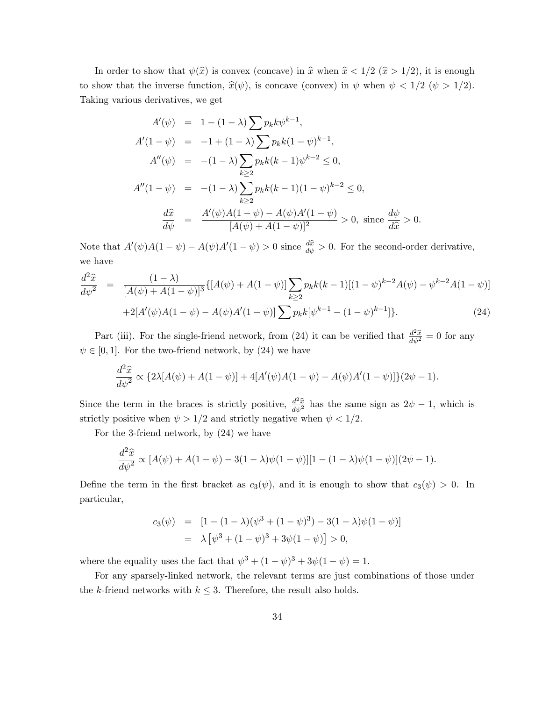In order to show that  $\psi(\hat{x})$  is convex (concave) in  $\hat{x}$  when  $\hat{x} < 1/2$  ( $\hat{x} > 1/2$ ), it is enough to show that the inverse function,  $\hat{x}(\psi)$ , is concave (convex) in  $\psi$  when  $\psi < 1/2$  ( $\psi > 1/2$ ). Taking various derivatives, we get

$$
A'(\psi) = 1 - (1 - \lambda) \sum p_k k \psi^{k-1},
$$
  
\n
$$
A'(1 - \psi) = -1 + (1 - \lambda) \sum p_k k (1 - \psi)^{k-1},
$$
  
\n
$$
A''(\psi) = -(1 - \lambda) \sum_{k \ge 2} p_k k (k - 1) \psi^{k-2} \le 0,
$$
  
\n
$$
A''(1 - \psi) = -(1 - \lambda) \sum_{k \ge 2} p_k k (k - 1) (1 - \psi)^{k-2} \le 0,
$$
  
\n
$$
\frac{d\hat{x}}{d\psi} = \frac{A'(\psi) A (1 - \psi) - A(\psi) A' (1 - \psi)}{[A(\psi) + A(1 - \psi)]^2} > 0, \text{ since } \frac{d\psi}{d\hat{x}} > 0.
$$

Note that  $A'(\psi)A(1-\psi) - A(\psi)A'(1-\psi) > 0$  since  $\frac{d\hat{x}}{d\psi} > 0$ . For the second-order derivative, we have

$$
\frac{d^2\hat{x}}{d\psi^2} = \frac{(1-\lambda)}{[A(\psi)+A(1-\psi)]^3} \{ [A(\psi)+A(1-\psi)] \sum_{k\geq 2} p_k k(k-1) [(1-\psi)^{k-2} A(\psi) - \psi^{k-2} A(1-\psi)] + 2[A'(\psi) A(1-\psi) - A(\psi) A'(1-\psi)] \sum_{k\geq 2} p_k k[\psi^{k-1} - (1-\psi)^{k-1}] \}.
$$
\n(24)

Part (iii). For the single-friend network, from (24) it can be verified that  $\frac{d^2\hat{x}}{d\psi^2} = 0$  for any  $\psi \in [0, 1]$ . For the two-friend network, by (24) we have

$$
\frac{d^2\hat{x}}{d\psi^2} \propto \{2\lambda[A(\psi) + A(1-\psi)] + 4[A'(\psi)A(1-\psi) - A(\psi)A'(1-\psi)]\}(2\psi - 1).
$$

Since the term in the braces is strictly positive,  $\frac{d^2\hat{x}}{d\psi^2}$  has the same sign as  $2\psi - 1$ , which is strictly positive when  $\psi > 1/2$  and strictly negative when  $\psi < 1/2$ .

For the 3-friend network, by (24) we have

$$
\frac{d^2\hat{x}}{d\psi^2} \propto [A(\psi) + A(1 - \psi) - 3(1 - \lambda)\psi(1 - \psi)][1 - (1 - \lambda)\psi(1 - \psi)](2\psi - 1).
$$

Define the term in the first bracket as  $c_3(\psi)$ , and it is enough to show that  $c_3(\psi) > 0$ . In particular,

$$
c_3(\psi) = [1 - (1 - \lambda)(\psi^3 + (1 - \psi)^3) - 3(1 - \lambda)\psi(1 - \psi)]
$$
  
=  $\lambda [\psi^3 + (1 - \psi)^3 + 3\psi(1 - \psi)] > 0,$ 

where the equality uses the fact that  $\psi^3 + (1 - \psi)^3 + 3\psi(1 - \psi) = 1$ .

For any sparsely-linked network, the relevant terms are just combinations of those under the k-friend networks with  $k \leq 3$ . Therefore, the result also holds.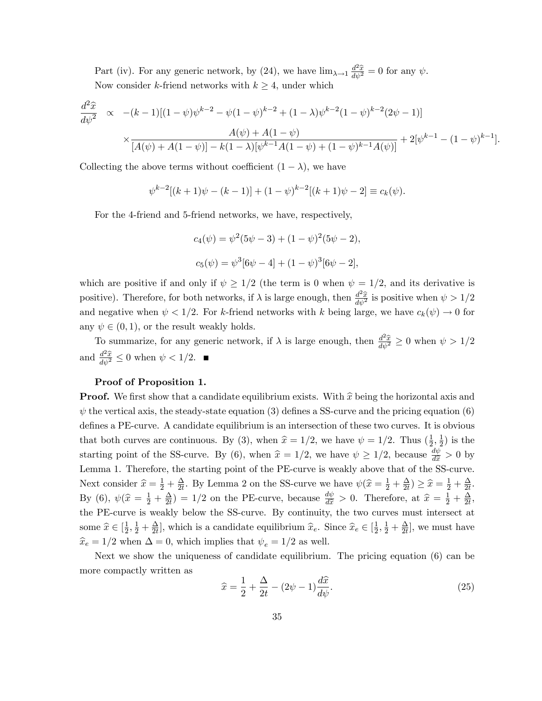Part (iv). For any generic network, by (24), we have  $\lim_{\lambda \to 1} \frac{d^2 \hat{x}}{d\psi^2} = 0$  for any  $\psi$ . Now consider k-friend networks with  $k \geq 4$ , under which

$$
\frac{d^2\hat{x}}{d\psi^2} \propto -(k-1)[(1-\psi)\psi^{k-2} - \psi(1-\psi)^{k-2} + (1-\lambda)\psi^{k-2}(1-\psi)^{k-2}(2\psi-1)]
$$
  
 
$$
\times \frac{A(\psi) + A(1-\psi)}{[A(\psi) + A(1-\psi)] - k(1-\lambda)[\psi^{k-1}A(1-\psi) + (1-\psi)^{k-1}A(\psi)]} + 2[\psi^{k-1} - (1-\psi)^{k-1}].
$$

Collecting the above terms without coefficient  $(1 - \lambda)$ , we have

$$
\psi^{k-2}[(k+1)\psi - (k-1)] + (1-\psi)^{k-2}[(k+1)\psi - 2] \equiv c_k(\psi).
$$

For the 4-friend and 5-friend networks, we have, respectively,

$$
c_4(\psi) = \psi^2(5\psi - 3) + (1 - \psi)^2(5\psi - 2),
$$
  

$$
c_5(\psi) = \psi^3[6\psi - 4] + (1 - \psi)^3[6\psi - 2],
$$

which are positive if and only if  $\psi \geq 1/2$  (the term is 0 when  $\psi = 1/2$ , and its derivative is positive). Therefore, for both networks, if  $\lambda$  is large enough, then  $\frac{d^2\hat{x}}{d\psi^2}$  is positive when  $\psi > 1/2$ and negative when  $\psi < 1/2$ . For k-friend networks with k being large, we have  $c_k(\psi) \to 0$  for any  $\psi \in (0, 1)$ , or the result weakly holds.

To summarize, for any generic network, if  $\lambda$  is large enough, then  $\frac{d^2\hat{x}}{d\psi^2} \ge 0$  when  $\psi > 1/2$ and  $\frac{d^2\hat{x}}{d\psi^2} \leq 0$  when  $\psi < 1/2$ .

### Proof of Proposition 1.

**Proof.** We first show that a candidate equilibrium exists. With  $\hat{x}$  being the horizontal axis and  $\psi$  the vertical axis, the steady-state equation (3) defines a SS-curve and the pricing equation (6) defines a PE-curve. A candidate equilibrium is an intersection of these two curves. It is obvious that both curves are continuous. By (3), when  $\hat{x} = 1/2$ , we have  $\psi = 1/2$ . Thus  $(\frac{1}{2})$  $\frac{1}{2}, \frac{1}{2}$  $(\frac{1}{2})$  is the starting point of the SS-curve. By (6), when  $\hat{x} = 1/2$ , we have  $\psi \ge 1/2$ , because  $\frac{d\psi}{d\hat{x}} > 0$  by Lemma 1. Therefore, the starting point of the PE-curve is weakly above that of the SS-curve. Next consider  $\widehat{x} = \frac{1}{2} + \frac{\Delta}{2t}$  $\frac{\Delta}{2t}$ . By Lemma 2 on the SS-curve we have  $\psi(\hat{x} = \frac{1}{2} + \frac{\Delta}{2t})$  $\frac{\Delta}{2t}) \geq \widehat{x} = \frac{1}{2} + \frac{\Delta}{2t}$  $\frac{\Delta}{2t}$ . By (6),  $\psi(\hat{x} = \frac{1}{2} + \frac{\Delta}{2t})$  $\frac{\Delta}{dt}$  = 1/2 on the PE-curve, because  $\frac{d\psi}{d\hat{x}} > 0$ . Therefore, at  $\hat{x} = \frac{1}{2} + \frac{\Delta}{2t}$  $\frac{\Delta}{2t}$ the PE-curve is weakly below the SS-curve. By continuity, the two curves must intersect at some  $\widehat{x} \in [\frac{1}{2}]$  $\frac{1}{2}, \frac{1}{2} + \frac{\Delta}{2t}$  $\frac{\Delta}{2t}$ , which is a candidate equilibrium  $\hat{x}_e$ . Since  $\hat{x}_e \in [\frac{1}{2}]$  $\frac{1}{2}, \frac{1}{2} + \frac{\Delta}{2t}$  $\frac{\Delta}{2t}$ , we must have  $\widehat{x}_e = 1/2$  when  $\Delta = 0$  which implies that  $\psi_e = 1/2$  as well.

Next we show the uniqueness of candidate equilibrium. The pricing equation (6) can be more compactly written as

$$
\widehat{x} = \frac{1}{2} + \frac{\Delta}{2t} - (2\psi - 1)\frac{d\widehat{x}}{d\psi}.
$$
\n(25)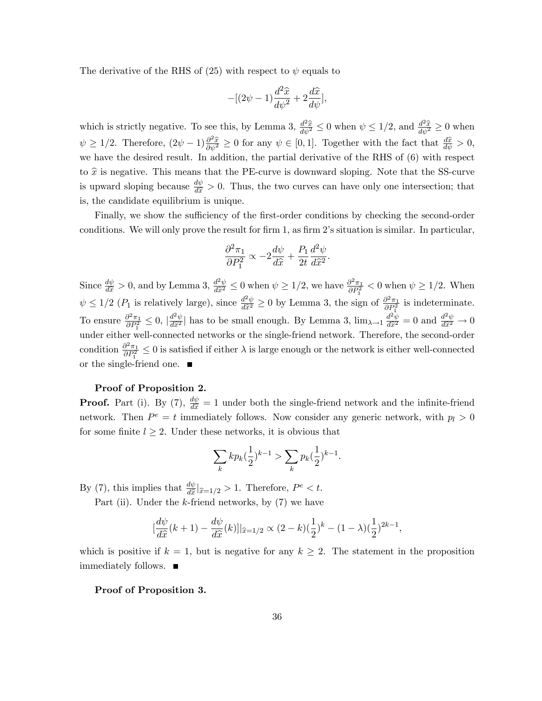The derivative of the RHS of (25) with respect to  $\psi$  equals to

$$
-[(2\psi - 1)\frac{d^2\hat{x}}{d\psi^2} + 2\frac{d\hat{x}}{d\psi}],
$$

which is strictly negative. To see this, by Lemma 3,  $\frac{d^2 \hat{x}}{d\psi^2} \leq 0$  when  $\psi \leq 1/2$ , and  $\frac{d^2 \hat{x}}{d\psi^2} \geq 0$  when  $\psi \geq 1/2$ . Therefore,  $(2\psi - 1) \frac{\partial^2 \hat{x}}{\partial \psi^2} \geq 0$  for any  $\psi \in [0, 1]$ . Together with the fact that  $\frac{d\hat{x}}{d\psi} > 0$ , we have the desired result. In addition, the partial derivative of the RHS of (6) with respect to  $\hat{x}$  is negative. This means that the PE-curve is downward sloping. Note that the SS-curve is upward sloping because  $\frac{d\psi}{d\hat{x}} > 0$ . Thus, the two curves can have only one intersection; that is, the candidate equilibrium is unique.

Finally, we show the sufficiency of the first-order conditions by checking the second-order conditions. We will only prove the result for firm 1, as firm 2's situation is similar. In particular,

$$
\frac{\partial^2 \pi_1}{\partial P_1^2} \propto -2\frac{d\psi}{d\hat{x}} + \frac{P_1}{2t} \frac{d^2 \psi}{d\hat{x}^2}
$$

:

Since  $\frac{d\psi}{d\hat{x}} > 0$ , and by Lemma 3,  $\frac{d^2\psi}{d\hat{x}^2} \leq 0$  when  $\psi \geq 1/2$ , we have  $\frac{\partial^2 \pi_1}{\partial P_1^2}$  $\frac{\partial^2 \pi_1}{\partial P_1^2}$  < 0 when  $\psi \geq 1/2$ . When  $\psi \leq 1/2$  ( $P_1$  is relatively large), since  $\frac{d^2\psi}{d\tilde{x}^2} \geq 0$  by Lemma 3, the sign of  $\frac{\partial^2 \pi_1}{\partial P_1^2}$  $\frac{\partial^2 \pi_1}{\partial P_1^2}$  is indeterminate. To ensure  $\frac{\partial^2 \pi_1}{\partial P^2}$  $\frac{\partial^2 \pi_1}{\partial P_1^2} \leq 0$ ,  $\left| \frac{d^2 \psi}{d\hat{x}^2} \right|$  has to be small enough. By Lemma 3,  $\lim_{\lambda \to 1} \frac{d^2 \psi}{d\hat{x}^2} = 0$  and  $\frac{d^2 \psi}{d\hat{x}^2} \to 0$ under either well-connected networks or the single-friend network. Therefore, the second-order condition  $\frac{\partial^2 \pi_1}{\partial P^2}$  $\frac{\partial^2 \pi_1}{\partial P_1^2} \leq 0$  is satisfied if either  $\lambda$  is large enough or the network is either well-connected or the single-friend one.  $\blacksquare$ 

## Proof of Proposition 2.

**Proof.** Part (i). By (7),  $\frac{d\psi}{d\hat{x}} = 1$  under both the single-friend network and the infinite-friend network. Then  $P^e = t$  immediately follows. Now consider any generic network, with  $p_l > 0$ for some finite  $l \geq 2$ . Under these networks, it is obvious that

$$
\sum_{k} k p_k \left(\frac{1}{2}\right)^{k-1} > \sum_{k} p_k \left(\frac{1}{2}\right)^{k-1}.
$$

By (7), this implies that  $\frac{d\psi}{d\hat{x}}|_{\hat{x}=1/2} > 1$ . Therefore,  $P^e < t$ .

Part (ii). Under the  $k$ -friend networks, by  $(7)$  we have

$$
\left[\frac{d\psi}{d\hat{x}}(k+1) - \frac{d\psi}{d\hat{x}}(k)\right]_{\hat{x}=1/2} \propto (2-k)\left(\frac{1}{2}\right)^k - (1-\lambda)\left(\frac{1}{2}\right)^{2k-1},
$$

which is positive if  $k = 1$ , but is negative for any  $k \geq 2$ . The statement in the proposition immediately follows.

Proof of Proposition 3.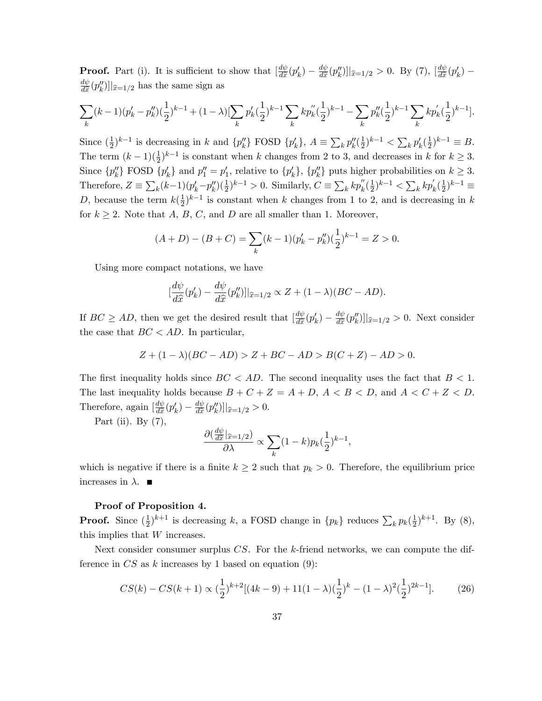**Proof.** Part (i). It is sufficient to show that  $\frac{d\psi}{d\hat{x}}$  $\frac{d\psi}{d\widehat{x}}(p'_k) - \frac{d\psi}{d\widehat{x}}$  $\frac{d\psi}{d\hat{x}}(p''_k)\vert_{\hat{x}=1/2} > 0$ . By (7),  $\left[\frac{d\psi}{d\hat{x}}\right]$  $\frac{d\psi}{d\widehat{x}}(p'_k)$  –  $d\psi$  $\frac{dw}{d\hat{x}}(p''_k)$ ] $\vert_{\hat{x}=1/2}$  has the same sign as

$$
\sum_{k} (k-1)(p'_k - p''_k)(\frac{1}{2})^{k-1} + (1 - \lambda)[\sum_{k} p'_k(\frac{1}{2})^{k-1} \sum_{k} kp''_k(\frac{1}{2})^{k-1} - \sum_{k} p''_k(\frac{1}{2})^{k-1} \sum_{k} kp'_k(\frac{1}{2})^{k-1}].
$$

Since  $(\frac{1}{2})$  $(\frac{1}{2})^{k-1}$  is decreasing in k and  $\{p''_k\}$  FOSD  $\{p'_k\}$ ,  $A \equiv \sum_k p''_k(\frac{1}{2})$  $(\frac{1}{2})^{k-1} < \sum_k p'_k (\frac{1}{2})$  $(\frac{1}{2})^{k-1} \equiv B.$ The term  $(k-1)(\frac{1}{2})^{k-1}$  is constant when k changes from 2 to 3, and decreases in k for  $k \geq 3$ . Since  $\{p''_k\}$  FOSD  $\{p'_k\}$  and  $p''_1 = p'_1$ , relative to  $\{p'_k\}$ ,  $\{p''_k\}$  puts higher probabilities on  $k \geq 3$ . Therefore,  $Z \equiv \sum_{k}(k-1)(p'_{k}-p''_{k})(\frac{1}{2})^{k-1} > 0$ . Similarly,  $C \equiv \sum_{k} kp''_{k}(\frac{1}{2})$  $(\frac{1}{2})^{k-1} < \sum_{k} k p_k^{'} (\frac{1}{2})$  $(\frac{1}{2})^{k-1} \equiv$ D, because the term  $k(\frac{1}{2})$  $\frac{1}{2}$ <sup>k-1</sup> is constant when k changes from 1 to 2, and is decreasing in k for  $k \geq 2$ . Note that A, B, C, and D are all smaller than 1. Moreover,

$$
(A+D)-(B+C)=\sum_{k}(k-1)(p'_{k}-p''_{k})(\frac{1}{2})^{k-1}=Z>0.
$$

Using more compact notations, we have

$$
\left[\frac{d\psi}{d\widehat{x}}(p'_k) - \frac{d\psi}{d\widehat{x}}(p''_k)\right]\right]_{\widehat{x}=1/2} \propto Z + (1 - \lambda)(BC - AD).
$$

If  $BC \ge AD$ , then we get the desired result that  $\left[\frac{d\psi}{d\hat{x}}\right]$  $\frac{d\psi}{d\widehat{x}}(p'_k) - \frac{d\psi}{d\widehat{x}}$  $\frac{dw}{d\hat{x}}(p''_k)\vert_{\hat{x}=1/2} > 0$ . Next consider the case that  $BC < AD$ . In particular,

$$
Z + (1 - \lambda)(BC - AD) > Z + BC - AD > B(C + Z) - AD > 0.
$$

The first inequality holds since  $BC < AD$ . The second inequality uses the fact that  $B < 1$ . The last inequality holds because  $B + C + Z = A + D$ ,  $A < B < D$ , and  $A < C + Z < D$ . Therefore, again  $\left[\frac{d\psi}{d\hat{x}}\right]$  $\frac{d\psi}{d\widehat{x}}(p'_k) - \frac{d\psi}{d\widehat{x}}$  $\frac{d\psi}{d\hat{x}}(p''_k)\vert_{\hat{x}=1/2} > 0.$ 

Part (ii). By  $(7)$ ,

$$
\frac{\partial \left(\frac{d\psi}{d\hat{x}}\right) \hat{x}=1/2)}{\partial \lambda} \propto \sum_{k} (1-k) p_k(\frac{1}{2})^{k-1},
$$

which is negative if there is a finite  $k \geq 2$  such that  $p_k > 0$ . Therefore, the equilibrium price increases in  $\lambda$ .

# Proof of Proposition 4.

**Proof.** Since  $\left(\frac{1}{2}\right)$  $(\frac{1}{2})^{k+1}$  is decreasing k, a FOSD change in  $\{p_k\}$  reduces  $\sum_k p_k(\frac{1}{2})$  $(\frac{1}{2})^{k+1}$ . By (8), this implies that W increases.

Next consider consumer surplus CS. For the k-friend networks, we can compute the difference in  $CS$  as k increases by 1 based on equation (9):

$$
CS(k) - CS(k+1) \propto (\frac{1}{2})^{k+2} [(4k-9) + 11(1-\lambda)(\frac{1}{2})^k - (1-\lambda)^2(\frac{1}{2})^{2k-1}].
$$
 (26)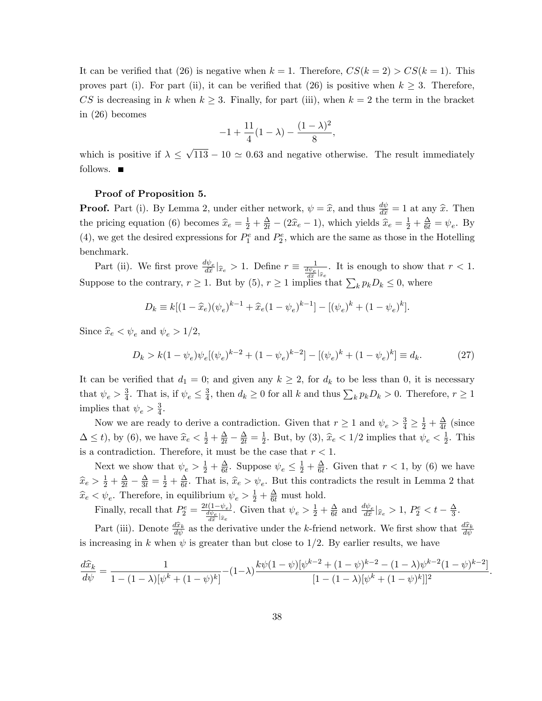It can be verified that (26) is negative when  $k = 1$ . Therefore,  $CS(k = 2) > CS(k = 1)$ . This proves part (i). For part (ii), it can be verified that (26) is positive when  $k \geq 3$ . Therefore, CS is decreasing in k when  $k \geq 3$ . Finally, for part (iii), when  $k = 2$  the term in the bracket in (26) becomes

$$
-1 + \frac{11}{4}(1 - \lambda) - \frac{(1 - \lambda)^2}{8},
$$

which is positive if  $\lambda \leq \sqrt{113} - 10 \simeq 0.63$  and negative otherwise. The result immediately follows.  $\blacksquare$ 

## Proof of Proposition 5.

**Proof.** Part (i). By Lemma 2, under either network,  $\psi = \hat{x}$ , and thus  $\frac{d\psi}{d\hat{x}} = 1$  at any  $\hat{x}$ . Then the pricing equation (6) becomes  $\hat{x}_e = \frac{1}{2} + \frac{\Delta}{2t} - (2\hat{x}_e - 1)$ , which yields  $\hat{x}_e = \frac{1}{2} + \frac{\Delta}{6t} = \psi_e$ . By (4), we get the desired expressions for  $P_1^e$  and  $P_2^e$ , which are the same as those in the Hotelling benchmark.

Part (ii). We first prove  $\frac{d\psi_e}{d\hat{x}}|_{\hat{x}_e} > 1$ . Define  $r \equiv \frac{1}{\frac{d\psi_e}{d\hat{x}}|_{\hat{x}_e}}$ Suppose to the contrary,  $r \geq 1$ . But by (5),  $r \geq 1$  implies that  $\sum_k p_k D_k \leq 0$ , where . It is enough to show that  $r < 1$ .

$$
D_k \equiv k[(1 - \widehat{x}_e)(\psi_e)^{k-1} + \widehat{x}_e(1 - \psi_e)^{k-1}] - [(\psi_e)^k + (1 - \psi_e)^k].
$$

Since  $\hat{x}_e < \psi_e$  and  $\psi_e > 1/2$ ,

$$
D_k > k(1 - \psi_e)\psi_e[(\psi_e)^{k-2} + (1 - \psi_e)^{k-2}] - [(\psi_e)^k + (1 - \psi_e)^k] \equiv d_k.
$$
 (27)

It can be verified that  $d_1 = 0$ ; and given any  $k \geq 2$ , for  $d_k$  to be less than 0, it is necessary that  $\psi_e > \frac{3}{4}$  $\frac{3}{4}$ . That is, if  $\psi_e \leq \frac{3}{4}$  $\frac{3}{4}$ , then  $d_k \geq 0$  for all k and thus  $\sum_k p_k D_k > 0$ . Therefore,  $r \geq 1$ implies that  $\psi_e > \frac{3}{4}$  $\frac{3}{4}$ .

Now we are ready to derive a contradiction. Given that  $r \geq 1$  and  $\psi_e > \frac{3}{4} \geq \frac{1}{2} + \frac{\Delta}{4t}$  $\frac{\Delta}{4t}$  (since  $\Delta \leq t$ , by (6), we have  $\widehat{x}_e < \frac{1}{2} + \frac{\Delta}{2t} - \frac{\Delta}{2t} = \frac{1}{2}$  $\frac{1}{2}$ . But, by (3),  $\hat{x}_e < 1/2$  implies that  $\psi_e < \frac{1}{2}$  $\frac{1}{2}$ . This is a contradiction. Therefore, it must be the case that  $r < 1$ .

Next we show that  $\psi_e > \frac{1}{2} + \frac{\Delta}{6t}$  $\frac{\Delta}{6t}$ . Suppose  $\psi_e \leq \frac{1}{2} + \frac{\Delta}{6t}$  $\frac{\Delta}{6t}$ . Given that  $r < 1$ , by (6) we have  $\widehat{x}_e > \frac{1}{2} + \frac{\Delta}{2t} - \frac{\Delta}{3t} = \frac{1}{2} + \frac{\Delta}{6t}$  $\frac{\Delta}{6t}$ . That is,  $\hat{x}_e > \psi_e$ . But this contradicts the result in Lemma 2 that  $\hat{x}_e < \psi_e$ . Therefore, in equilibrium  $\psi_e > \frac{1}{2} + \frac{\Delta}{6t}$  must hold.

Finally, recall that  $P_2^e = \frac{2t(1-\psi_e)}{\frac{d\psi_e}{\phi_e}}$  $\frac{d\psi_e}{d\hat{x}}|_{\hat{x}_e}$ . Given that  $\psi_e > \frac{1}{2} + \frac{\Delta}{6t}$  $\frac{\Delta}{6t}$  and  $\frac{d\psi_e}{d\hat{x}}|_{\hat{x}_e} > 1$ ,  $P_2^e < t - \frac{\Delta}{3}$  $\frac{\Delta}{3}$ .

Part (iii). Denote  $\frac{d\hat{x}_k}{d\psi}$  as the derivative under the k-friend network. We first show that  $\frac{d\hat{x}_k}{d\psi}$ is increasing in k when  $\psi$  is greater than but close to 1/2. By earlier results, we have

$$
\frac{d\hat{x}_k}{d\psi} = \frac{1}{1 - (1 - \lambda)[\psi^k + (1 - \psi)^k]} - (1 - \lambda)\frac{k\psi(1 - \psi)[\psi^{k-2} + (1 - \psi)^{k-2} - (1 - \lambda)\psi^{k-2}(1 - \psi)^{k-2}]}{[1 - (1 - \lambda)[\psi^k + (1 - \psi)^k]]^2}
$$

: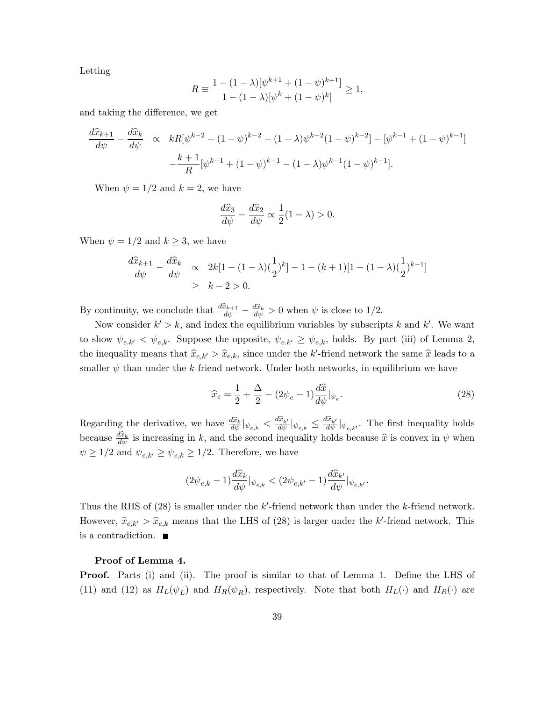Letting

$$
R \equiv \frac{1 - (1 - \lambda)[\psi^{k+1} + (1 - \psi)^{k+1}]}{1 - (1 - \lambda)[\psi^k + (1 - \psi)^k]} \ge 1,
$$

and taking the difference, we get

$$
\frac{d\widehat{x}_{k+1}}{d\psi} - \frac{d\widehat{x}_k}{d\psi} \propto kR[\psi^{k-2} + (1-\psi)^{k-2} - (1-\lambda)\psi^{k-2}(1-\psi)^{k-2}] - [\psi^{k-1} + (1-\psi)^{k-1}]
$$

$$
-\frac{k+1}{R}[\psi^{k-1} + (1-\psi)^{k-1} - (1-\lambda)\psi^{k-1}(1-\psi)^{k-1}].
$$

When  $\psi = 1/2$  and  $k = 2$ , we have

$$
\frac{d\widehat{x}_3}{d\psi} - \frac{d\widehat{x}_2}{d\psi} \propto \frac{1}{2}(1-\lambda) > 0.
$$

When  $\psi = 1/2$  and  $k \geq 3$ , we have

$$
\frac{d\widehat{x}_{k+1}}{d\psi} - \frac{d\widehat{x}_k}{d\psi} \propto 2k[1 - (1 - \lambda)(\frac{1}{2})^k] - 1 - (k+1)[1 - (1 - \lambda)(\frac{1}{2})^{k-1}]
$$
  
\n
$$
\geq k - 2 > 0.
$$

By continuity, we conclude that  $\frac{d\hat{x}_{k+1}}{d\psi} - \frac{d\hat{x}_k}{d\psi} > 0$  when  $\psi$  is close to 1/2.

Now consider  $k' > k$ , and index the equilibrium variables by subscripts k and k'. We want to show  $\psi_{e,k'} < \psi_{e,k}$ . Suppose the opposite,  $\psi_{e,k'} \geq \psi_{e,k}$ , holds. By part (iii) of Lemma 2, the inequality means that  $\hat{x}_{e,k'} > \hat{x}_{e,k}$ , since under the k'-friend network the same  $\hat{x}$  leads to a smaller  $\psi$  than under the k-friend network. Under both networks, in equilibrium we have

$$
\widehat{x}_e = \frac{1}{2} + \frac{\Delta}{2} - (2\psi_e - 1)\frac{d\widehat{x}}{d\psi}|_{\psi_e}.\tag{28}
$$

:

Regarding the derivative, we have  $\frac{d\hat{x}_k}{d\psi}\vert_{\psi_{e,k}} < \frac{d\hat{x}_{k'}}{d\psi}\vert_{\psi_{e,k}} \le \frac{d\hat{x}_{k'}}{d\psi}\vert_{\psi_{e,k'}}$ . The first inequality holds because  $\frac{d\hat{x}_k}{d\psi}$  is increasing in k, and the second inequality holds because  $\hat{x}$  is convex in  $\psi$  when  $\psi \geq 1/2$  and  $\psi_{e,k'} \geq \psi_{e,k} \geq 1/2.$  Therefore, we have

$$
(2\psi_{e,k}-1)\frac{d\widehat{x}_k}{d\psi}|_{\psi_{e,k}}<(2\psi_{e,k'}-1)\frac{d\widehat{x}_{k'}}{d\psi}|_{\psi_{e,k'}}
$$

Thus the RHS of  $(28)$  is smaller under the k'-friend network than under the k-friend network. However,  $\hat{x}_{e,k'} > \hat{x}_{e,k}$  means that the LHS of (28) is larger under the k'-friend network. This is a contradiction.

#### Proof of Lemma 4.

**Proof.** Parts (i) and (ii). The proof is similar to that of Lemma 1. Define the LHS of (11) and (12) as  $H_L(\psi_L)$  and  $H_R(\psi_R)$ , respectively. Note that both  $H_L(\cdot)$  and  $H_R(\cdot)$  are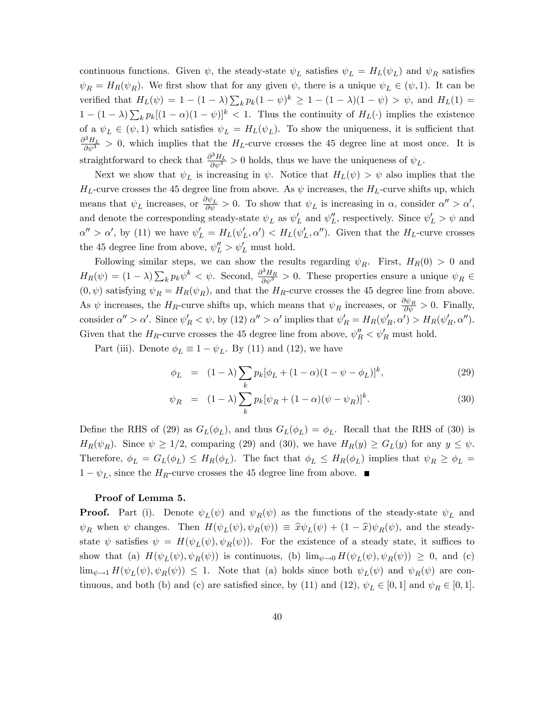continuous functions. Given  $\psi$ , the steady-state  $\psi_L$  satisfies  $\psi_L = H_L(\psi_L)$  and  $\psi_R$  satisfies  $\psi_R = H_R(\psi_R)$ . We first show that for any given  $\psi$ , there is a unique  $\psi_L \in (\psi, 1)$ . It can be verified that  $H_L(\psi) = 1 - (1 - \lambda) \sum_k p_k (1 - \psi)^k \ge 1 - (1 - \lambda)(1 - \psi) > \psi$ , and  $H_L(1) =$  $1 - (1 - \lambda) \sum_k p_k [(1 - \alpha)(1 - \psi)]^k < 1$ . Thus the continuity of  $H_L(\cdot)$  implies the existence of a  $\psi_L \in (\psi, 1)$  which satisfies  $\psi_L = H_L(\psi_L)$ . To show the uniqueness, it is sufficient that  $\frac{\partial^3 H_L}{\partial \psi^3} > 0$ , which implies that the  $H_L$ -curve crosses the 45 degree line at most once. It is straightforward to check that  $\frac{\partial^3 H_L}{\partial \psi^3} > 0$  holds, thus we have the uniqueness of  $\psi_L$ .

Next we show that  $\psi_L$  is increasing in  $\psi$ . Notice that  $H_L(\psi) > \psi$  also implies that the  $H_L$ -curve crosses the 45 degree line from above. As  $\psi$  increases, the  $H_L$ -curve shifts up, which means that  $\psi_L$  increases, or  $\frac{\partial \psi_L}{\partial \psi} > 0$ . To show that  $\psi_L$  is increasing in  $\alpha$ , consider  $\alpha'' > \alpha'$ , and denote the corresponding steady-state  $\psi_L$  as  $\psi'_L$  and  $\psi''_L$ , respectively. Since  $\psi'_L > \psi$  and  $\alpha'' > \alpha'$ , by (11) we have  $\psi'_L = H_L(\psi'_L, \alpha') < H_L(\psi'_L, \alpha'')$ . Given that the  $H_L$ -curve crosses the 45 degree line from above,  $\psi''_L > \psi'_L$  must hold.

Following similar steps, we can show the results regarding  $\psi_R$ . First,  $H_R(0) > 0$  and  $H_R(\psi) = (1 - \lambda) \sum_k p_k \psi^k < \psi$ . Second,  $\frac{\partial^3 H_R}{\partial \psi^3} > 0$ . These properties ensure a unique  $\psi_R \in$  $(0, \psi)$  satisfying  $\psi_R = H_R(\psi_R)$ , and that the  $H_R$ -curve crosses the 45 degree line from above. As  $\psi$  increases, the  $H_R$ -curve shifts up, which means that  $\psi_R$  increases, or  $\frac{\partial \psi_R}{\partial \psi} > 0$ . Finally, consider  $\alpha'' > \alpha'$ . Since  $\psi'_R < \psi$ , by (12)  $\alpha'' > \alpha'$  implies that  $\psi'_R = H_R(\psi'_R, \alpha') > H_R(\psi'_R, \alpha'')$ . Given that the  $H_R$ -curve crosses the 45 degree line from above,  $\psi_R'' < \psi_R'$  must hold.

Part (iii). Denote  $\phi_L \equiv 1 - \psi_L$ . By (11) and (12), we have

$$
\phi_L = (1 - \lambda) \sum_k p_k [\phi_L + (1 - \alpha)(1 - \psi - \phi_L)]^k, \tag{29}
$$

$$
\psi_R = (1 - \lambda) \sum_k p_k [\psi_R + (1 - \alpha)(\psi - \psi_R)]^k.
$$
\n(30)

Define the RHS of (29) as  $G_L(\phi_L)$ , and thus  $G_L(\phi_L) = \phi_L$ . Recall that the RHS of (30) is  $H_R(\psi_R)$ . Since  $\psi \geq 1/2$ , comparing (29) and (30), we have  $H_R(y) \geq G_L(y)$  for any  $y \leq \psi$ . Therefore,  $\phi_L = G_L(\phi_L) \leq H_R(\phi_L)$ . The fact that  $\phi_L \leq H_R(\phi_L)$  implies that  $\psi_R \geq \phi_L =$  $1 - \psi_L$ , since the H<sub>R</sub>-curve crosses the 45 degree line from above.

#### Proof of Lemma 5.

**Proof.** Part (i). Denote  $\psi_L(\psi)$  and  $\psi_R(\psi)$  as the functions of the steady-state  $\psi_L$  and  $\psi_R$  when  $\psi$  changes. Then  $H(\psi_L(\psi), \psi_R(\psi)) \equiv \hat{x}\psi_L(\psi) + (1 - \hat{x})\psi_R(\psi)$ , and the steadystate  $\psi$  satisfies  $\psi = H(\psi_L(\psi), \psi_R(\psi))$ . For the existence of a steady state, it suffices to show that (a)  $H(\psi_L(\psi), \psi_R(\psi))$  is continuous, (b)  $\lim_{\psi \to 0} H(\psi_L(\psi), \psi_R(\psi)) \geq 0$ , and (c)  $\lim_{\psi \to 1} H(\psi_L(\psi), \psi_R(\psi)) \leq 1$ . Note that (a) holds since both  $\psi_L(\psi)$  and  $\psi_R(\psi)$  are continuous, and both (b) and (c) are satisfied since, by (11) and (12),  $\psi_L \in [0, 1]$  and  $\psi_R \in [0, 1]$ .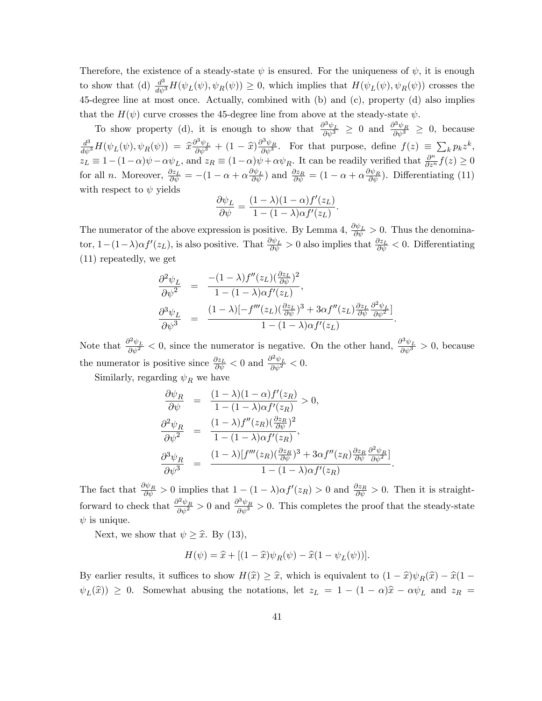Therefore, the existence of a steady-state  $\psi$  is ensured. For the uniqueness of  $\psi$ , it is enough to show that (d)  $\frac{d^3}{d\psi^3}H(\psi_L(\psi), \psi_R(\psi)) \geq 0$ , which implies that  $H(\psi_L(\psi), \psi_R(\psi))$  crosses the 45-degree line at most once. Actually, combined with (b) and (c), property (d) also implies that the  $H(\psi)$  curve crosses the 45-degree line from above at the steady-state  $\psi$ .

To show property (d), it is enough to show that  $\frac{\partial^3 \psi_L}{\partial \psi^3} \geq 0$  and  $\frac{\partial^3 \psi_R}{\partial \psi^3} \geq 0$ , because  $\frac{d^3}{d\psi^3}H(\psi_L(\psi), \psi_R(\psi)) = \hat{x}\frac{\partial^3 \psi_L}{\partial \psi^3} + (1-\hat{x})\frac{\partial^3 \psi_R}{\partial \psi^3}$ . For that purpose, define  $f(z) \equiv \sum_k p_k z^k$ ,  $z_L \equiv 1-(1-\alpha)\psi - \alpha\psi_L$ , and  $z_R \equiv (1-\alpha)\psi + \alpha\psi_R$ . It can be readily verified that  $\frac{\partial^n}{\partial z^n}f(z) \ge 0$ for all *n*. Moreover,  $\frac{\partial z_L}{\partial \psi} = -(1 - \alpha + \alpha \frac{\partial \psi_L}{\partial \psi})$  and  $\frac{\partial z_R}{\partial \psi} = (1 - \alpha + \alpha \frac{\partial \psi_R}{\partial \psi})$ . Differentiating (11) with respect to  $\psi$  yields

$$
\frac{\partial \psi_L}{\partial \psi} = \frac{(1 - \lambda)(1 - \alpha)f'(z_L)}{1 - (1 - \lambda)\alpha f'(z_L)}.
$$

The numerator of the above expression is positive. By Lemma 4,  $\frac{\partial \psi_L}{\partial \psi} > 0$ . Thus the denominator,  $1-(1-\lambda)\alpha f'(z_L)$ , is also positive. That  $\frac{\partial \psi_L}{\partial \psi} > 0$  also implies that  $\frac{\partial z_L}{\partial \psi} < 0$ . Differentiating (11) repeatedly, we get

$$
\frac{\partial^2 \psi_L}{\partial \psi^2} = \frac{-(1-\lambda)f''(z_L)(\frac{\partial z_L}{\partial \psi})^2}{1-(1-\lambda)\alpha f'(z_L)},
$$
  

$$
\frac{\partial^3 \psi_L}{\partial \psi^3} = \frac{(1-\lambda)[-f'''(z_L)(\frac{\partial z_L}{\partial \psi})^3 + 3\alpha f''(z_L)\frac{\partial z_L}{\partial \psi}\frac{\partial^2 \psi_L}{\partial \psi^2}]}{1-(1-\lambda)\alpha f'(z_L)}
$$

:

:

Note that  $\frac{\partial^2 \psi_L}{\partial \psi^2} < 0$ , since the numerator is negative. On the other hand,  $\frac{\partial^3 \psi_L}{\partial \psi^3} > 0$ , because the numerator is positive since  $\frac{\partial z_L}{\partial \psi} < 0$  and  $\frac{\partial^2 \psi_L}{\partial \psi^2} < 0$ .

Similarly, regarding  $\psi_R$  we have

$$
\begin{array}{rcl}\n\frac{\partial \psi_R}{\partial \psi} & = & \frac{(1-\lambda)(1-\alpha)f'(z_R)}{1-(1-\lambda)\alpha f'(z_R)} > 0, \\
\frac{\partial^2 \psi_R}{\partial \psi^2} & = & \frac{(1-\lambda)f''(z_R)(\frac{\partial z_R}{\partial \psi})^2}{1-(1-\lambda)\alpha f'(z_R)}, \\
\frac{\partial^3 \psi_R}{\partial \psi^3} & = & \frac{(1-\lambda)[f'''(z_R)(\frac{\partial z_R}{\partial \psi})^3 + 3\alpha f''(z_R)\frac{\partial z_R}{\partial \psi}\frac{\partial^2 \psi_R}{\partial \psi^2}]}{1-(1-\lambda)\alpha f'(z_R)}\n\end{array}
$$

The fact that  $\frac{\partial \psi_R}{\partial \psi} > 0$  implies that  $1 - (1 - \lambda) \alpha f'(z_R) > 0$  and  $\frac{\partial z_R}{\partial \psi} > 0$ . Then it is straightforward to check that  $\frac{\partial^2 \psi_R}{\partial \psi^2} > 0$  and  $\frac{\partial^3 \psi_R}{\partial \psi^3} > 0$ . This completes the proof that the steady-state  $\psi$  is unique.

Next, we show that  $\psi \geq \hat{x}$ . By (13),

$$
H(\psi) = \widehat{x} + [(1 - \widehat{x})\psi_R(\psi) - \widehat{x}(1 - \psi_L(\psi))].
$$

By earlier results, it suffices to show  $H(\hat{x}) \geq \hat{x}$ , which is equivalent to  $(1 - \hat{x}) \psi_R(\hat{x}) - \hat{x}(1 - \hat{x})$  $\psi_L(\hat{x})$   $\geq$  0. Somewhat abusing the notations, let  $z_L = 1 - (1 - \alpha)\hat{x} - \alpha\psi_L$  and  $z_R =$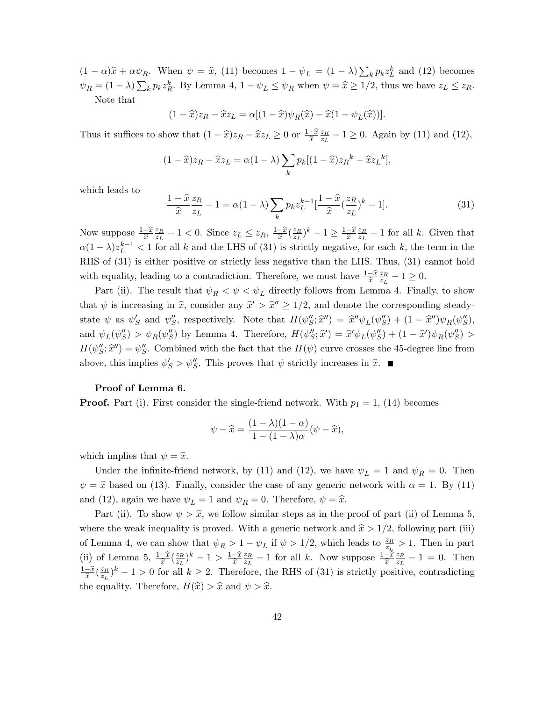$(1 - \alpha)\hat{x} + \alpha \psi_R$ . When  $\psi = \hat{x}$ , (11) becomes  $1 - \psi_L = (1 - \lambda) \sum_k p_k z_L^k$  and (12) becomes  $\psi_R = (1 - \lambda) \sum_k p_k z_R^k$ . By Lemma 4,  $1 - \psi_L \leq \psi_R$  when  $\psi = \hat{x} \geq 1/2$ , thus we have  $z_L \leq z_R$ . Note that

$$
(1 - \widehat{x})z_R - \widehat{x}z_L = \alpha[(1 - \widehat{x})\psi_R(\widehat{x}) - \widehat{x}(1 - \psi_L(\widehat{x}))].
$$

Thus it suffices to show that  $(1 - \hat{x})z_R - \hat{x}z_L \ge 0$  or  $\frac{1-\hat{x}}{\hat{x}}$  $\frac{z_R}{}$  $\frac{z_R}{z_L} - 1 \ge 0$ . Again by (11) and (12),

$$
(1 - \widehat{x})z_R - \widehat{x}z_L = \alpha(1 - \lambda) \sum_k p_k [(1 - \widehat{x})z_R^k - \widehat{x}z_L^k],
$$

which leads to

$$
\frac{1-\hat{x}}{\hat{x}}\frac{z_R}{z_L} - 1 = \alpha(1-\lambda)\sum_k p_k z_L^{k-1} \left[\frac{1-\hat{x}}{\hat{x}}\left(\frac{z_R}{z_L}\right)^k - 1\right].\tag{31}
$$

Now suppose  $\frac{1-\hat{x}}{\hat{x}}$  $\frac{z_R}{}$  $\frac{z_R}{z_L} - 1 < 0$ . Since  $z_L \le z_R$ ,  $\frac{1-\hat{x}}{\hat{x}}$  $\frac{-\widehat{x}}{\widehat{x}}(\frac{z_R}{z_L}% )+\widehat{x}(\frac{z_R}{z_L})\label{p2}%$  $(\frac{z_R}{z_L})^k - 1 \geq \frac{1 - \widehat{x}}{\widehat{x}}$  $\widehat{x}$  $\frac{z_R}{}$  $\frac{z_R}{z_L} - 1$  for all k. Given that  $\alpha(1-\lambda)z_L^{k-1}$  < 1 for all k and the LHS of (31) is strictly negative, for each k, the term in the RHS of (31) is either positive or strictly less negative than the LHS. Thus, (31) cannot hold with equality, leading to a contradiction. Therefore, we must have  $\frac{1-\hat{x}}{\hat{x}}$  $\frac{z_R}{}$  $\frac{z_R}{z_L} - 1 \geq 0.$ 

Part (ii). The result that  $\psi_R < \psi < \psi_L$  directly follows from Lemma 4. Finally, to show that  $\psi$  is increasing in  $\hat{x}$ , consider any  $\hat{x}' > \hat{x}'' \ge 1/2$ , and denote the corresponding steadystate  $\psi$  as  $\psi_S'$  and  $\psi_S''$ , respectively. Note that  $H(\psi_S''; \hat{x}''') = \hat{x}'' \psi_L(\psi_S'') + (1 - \hat{x}''') \psi_R(\psi_S''),$ and  $\psi_L(\psi_S'') > \psi_R(\psi_S'')$  by Lemma 4. Therefore,  $H(\psi_S''; \hat{x}') = \hat{x}' \psi_L(\psi_S'') + (1 - \hat{x}') \psi_R(\psi_S'') >$  $H(\psi''_S; \hat{\chi}'') = \psi''_S$ . Combined with the fact that the  $H(\psi)$  curve crosses the 45-degree line from above, this implies  $\psi'_S > \psi''_S$ . This proves that  $\psi$  strictly increases in  $\hat{x}$ .

#### Proof of Lemma 6.

**Proof.** Part (i). First consider the single-friend network. With  $p_1 = 1$ , (14) becomes

$$
\psi - \widehat{x} = \frac{(1 - \lambda)(1 - \alpha)}{1 - (1 - \lambda)\alpha} (\psi - \widehat{x}),
$$

which implies that  $\psi = \hat{x}$ .

Under the infinite-friend network, by (11) and (12), we have  $\psi_L = 1$  and  $\psi_R = 0$ . Then  $\psi = \hat{x}$  based on (13). Finally, consider the case of any generic network with  $\alpha = 1$ . By (11) and (12), again we have  $\psi_L = 1$  and  $\psi_R = 0$ . Therefore,  $\psi = \hat{x}$ .

Part (ii). To show  $\psi > \hat{x}$ , we follow similar steps as in the proof of part (ii) of Lemma 5, where the weak inequality is proved. With a generic network and  $\hat{x} > 1/2$ , following part (iii) of Lemma 4, we can show that  $\psi_R > 1 - \psi_L$  if  $\psi > 1/2$ , which leads to  $\frac{z_R}{z_L} > 1$ . Then in part (ii) of Lemma 5,  $\frac{1-\widehat{x}}{\widehat{x}}(\frac{z_R}{z_L})$  $(\frac{z_R}{z_L})^k-1 > \frac{1-\widehat{x}}{\widehat{x}}$  $\widehat{x}$  $\frac{z_R}{}$  $\frac{z_R}{z_L} - 1$  for all k. Now suppose  $\frac{1-\hat{x}}{\hat{x}}$  $\frac{z_R}{}$  $\frac{z_R}{z_L} - 1 = 0$ . Then  $rac{1-\widehat{x}}{\widehat{x}}$  $\frac{-\widehat{x}}{\widehat{x}}(\frac{z_R}{z_L}% )+\widehat{x}(\widehat{x}_L% )+\widehat{x}(\widehat{x}_L% )+\widehat{x}(\widehat{x}_L% )+\widehat{x}(\widehat{x}_L% )+\widehat{x}(\widehat{x}_L% )+\widehat{x}(\widehat{x}_L% )+\widehat{x}(\widehat{x}_L% )+\widehat{x}(\widehat{x}_L% )+\widehat{x}(\widehat{x}_L% )+\widehat{x}(\widehat{x}_L% )+\widehat{x}(\widehat{x}_L% )+\widehat{x}(\widehat{x}_L% )+\widehat{x}(\widehat{x}_L% )+\widehat{x}(\widehat{x}_L% )+\widehat{x}(\widehat{x}_L% )+\wide$  $\frac{z_R}{z_L}$   $(k-1>0$  for all  $k \geq 2$ . Therefore, the RHS of (31) is strictly positive, contradicting the equality. Therefore,  $H(\hat{x}) > \hat{x}$  and  $\psi > \hat{x}$ .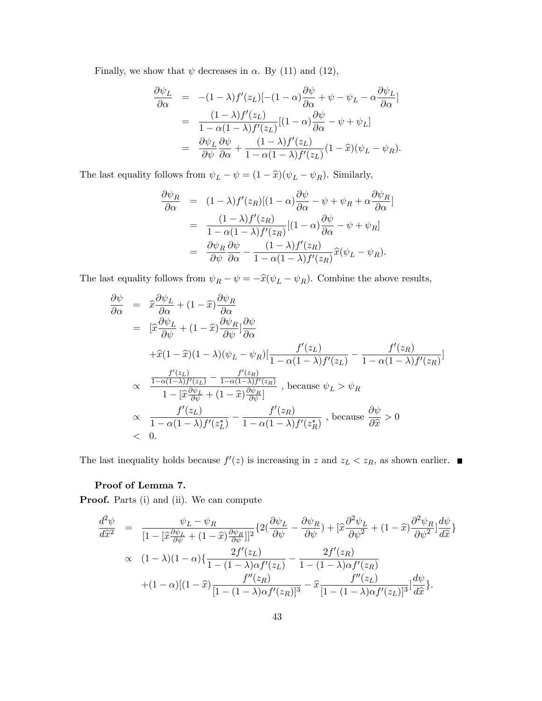Finally, we show that  $\psi$  decreases in  $\alpha$ . By (11) and (12),

$$
\frac{\partial \psi_L}{\partial \alpha} = -(1 - \lambda) f'(z_L) [-(1 - \alpha) \frac{\partial \psi}{\partial \alpha} + \psi - \psi_L - \alpha \frac{\partial \psi_L}{\partial \alpha}]
$$
  
\n
$$
= \frac{(1 - \lambda) f'(z_L)}{1 - \alpha (1 - \lambda) f'(z_L)} [(1 - \alpha) \frac{\partial \psi}{\partial \alpha} - \psi + \psi_L]
$$
  
\n
$$
= \frac{\partial \psi_L}{\partial \psi} \frac{\partial \psi}{\partial \alpha} + \frac{(1 - \lambda) f'(z_L)}{1 - \alpha (1 - \lambda) f'(z_L)} (1 - \hat{x}) (\psi_L - \psi_R).
$$

The last equality follows from  $\psi_L - \psi = (1 - \hat{x})(\psi_L - \psi_R)$ . Similarly,

$$
\frac{\partial \psi_R}{\partial \alpha} = (1 - \lambda) f'(z_R) [(1 - \alpha) \frac{\partial \psi}{\partial \alpha} - \psi + \psi_R + \alpha \frac{\partial \psi_R}{\partial \alpha}]
$$

$$
= \frac{(1 - \lambda) f'(z_R)}{1 - \alpha (1 - \lambda) f'(z_R)} [(1 - \alpha) \frac{\partial \psi}{\partial \alpha} - \psi + \psi_R]
$$

$$
= \frac{\partial \psi_R}{\partial \psi} \frac{\partial \psi}{\partial \alpha} - \frac{(1 - \lambda) f'(z_R)}{1 - \alpha (1 - \lambda) f'(z_R)} \hat{x} (\psi_L - \psi_R).
$$

The last equality follows from  $\psi_R - \psi = -\widehat{x}(\psi_L - \psi_R).$  Combine the above results,

$$
\frac{\partial \psi}{\partial \alpha} = \hat{x} \frac{\partial \psi_L}{\partial \alpha} + (1 - \hat{x}) \frac{\partial \psi_R}{\partial \alpha}
$$
\n
$$
= [\hat{x} \frac{\partial \psi_L}{\partial \psi} + (1 - \hat{x}) \frac{\partial \psi_R}{\partial \psi}] \frac{\partial \psi}{\partial \alpha}
$$
\n
$$
+ \hat{x}(1 - \hat{x})(1 - \lambda)(\psi_L - \psi_R)[\frac{f'(z_L)}{1 - \alpha(1 - \lambda)f'(z_L)} - \frac{f'(z_R)}{1 - \alpha(1 - \lambda)f'(z_R)}]
$$
\n
$$
\propto \frac{\frac{f'(z_L)}{1 - \alpha(1 - \lambda)f'(z_L)} - \frac{f'(z_R)}{1 - \alpha(1 - \lambda)f'(z_R)}}{1 - [\hat{x} \frac{\partial \psi_L}{\partial \psi} + (1 - \hat{x}) \frac{\partial \psi_R}{\partial \psi}]} \text{, because } \psi_L > \psi_R
$$
\n
$$
\frac{f'(z_L)}{1 - \alpha(1 - \lambda)f'(z_L^*)} - \frac{f'(z_R)}{1 - \alpha(1 - \lambda)f'(z_R^*)} \text{, because } \frac{\partial \psi}{\partial \hat{x}} > 0
$$
\n
$$
< 0.
$$

The last inequality holds because  $f'(z)$  is increasing in z and  $z_L < z_R$ , as shown earlier.

# Proof of Lemma 7.

Proof. Parts (i) and (ii). We can compute

$$
\frac{d^2\psi}{d\hat{x}^2} = \frac{\psi_L - \psi_R}{[1 - [\hat{x}\frac{\partial\psi_L}{\partial\psi} + (1 - \hat{x})\frac{\partial\psi_R}{\partial\psi}]]^2} \{2(\frac{\partial\psi_L}{\partial\psi} - \frac{\partial\psi_R}{\partial\psi}) + [\hat{x}\frac{\partial^2\psi_L}{\partial\psi^2} + (1 - \hat{x})\frac{\partial^2\psi_R}{\partial\psi^2}]\frac{d\psi}{d\hat{x}}\} \times (1 - \lambda)(1 - \alpha)\left\{\frac{2f'(z_L)}{1 - (1 - \lambda)\alpha f'(z_L)} - \frac{2f'(z_R)}{1 - (1 - \lambda)\alpha f'(z_R)}\right\} + (1 - \alpha)[(1 - \hat{x})\frac{f''(z_R)}{[1 - (1 - \lambda)\alpha f'(z_R)]^3} - \hat{x}\frac{f''(z_L)}{[1 - (1 - \lambda)\alpha f'(z_L)]^3}]\frac{d\psi}{d\hat{x}}\}.
$$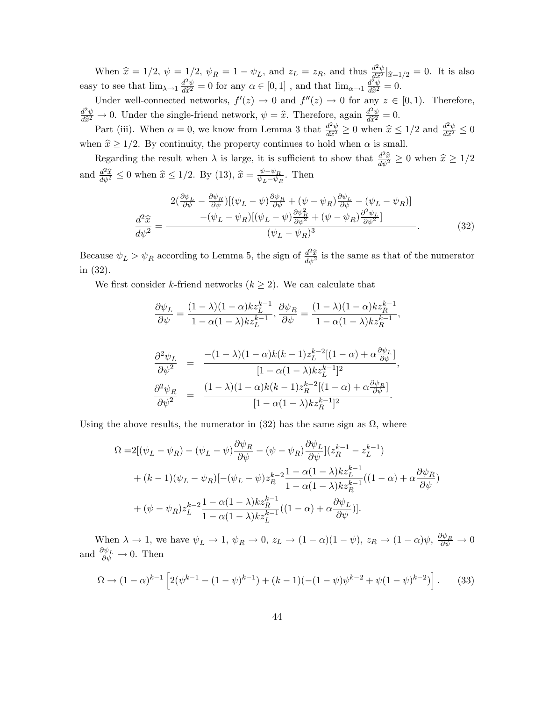When  $\hat{x} = 1/2$ ,  $\psi = 1/2$ ,  $\psi_R = 1 - \psi_L$ , and  $z_L = z_R$ , and thus  $\frac{d^2\psi}{d\hat{x}^2} |\hat{x}=1/2 = 0$ . It is also easy to see that  $\lim_{\lambda \to 1} \frac{d^2 \psi}{d\tilde{x}^2} = 0$  for any  $\alpha \in [0, 1]$ , and that  $\lim_{\alpha \to 1} \frac{d^2 \tilde{\psi}}{d\tilde{x}^2} = 0$ .

Under well-connected networks,  $f'(z) \to 0$  and  $f''(z) \to 0$  for any  $z \in [0,1)$ . Therefore,  $\frac{d^2\psi}{d\hat{x}^2} \to 0$ . Under the single-friend network,  $\psi = \hat{x}$ . Therefore, again  $\frac{d^2\psi}{d\hat{x}^2} = 0$ .

Part (iii). When  $\alpha = 0$ , we know from Lemma 3 that  $\frac{d^2\psi}{d\hat{x}^2} \ge 0$  when  $\hat{x} \le 1/2$  and  $\frac{d^2\psi}{d\hat{x}^2} \le 0$ when  $\hat{x} \ge 1/2$ . By continuity, the property continues to hold when  $\alpha$  is small.

Regarding the result when  $\lambda$  is large, it is sufficient to show that  $\frac{d^2\hat{x}}{d\psi^2} \ge 0$  when  $\hat{x} \ge 1/2$ and  $\frac{d^2\hat{x}}{d\psi^2} \leq 0$  when  $\hat{x} \leq 1/2$ . By (13),  $\hat{x} = \frac{\psi - \psi_R}{\psi_L - \psi_I}$  $\frac{\psi - \psi_R}{\psi_L - \psi_R}$ . Then

$$
\frac{2\left(\frac{\partial\psi_L}{\partial\psi} - \frac{\partial\psi_R}{\partial\psi}\right)\left[\left(\psi_L - \psi\right)\frac{\partial\psi_R}{\partial\psi} + \left(\psi - \psi_R\right)\frac{\partial\psi_L}{\partial\psi} - \left(\psi_L - \psi_R\right)\right]}{\left(-\left(\psi_L - \psi_R\right)\left[\left(\psi_L - \psi\right)\frac{\partial\psi_R}{\partial\psi^2} + \left(\psi - \psi_R\right)\frac{\partial^2\psi_L}{\partial\psi^2}\right]}\right)}
$$
\n
$$
\frac{d^2\hat{x}}{d\psi^2} = -\frac{\left(\psi_L - \psi_R\right)\left[\left(\psi_L - \psi\right)\frac{\partial\psi_R}{\partial\psi^2} + \left(\psi - \psi_R\right)\frac{\partial^2\psi_L}{\partial\psi^2}\right]}{\left(\psi_L - \psi_R\right)^3}.
$$
\n(32)

Because  $\psi_L > \psi_R$  according to Lemma 5, the sign of  $\frac{d^2\hat{x}}{d\psi^2}$  is the same as that of the numerator in (32).

We first consider k-friend networks  $(k \geq 2)$ . We can calculate that

$$
\frac{\partial \psi_L}{\partial \psi} = \frac{(1 - \lambda)(1 - \alpha)kz_L^{k-1}}{1 - \alpha(1 - \lambda)kz_L^{k-1}}, \frac{\partial \psi_R}{\partial \psi} = \frac{(1 - \lambda)(1 - \alpha)kz_R^{k-1}}{1 - \alpha(1 - \lambda)kz_R^{k-1}},
$$

$$
\frac{\partial^2 \psi_L}{\partial \psi^2} = \frac{-(1-\lambda)(1-\alpha)k(k-1)z_L^{k-2}[(1-\alpha) + \alpha \frac{\partial \psi_L}{\partial \psi}]}{[1-\alpha(1-\lambda)kz_L^{k-1}]^2},
$$

$$
\frac{\partial^2 \psi_R}{\partial \psi^2} = \frac{(1-\lambda)(1-\alpha)k(k-1)z_R^{k-2}[(1-\alpha) + \alpha \frac{\partial \psi_R}{\partial \psi}]}{[1-\alpha(1-\lambda)kz_R^{k-1}]^2}.
$$

Using the above results, the numerator in  $(32)$  has the same sign as  $\Omega$ , where

$$
\Omega = 2[(\psi_L - \psi_R) - (\psi_L - \psi)\frac{\partial \psi_R}{\partial \psi} - (\psi - \psi_R)\frac{\partial \psi_L}{\partial \psi}](z_R^{k-1} - z_L^{k-1})
$$
  
+ 
$$
(k-1)(\psi_L - \psi_R)[-(\psi_L - \psi)z_R^{k-2}\frac{1 - \alpha(1-\lambda)kz_L^{k-1}}{1 - \alpha(1-\lambda)kz_R^{k-1}}((1-\alpha) + \alpha\frac{\partial \psi_R}{\partial \psi})
$$
  
+ 
$$
(\psi - \psi_R)z_L^{k-2}\frac{1 - \alpha(1-\lambda)kz_R^{k-1}}{1 - \alpha(1-\lambda)kz_L^{k-1}}((1-\alpha) + \alpha\frac{\partial \psi_L}{\partial \psi})].
$$

When  $\lambda \to 1$ , we have  $\psi_L \to 1$ ,  $\psi_R \to 0$ ,  $z_L \to (1 - \alpha)(1 - \psi)$ ,  $z_R \to (1 - \alpha)\psi$ ,  $\frac{\partial \psi_R}{\partial \psi} \to 0$ and  $\frac{\partial \psi_L}{\partial \psi} \to 0$ . Then

$$
\Omega \to (1-\alpha)^{k-1} \left[ 2(\psi^{k-1} - (1-\psi)^{k-1}) + (k-1)(-(1-\psi)\psi^{k-2} + \psi(1-\psi)^{k-2}) \right].
$$
 (33)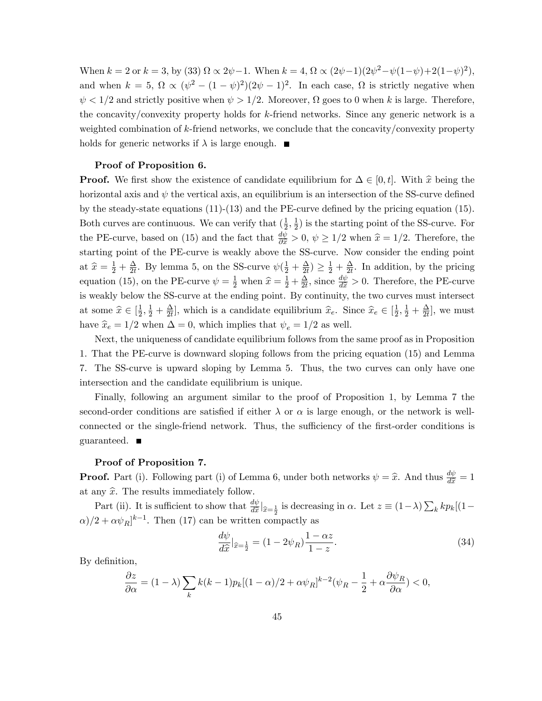When  $k = 2$  or  $k = 3$ , by (33)  $\Omega \propto 2\psi - 1$ . When  $k = 4$ ,  $\Omega \propto (2\psi - 1)(2\psi^2 - \psi(1 - \psi) + 2(1 - \psi)^2)$ , and when  $k = 5$ ,  $\Omega \propto (\psi^2 - (1 - \psi)^2)(2\psi - 1)^2$ . In each case,  $\Omega$  is strictly negative when  $\psi < 1/2$  and strictly positive when  $\psi > 1/2$ . Moreover,  $\Omega$  goes to 0 when k is large. Therefore, the concavity/convexity property holds for k-friend networks. Since any generic network is a weighted combination of k-friend networks, we conclude that the concavity/convexity property holds for generic networks if  $\lambda$  is large enough.  $\blacksquare$ 

#### Proof of Proposition 6.

**Proof.** We first show the existence of candidate equilibrium for  $\Delta \in [0, t]$ . With  $\hat{x}$  being the horizontal axis and  $\psi$  the vertical axis, an equilibrium is an intersection of the SS-curve defined by the steady-state equations  $(11)-(13)$  and the PE-curve defined by the pricing equation  $(15)$ . Both curves are continuous. We can verify that  $(\frac{1}{2})$  $\frac{1}{2}, \frac{1}{2}$  $\frac{1}{2}$ ) is the starting point of the SS-curve. For the PE-curve, based on (15) and the fact that  $\frac{d\psi}{\partial \hat{x}} > 0$ ,  $\psi \ge 1/2$  when  $\hat{x} = 1/2$ . Therefore, the starting point of the PE-curve is weakly above the SS-curve. Now consider the ending point at  $\widehat{x} = \frac{1}{2} + \frac{\Delta}{2t}$  $\frac{\Delta}{2t}$ . By lemma 5, on the SS-curve  $\psi(\frac{1}{2} + \frac{\Delta}{2t})$  $\frac{\Delta}{2t}) \geq \frac{1}{2} + \frac{\Delta}{2t}$  $\frac{\Delta}{2t}$ . In addition, by the pricing equation (15), on the PE-curve  $\psi = \frac{1}{2}$  when  $\hat{x} = \frac{1}{2} + \frac{\Delta}{2t}$  $\frac{\Delta}{2t}$ , since  $\frac{d\psi}{d\hat{x}} > 0$ . Therefore, the PE-curve is weakly below the SS-curve at the ending point. By continuity, the two curves must intersect at some  $\widehat{x} \in \left[\frac{1}{2}\right]$  $\frac{1}{2}, \frac{1}{2} + \frac{\Delta}{2t}$  $\frac{\Delta}{2t}$ , which is a candidate equilibrium  $\hat{x}_e$ . Since  $\hat{x}_e \in \left[\frac{1}{2}\right]$  $\frac{1}{2}, \frac{1}{2} + \frac{\Delta}{2t}$  $\frac{\Delta}{2t}]$ , we must have  $\hat{x}_e = 1/2$  when  $\Delta = 0$ , which implies that  $\psi_e = 1/2$  as well.

Next, the uniqueness of candidate equilibrium follows from the same proof as in Proposition 1. That the PE-curve is downward sloping follows from the pricing equation (15) and Lemma 7. The SS-curve is upward sloping by Lemma 5. Thus, the two curves can only have one intersection and the candidate equilibrium is unique.

Finally, following an argument similar to the proof of Proposition 1, by Lemma 7 the second-order conditions are satisfied if either  $\lambda$  or  $\alpha$  is large enough, or the network is wellconnected or the single-friend network. Thus, the sufficiency of the first-order conditions is guaranteed.

#### Proof of Proposition 7.

**Proof.** Part (i). Following part (i) of Lemma 6, under both networks  $\psi = \hat{x}$ . And thus  $\frac{d\psi}{d\hat{x}} = 1$ at any  $\hat{x}$ . The results immediately follow.

Part (ii). It is sufficient to show that  $\frac{d\psi}{d\hat{x}}|_{\hat{x}=\frac{1}{2}}$  is decreasing in  $\alpha$ . Let  $z \equiv (1-\lambda)\sum_k kp_k[(1-\lambda)\sum_k kp_k]$  $(\alpha)/2 + \alpha \psi_R]^{k-1}$ . Then (17) can be written compactly as

$$
\frac{d\psi}{d\hat{x}}|_{\hat{x}=\frac{1}{2}} = (1 - 2\psi_R)\frac{1 - \alpha z}{1 - z}.
$$
\n(34)

By definition,

$$
\frac{\partial z}{\partial \alpha} = (1 - \lambda) \sum_{k} k(k - 1) p_k [(1 - \alpha)/2 + \alpha \psi_R]^{k - 2} (\psi_R - \frac{1}{2} + \alpha \frac{\partial \psi_R}{\partial \alpha}) < 0,
$$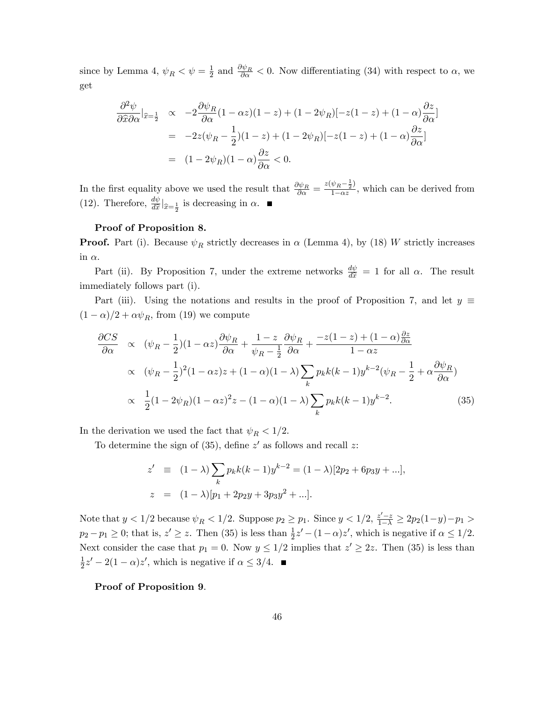since by Lemma 4,  $\psi_R < \psi = \frac{1}{2}$  $\frac{1}{2}$  and  $\frac{\partial \psi_R}{\partial \alpha} < 0$ . Now differentiating (34) with respect to  $\alpha$ , we get

$$
\frac{\partial^2 \psi}{\partial \hat{x} \partial \alpha}|_{\hat{x}=\frac{1}{2}} \propto -2 \frac{\partial \psi_R}{\partial \alpha} (1 - \alpha z)(1 - z) + (1 - 2\psi_R) [-z(1 - z) + (1 - \alpha) \frac{\partial z}{\partial \alpha}]
$$
  
= -2z(\psi\_R - \frac{1}{2})(1 - z) + (1 - 2\psi\_R) [-z(1 - z) + (1 - \alpha) \frac{\partial z}{\partial \alpha}]  
= (1 - 2\psi\_R)(1 - \alpha) \frac{\partial z}{\partial \alpha} < 0.

In the first equality above we used the result that  $\frac{\partial \psi_R}{\partial \alpha} = \frac{z(\psi_R - \frac{1}{2})}{1 - \alpha z}$  $\frac{\sqrt{R-2}}{1-\alpha z}$ , which can be derived from (12). Therefore,  $\frac{d\psi}{d\hat{x}}|_{\hat{x}=\frac{1}{2}}$  is decreasing in  $\alpha$ .

### Proof of Proposition 8.

**Proof.** Part (i). Because  $\psi_R$  strictly decreases in  $\alpha$  (Lemma 4), by (18) W strictly increases in  $\alpha$ .

Part (ii). By Proposition 7, under the extreme networks  $\frac{d\psi}{d\tilde{x}} = 1$  for all  $\alpha$ . The result immediately follows part (i).

Part (iii). Using the notations and results in the proof of Proposition 7, and let  $y \equiv$  $(1 - \alpha)/2 + \alpha \psi_R$ , from (19) we compute

$$
\frac{\partial CS}{\partial \alpha} \propto (\psi_R - \frac{1}{2})(1 - \alpha z) \frac{\partial \psi_R}{\partial \alpha} + \frac{1 - z}{\psi_R - \frac{1}{2}} \frac{\partial \psi_R}{\partial \alpha} + \frac{-z(1 - z) + (1 - \alpha)\frac{\partial z}{\partial \alpha}}{1 - \alpha z}
$$
\n
$$
\propto (\psi_R - \frac{1}{2})^2 (1 - \alpha z)z + (1 - \alpha)(1 - \lambda) \sum_k p_k k(k - 1)y^{k-2} (\psi_R - \frac{1}{2} + \alpha \frac{\partial \psi_R}{\partial \alpha})
$$
\n
$$
\propto \frac{1}{2} (1 - 2\psi_R)(1 - \alpha z)^2 z - (1 - \alpha)(1 - \lambda) \sum_k p_k k(k - 1)y^{k-2}.
$$
\n(35)

In the derivation we used the fact that  $\psi_R < 1/2$ .

To determine the sign of  $(35)$ , define  $z'$  as follows and recall z:

$$
z' \equiv (1 - \lambda) \sum_{k} p_{k} k(k - 1) y^{k-2} = (1 - \lambda) [2p_{2} + 6p_{3}y + ...],
$$
  

$$
z = (1 - \lambda) [p_{1} + 2p_{2}y + 3p_{3}y^{2} + ...].
$$

Note that  $y < 1/2$  because  $\psi_R < 1/2$ . Suppose  $p_2 \ge p_1$ . Since  $y < 1/2$ ,  $\frac{z'-z}{1-\lambda} \ge 2p_2(1-y) - p_1 > 0$  $p_2 - p_1 \ge 0$ ; that is,  $z' \ge z$ . Then (35) is less than  $\frac{1}{2}z' - (1 - \alpha)z'$ , which is negative if  $\alpha \le 1/2$ . Next consider the case that  $p_1 = 0$ . Now  $y \le 1/2$  implies that  $z' \ge 2z$ . Then (35) is less than 1  $\frac{1}{2}z'-2(1-\alpha)z'$ , which is negative if  $\alpha \leq 3/4$ .

Proof of Proposition 9.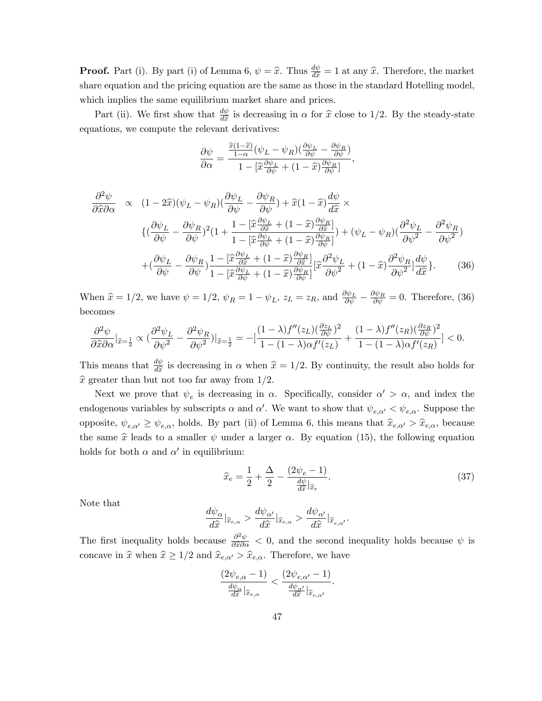**Proof.** Part (i). By part (i) of Lemma 6,  $\psi = \hat{x}$ . Thus  $\frac{d\psi}{d\hat{x}} = 1$  at any  $\hat{x}$ . Therefore, the market share equation and the pricing equation are the same as those in the standard Hotelling model, which implies the same equilibrium market share and prices.

Part (ii). We first show that  $\frac{d\psi}{d\hat{x}}$  is decreasing in  $\alpha$  for  $\hat{x}$  close to 1/2. By the steady-state equations, we compute the relevant derivatives:

$$
\frac{\partial \psi}{\partial \alpha} = \frac{\frac{\hat{x}(1-\hat{x})}{1-\alpha}(\psi_L - \psi_R)(\frac{\partial \psi_L}{\partial \psi} - \frac{\partial \psi_R}{\partial \psi})}{1 - [\hat{x}\frac{\partial \psi_L}{\partial \psi} + (1-\hat{x})\frac{\partial \psi_R}{\partial \psi}]},
$$

$$
\frac{\partial^2 \psi}{\partial \hat{x} \partial \alpha} \propto (1 - 2\hat{x})(\psi_L - \psi_R)(\frac{\partial \psi_L}{\partial \psi} - \frac{\partial \psi_R}{\partial \psi}) + \hat{x}(1 - \hat{x})\frac{d\psi}{d\hat{x}} \times \n\{(\frac{\partial \psi_L}{\partial \psi} - \frac{\partial \psi_R}{\partial \psi})^2 (1 + \frac{1 - [\hat{x}\frac{\partial \psi_L}{\partial \hat{x}} + (1 - \hat{x})\frac{\partial \psi_R}{\partial \hat{x}}]}{1 - [\hat{x}\frac{\partial \psi_L}{\partial \psi} + (1 - \hat{x})\frac{\partial \psi_R}{\partial \psi}]^2 + (\psi_L - \psi_R)(\frac{\partial^2 \psi_L}{\partial \psi^2} - \frac{\partial^2 \psi_R}{\partial \psi^2}) \n+ (\frac{\partial \psi_L}{\partial \psi} - \frac{\partial \psi_R}{\partial \psi}) \frac{1 - [\hat{x}\frac{\partial \psi_L}{\partial \hat{x}} + (1 - \hat{x})\frac{\partial \psi_R}{\partial \hat{x}}]}{1 - [\hat{x}\frac{\partial \psi_L}{\partial \psi} + (1 - \hat{x})\frac{\partial \psi_R}{\partial \psi}]^2} [\hat{x}\frac{\partial^2 \psi_L}{\partial \psi^2} + (1 - \hat{x})\frac{\partial^2 \psi_R}{\partial \psi^2}] \frac{d\psi}{d\hat{x}}\}.
$$
\n(36)

When  $\hat{x} = 1/2$ , we have  $\psi = 1/2$ ,  $\psi_R = 1 - \psi_L$ ,  $z_L = z_R$ , and  $\frac{\partial \psi_L}{\partial \psi} - \frac{\partial \psi_R}{\partial \psi} = 0$ . Therefore, (36) becomes

$$
\frac{\partial^2 \psi}{\partial \widehat{x}\partial \alpha}|_{\widehat{x}=\frac{1}{2}} \propto \big(\frac{\partial^2 \psi_L}{\partial \psi^2} - \frac{\partial^2 \psi_R}{\partial \psi^2}\big)|_{\widehat{x}=\frac{1}{2}} = -\big[\frac{(1-\lambda)f''(z_L)(\frac{\partial z_L}{\partial \psi})^2}{1-(1-\lambda)\alpha f'(z_L)} + \frac{(1-\lambda)f''(z_R)(\frac{\partial z_R}{\partial \psi})^2}{1-(1-\lambda)\alpha f'(z_R)}\big] < 0.
$$

This means that  $\frac{d\psi}{d\hat{x}}$  is decreasing in  $\alpha$  when  $\hat{x} = 1/2$ . By continuity, the result also holds for  $\hat{x}$  greater than but not too far away from 1/2.

Next we prove that  $\psi_e$  is decreasing in  $\alpha$ . Specifically, consider  $\alpha' > \alpha$ , and index the endogenous variables by subscripts  $\alpha$  and  $\alpha'$ . We want to show that  $\psi_{e,\alpha'} < \psi_{e,\alpha}$ . Suppose the opposite,  $\psi_{e,\alpha'} \geq \psi_{e,\alpha}$ , holds. By part (ii) of Lemma 6, this means that  $\hat{x}_{e,\alpha'} > \hat{x}_{e,\alpha}$ , because the same  $\hat{x}$  leads to a smaller  $\psi$  under a larger  $\alpha$ . By equation (15), the following equation holds for both  $\alpha$  and  $\alpha'$  in equilibrium:

$$
\widehat{x}_e = \frac{1}{2} + \frac{\Delta}{2} - \frac{(2\psi_e - 1)}{\frac{d\psi}{d\widehat{x}}|_{\widehat{x}_e}}.\tag{37}
$$

Note that

$$
\frac{d\psi_\alpha}{d\widehat x}|_{\widehat x_{e,\alpha}}>\frac{d\psi_{\alpha'}}{d\widehat x}|_{\widehat x_{e,\alpha}}>\frac{d\psi_{\alpha'}}{d\widehat x}|_{\widehat x_{e,\alpha'}}.
$$

The first inequality holds because  $\frac{\partial^2 \psi}{\partial x \partial \alpha} < 0$ , and the second inequality holds because  $\psi$  is concave in  $\hat{x}$  when  $\hat{x} \ge 1/2$  and  $\hat{x}_{e,\alpha'} > \hat{x}_{e,\alpha}$ . Therefore, we have

$$
\frac{(2\psi_{e,\alpha}-1)}{\frac{d\psi_{\alpha}}{d\hat{x}}|_{\hat{x}_{e,\alpha}}} < \frac{(2\psi_{e,\alpha'}-1)}{\frac{d\psi_{\alpha'}}{d\hat{x}}|_{\hat{x}_{e,\alpha'}}}.
$$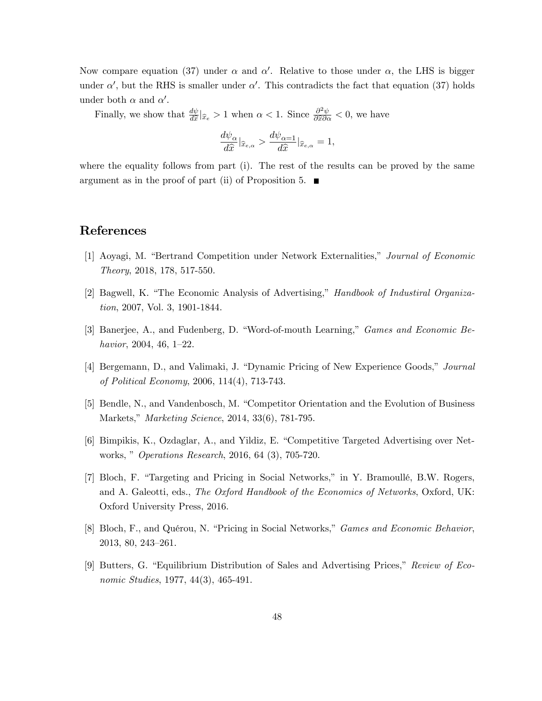Now compare equation (37) under  $\alpha$  and  $\alpha'$ . Relative to those under  $\alpha$ , the LHS is bigger under  $\alpha'$ , but the RHS is smaller under  $\alpha'$ . This contradicts the fact that equation (37) holds under both  $\alpha$  and  $\alpha'$ .

Finally, we show that  $\frac{d\psi}{d\hat{x}}|_{\hat{x}_e} > 1$  when  $\alpha < 1$ . Since  $\frac{\partial^2 \psi}{\partial \hat{x} \partial \alpha} < 0$ , we have

$$
\frac{d\psi_{\alpha}}{d\hat{x}}|_{\hat{x}_{e,\alpha}} > \frac{d\psi_{\alpha=1}}{d\hat{x}}|_{\hat{x}_{e,\alpha}} = 1,
$$

where the equality follows from part (i). The rest of the results can be proved by the same argument as in the proof of part (ii) of Proposition 5.  $\blacksquare$ 

# References

- [1] Aoyagi, M. "Bertrand Competition under Network Externalities," Journal of Economic Theory, 2018, 178, 517-550.
- [2] Bagwell, K. "The Economic Analysis of Advertising," Handbook of Industiral Organization, 2007, Vol. 3, 1901-1844.
- [3] Banerjee, A., and Fudenberg, D. "Word-of-mouth Learning," Games and Economic Behavior, 2004, 46,  $1-22$ .
- [4] Bergemann, D., and Valimaki, J. "Dynamic Pricing of New Experience Goods," Journal of Political Economy, 2006, 114(4), 713-743.
- [5] Bendle, N., and Vandenbosch, M. "Competitor Orientation and the Evolution of Business Markets," Marketing Science, 2014, 33(6), 781-795.
- [6] Bimpikis, K., Ozdaglar, A., and Yildiz, E. "Competitive Targeted Advertising over Networks, *" Operations Research*, 2016, 64 (3), 705-720.
- [7] Bloch, F. "Targeting and Pricing in Social Networks," in Y. Bramoullé, B.W. Rogers, and A. Galeotti, eds., The Oxford Handbook of the Economics of Networks, Oxford, UK: Oxford University Press, 2016.
- [8] Bloch, F., and Quérou, N. "Pricing in Social Networks," *Games and Economic Behavior*, 2013, 80, 243-261.
- [9] Butters, G. "Equilibrium Distribution of Sales and Advertising Prices," Review of Economic Studies, 1977, 44(3), 465-491.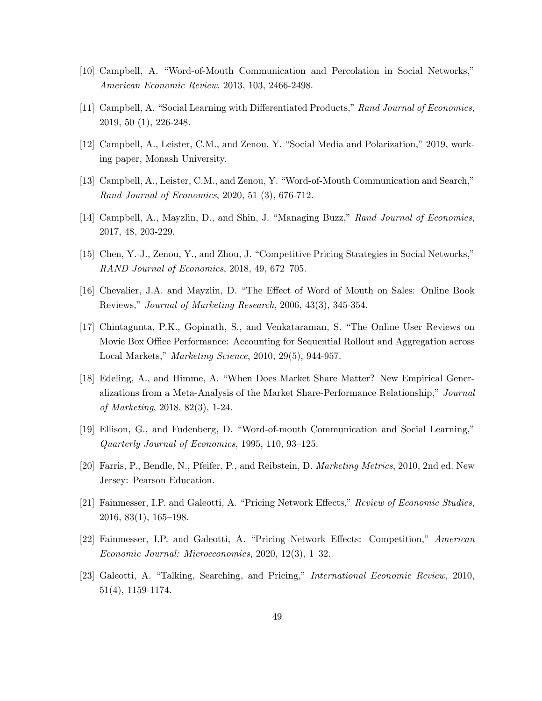- [10] Campbell, A. "Word-of-Mouth Communication and Percolation in Social Networks," American Economic Review, 2013, 103, 2466-2498.
- [11] Campbell, A. "Social Learning with Differentiated Products," Rand Journal of Economics, 2019, 50 (1), 226-248.
- [12] Campbell, A., Leister, C.M., and Zenou, Y. "Social Media and Polarization," 2019, working paper, Monash University.
- [13] Campbell, A., Leister, C.M., and Zenou, Y. "Word-of-Mouth Communication and Search," Rand Journal of Economics, 2020, 51 (3), 676-712.
- [14] Campbell, A., Mayzlin, D., and Shin, J. "Managing Buzz," Rand Journal of Economics, 2017, 48, 203-229.
- [15] Chen, Y.-J., Zenou, Y., and Zhou, J. "Competitive Pricing Strategies in Social Networks," RAND Journal of Economics,  $2018$ ,  $49$ ,  $672-705$ .
- [16] Chevalier, J.A. and Mayzlin, D. "The Effect of Word of Mouth on Sales: Online Book Reviews," Journal of Marketing Research, 2006, 43(3), 345-354.
- [17] Chintagunta, P.K., Gopinath, S., and Venkataraman, S. "The Online User Reviews on Movie Box Office Performance: Accounting for Sequential Rollout and Aggregation across Local Markets," Marketing Science, 2010, 29(5), 944-957.
- [18] Edeling, A., and Himme, A. "When Does Market Share Matter? New Empirical Generalizations from a Meta-Analysis of the Market Share-Performance Relationship," Journal of Marketing, 2018, 82(3), 1-24.
- [19] Ellison, G., and Fudenberg, D. "Word-of-mouth Communication and Social Learning," Quarterly Journal of Economics,  $1995, 110, 93-125$ .
- [20] Farris, P., Bendle, N., Pfeifer, P., and Reibstein, D. Marketing Metrics, 2010, 2nd ed. New Jersey: Pearson Education.
- [21] Fainmesser, I.P. and Galeotti, A. "Pricing Network Effects," Review of Economic Studies,  $2016, 83(1), 165-198.$
- [22] Fainmesser, I.P. and Galeotti, A. "Pricing Network Effects: Competition," American  $Economic\ Journal: Microeconomics, 2020, 12(3), 1–32.$
- [23] Galeotti, A. "Talking, Searching, and Pricing," International Economic Review, 2010, 51(4), 1159-1174.